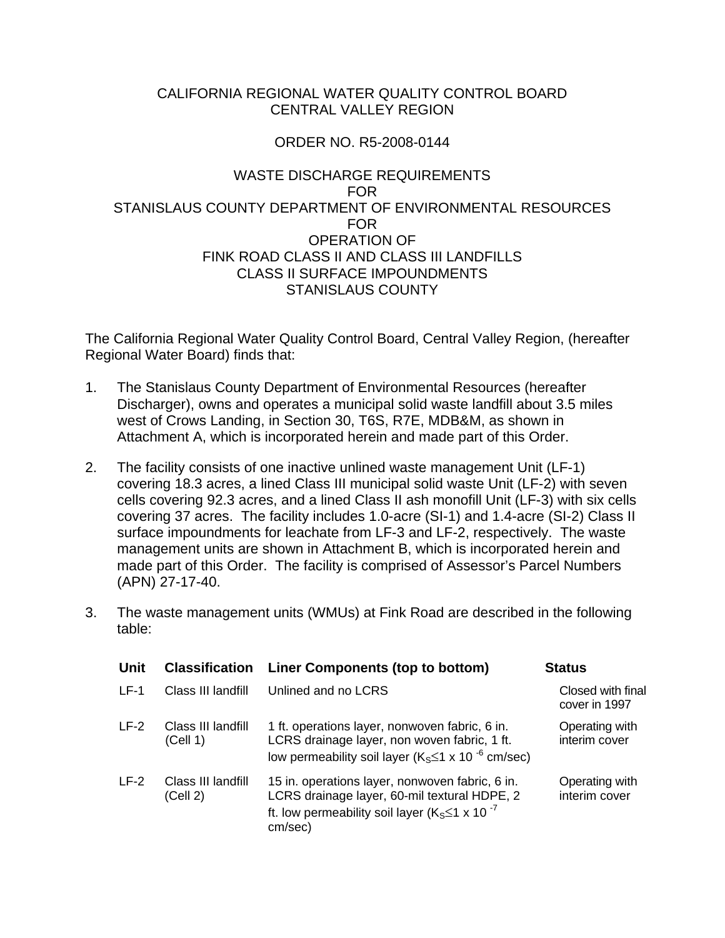#### CALIFORNIA REGIONAL WATER QUALITY CONTROL BOARD CENTRAL VALLEY REGION

### ORDER NO. R5-2008-0144

#### WASTE DISCHARGE REQUIREMENTS FOR STANISLAUS COUNTY DEPARTMENT OF ENVIRONMENTAL RESOURCES FOR OPERATION OF FINK ROAD CLASS II AND CLASS III LANDFILLS CLASS II SURFACE IMPOUNDMENTS STANISLAUS COUNTY

The California Regional Water Quality Control Board, Central Valley Region, (hereafter Regional Water Board) finds that:

- 1. The Stanislaus County Department of Environmental Resources (hereafter Discharger), owns and operates a municipal solid waste landfill about 3.5 miles west of Crows Landing, in Section 30, T6S, R7E, MDB&M, as shown in Attachment A, which is incorporated herein and made part of this Order.
- 2. The facility consists of one inactive unlined waste management Unit (LF-1) covering 18.3 acres, a lined Class III municipal solid waste Unit (LF-2) with seven cells covering 92.3 acres, and a lined Class II ash monofill Unit (LF-3) with six cells covering 37 acres. The facility includes 1.0-acre (SI-1) and 1.4-acre (SI-2) Class II surface impoundments for leachate from LF-3 and LF-2, respectively. The waste management units are shown in Attachment B, which is incorporated herein and made part of this Order. The facility is comprised of Assessor's Parcel Numbers (APN) 27-17-40.
- 3. The waste management units (WMUs) at Fink Road are described in the following table:

| Unit   | <b>Classification</b>          | <b>Liner Components (top to bottom)</b>                                                                                                                                    | <b>Status</b>                      |
|--------|--------------------------------|----------------------------------------------------------------------------------------------------------------------------------------------------------------------------|------------------------------------|
| $LF-1$ | Class III landfill             | Unlined and no LCRS                                                                                                                                                        | Closed with final<br>cover in 1997 |
| $LF-2$ | Class III landfill<br>(Cell 1) | 1 ft. operations layer, nonwoven fabric, 6 in.<br>LCRS drainage layer, non woven fabric, 1 ft.<br>low permeability soil layer ( $K_S \le 1 \times 10^{-6}$ cm/sec)         | Operating with<br>interim cover    |
| $LF-2$ | Class III landfill<br>(Cell 2) | 15 in. operations layer, nonwoven fabric, 6 in.<br>LCRS drainage layer, 60-mil textural HDPE, 2<br>ft. low permeability soil layer ( $K_S \le 1 \times 10^{-7}$<br>cm/sec) | Operating with<br>interim cover    |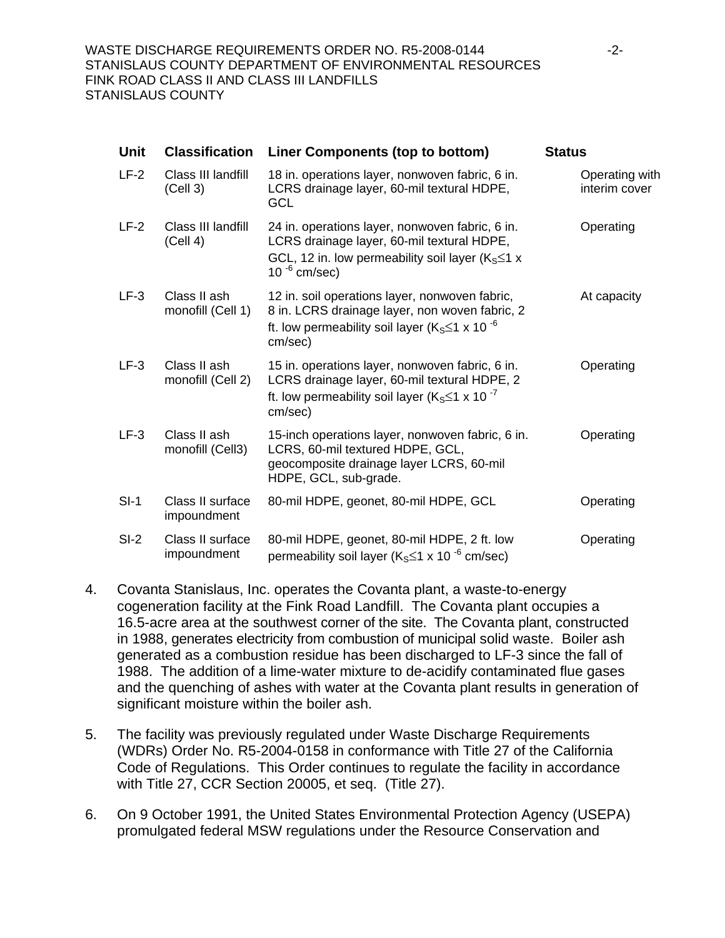| <b>Unit</b> | <b>Classification</b>             | Liner Components (top to bottom)                                                                                                                                               | <b>Status</b>                   |
|-------------|-----------------------------------|--------------------------------------------------------------------------------------------------------------------------------------------------------------------------------|---------------------------------|
| $LF-2$      | Class III landfill<br>(Cell 3)    | 18 in. operations layer, nonwoven fabric, 6 in.<br>LCRS drainage layer, 60-mil textural HDPE,<br>GCL                                                                           | Operating with<br>interim cover |
| $LF-2$      | Class III landfill<br>(Cell 4)    | 24 in. operations layer, nonwoven fabric, 6 in.<br>LCRS drainage layer, 60-mil textural HDPE,<br>GCL, 12 in. low permeability soil layer ( $K_S \le 1$ x<br>10 $^{-6}$ cm/sec) | Operating                       |
| $LF-3$      | Class II ash<br>monofill (Cell 1) | 12 in. soil operations layer, nonwoven fabric,<br>8 in. LCRS drainage layer, non woven fabric, 2<br>ft. low permeability soil layer ( $K_S \le 1 \times 10^{-6}$<br>cm/sec)    | At capacity                     |
| $LF-3$      | Class II ash<br>monofill (Cell 2) | 15 in. operations layer, nonwoven fabric, 6 in.<br>LCRS drainage layer, 60-mil textural HDPE, 2<br>ft. low permeability soil layer ( $K_S \le 1 \times 10^{-7}$<br>cm/sec)     | Operating                       |
| $LF-3$      | Class II ash<br>monofill (Cell3)  | 15-inch operations layer, nonwoven fabric, 6 in.<br>LCRS, 60-mil textured HDPE, GCL,<br>geocomposite drainage layer LCRS, 60-mil<br>HDPE, GCL, sub-grade.                      | Operating                       |
| $SI-1$      | Class II surface<br>impoundment   | 80-mil HDPE, geonet, 80-mil HDPE, GCL                                                                                                                                          | Operating                       |
| $SI-2$      | Class II surface<br>impoundment   | 80-mil HDPE, geonet, 80-mil HDPE, 2 ft. low<br>permeability soil layer ( $K_S \le 1 \times 10^{-6}$ cm/sec)                                                                    | Operating                       |

- 4. Covanta Stanislaus, Inc. operates the Covanta plant, a waste-to-energy cogeneration facility at the Fink Road Landfill. The Covanta plant occupies a 16.5-acre area at the southwest corner of the site. The Covanta plant, constructed in 1988, generates electricity from combustion of municipal solid waste. Boiler ash generated as a combustion residue has been discharged to LF-3 since the fall of 1988. The addition of a lime-water mixture to de-acidify contaminated flue gases and the quenching of ashes with water at the Covanta plant results in generation of significant moisture within the boiler ash.
- 5. The facility was previously regulated under Waste Discharge Requirements (WDRs) Order No. R5-2004-0158 in conformance with Title 27 of the California Code of Regulations. This Order continues to regulate the facility in accordance with Title 27, CCR Section 20005, et seq. (Title 27).
- 6. On 9 October 1991, the United States Environmental Protection Agency (USEPA) promulgated federal MSW regulations under the Resource Conservation and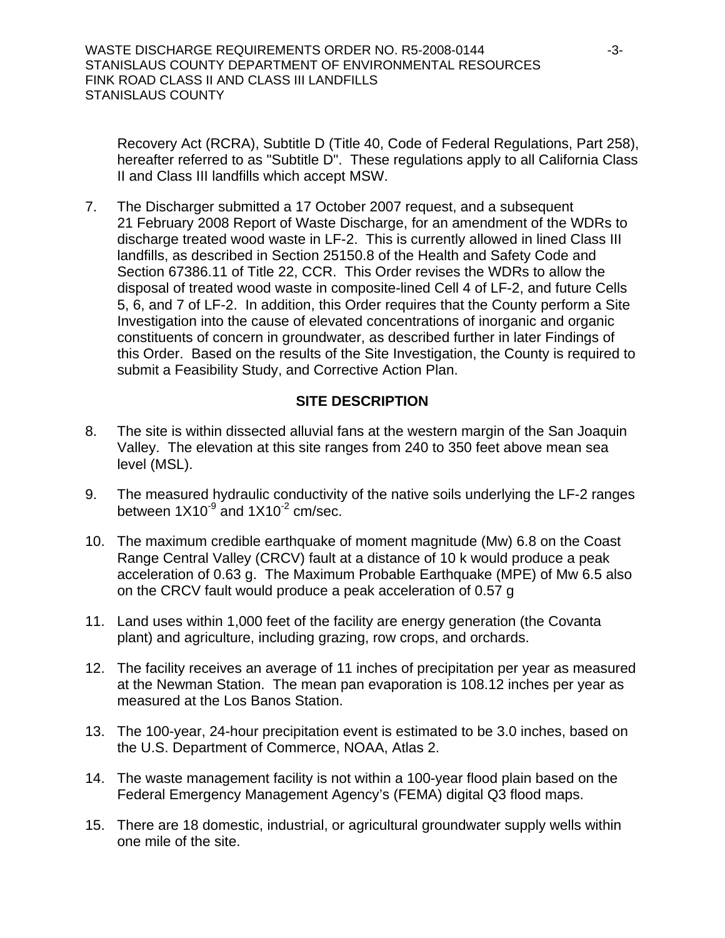Recovery Act (RCRA), Subtitle D (Title 40, Code of Federal Regulations, Part 258), hereafter referred to as "Subtitle D". These regulations apply to all California Class II and Class III landfills which accept MSW.

7. The Discharger submitted a 17 October 2007 request, and a subsequent 21 February 2008 Report of Waste Discharge, for an amendment of the WDRs to discharge treated wood waste in LF-2. This is currently allowed in lined Class III landfills, as described in Section 25150.8 of the Health and Safety Code and Section 67386.11 of Title 22, CCR. This Order revises the WDRs to allow the disposal of treated wood waste in composite-lined Cell 4 of LF-2, and future Cells 5, 6, and 7 of LF-2. In addition, this Order requires that the County perform a Site Investigation into the cause of elevated concentrations of inorganic and organic constituents of concern in groundwater, as described further in later Findings of this Order. Based on the results of the Site Investigation, the County is required to submit a Feasibility Study, and Corrective Action Plan.

## **SITE DESCRIPTION**

- 8. The site is within dissected alluvial fans at the western margin of the San Joaquin Valley. The elevation at this site ranges from 240 to 350 feet above mean sea level (MSL).
- 9. The measured hydraulic conductivity of the native soils underlying the LF-2 ranges between  $1X10^{-9}$  and  $1X10^{-2}$  cm/sec.
- 10. The maximum credible earthquake of moment magnitude (Mw) 6.8 on the Coast Range Central Valley (CRCV) fault at a distance of 10 k would produce a peak acceleration of 0.63 g. The Maximum Probable Earthquake (MPE) of Mw 6.5 also on the CRCV fault would produce a peak acceleration of 0.57 g
- 11. Land uses within 1,000 feet of the facility are energy generation (the Covanta plant) and agriculture, including grazing, row crops, and orchards.
- 12. The facility receives an average of 11 inches of precipitation per year as measured at the Newman Station. The mean pan evaporation is 108.12 inches per year as measured at the Los Banos Station.
- 13. The 100-year, 24-hour precipitation event is estimated to be 3.0 inches, based on the U.S. Department of Commerce, NOAA, Atlas 2.
- 14. The waste management facility is not within a 100-year flood plain based on the Federal Emergency Management Agency's (FEMA) digital Q3 flood maps.
- 15. There are 18 domestic, industrial, or agricultural groundwater supply wells within one mile of the site.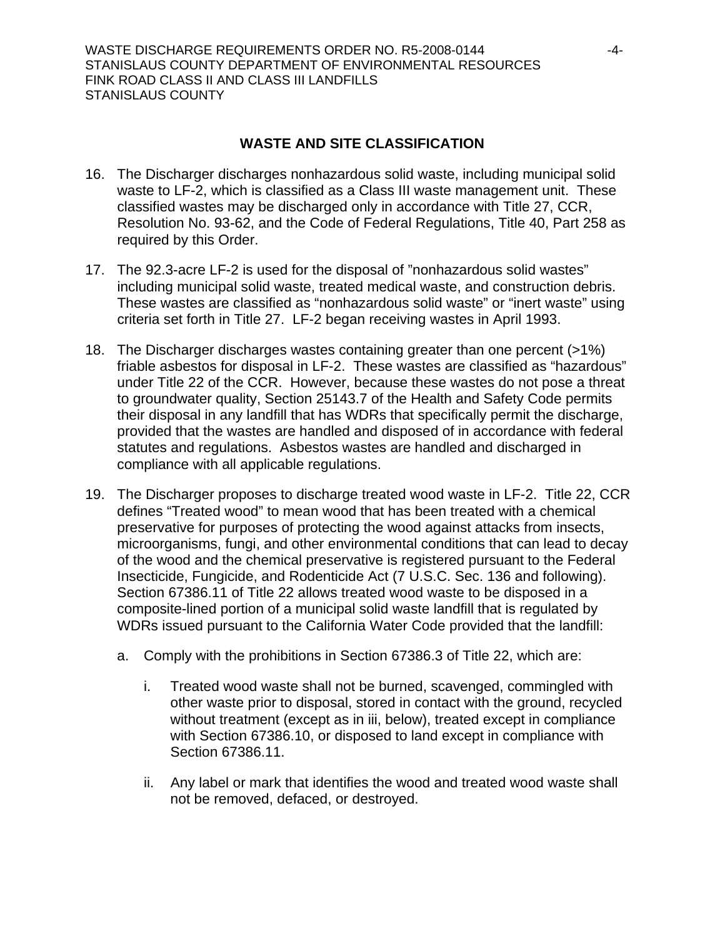#### **WASTE AND SITE CLASSIFICATION**

- 16. The Discharger discharges nonhazardous solid waste, including municipal solid waste to LF-2, which is classified as a Class III waste management unit. These classified wastes may be discharged only in accordance with Title 27, CCR, Resolution No. 93-62, and the Code of Federal Regulations, Title 40, Part 258 as required by this Order.
- 17. The 92.3-acre LF-2 is used for the disposal of "nonhazardous solid wastes" including municipal solid waste, treated medical waste, and construction debris. These wastes are classified as "nonhazardous solid waste" or "inert waste" using criteria set forth in Title 27. LF-2 began receiving wastes in April 1993.
- 18. The Discharger discharges wastes containing greater than one percent (>1%) friable asbestos for disposal in LF-2. These wastes are classified as "hazardous" under Title 22 of the CCR. However, because these wastes do not pose a threat to groundwater quality, Section 25143.7 of the Health and Safety Code permits their disposal in any landfill that has WDRs that specifically permit the discharge, provided that the wastes are handled and disposed of in accordance with federal statutes and regulations. Asbestos wastes are handled and discharged in compliance with all applicable regulations.
- <span id="page-3-0"></span>19. The Discharger proposes to discharge treated wood waste in LF-2. Title 22, CCR defines "Treated wood" to mean wood that has been treated with a chemical preservative for purposes of protecting the wood against attacks from insects, microorganisms, fungi, and other environmental conditions that can lead to decay of the wood and the chemical preservative is registered pursuant to the Federal Insecticide, Fungicide, and Rodenticide Act (7 U.S.C. Sec. 136 and following). Section 67386.11 of Title 22 allows treated wood waste to be disposed in a composite-lined portion of a municipal solid waste landfill that is regulated by WDRs issued pursuant to the California Water Code provided that the landfill:
	- a. Comply with the prohibitions in Section 67386.3 of Title 22, which are:
		- i. Treated wood waste shall not be burned, scavenged, commingled with other waste prior to disposal, stored in contact with the ground, recycled without treatment (except as in iii, below), treated except in compliance with Section 67386.10, or disposed to land except in compliance with Section 67386.11.
		- ii. Any label or mark that identifies the wood and treated wood waste shall not be removed, defaced, or destroyed.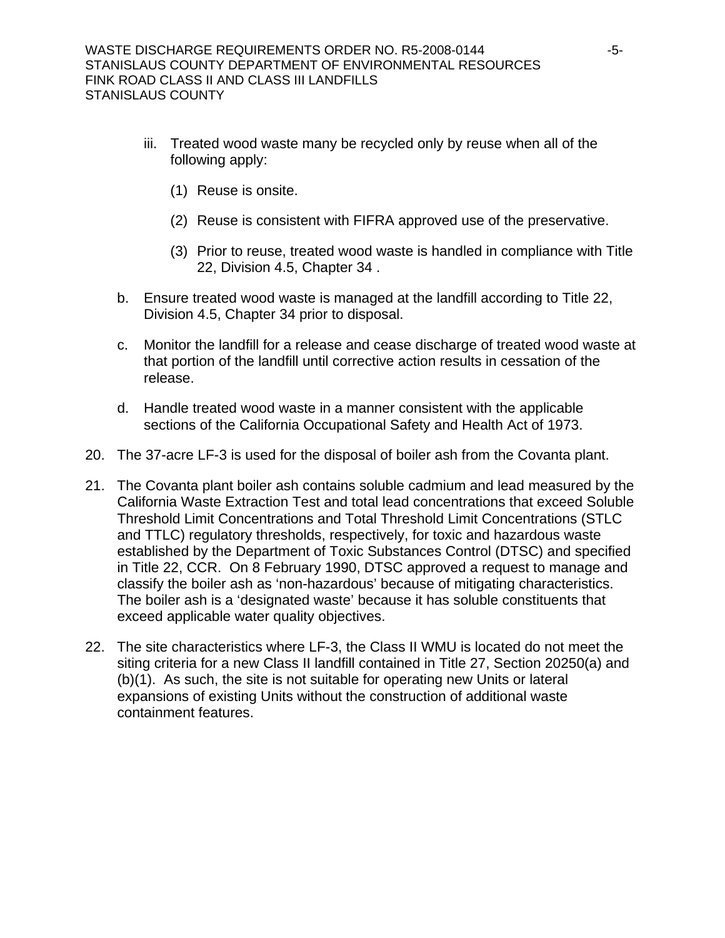- iii. Treated wood waste many be recycled only by reuse when all of the following apply:
	- (1) Reuse is onsite.
	- (2) Reuse is consistent with FIFRA approved use of the preservative.
	- (3) Prior to reuse, treated wood waste is handled in compliance with Title 22, Division 4.5, Chapter 34 .
- b. Ensure treated wood waste is managed at the landfill according to Title 22, Division 4.5, Chapter 34 prior to disposal.
- c. Monitor the landfill for a release and cease discharge of treated wood waste at that portion of the landfill until corrective action results in cessation of the release.
- d. Handle treated wood waste in a manner consistent with the applicable sections of the California Occupational Safety and Health Act of 1973.
- 20. The 37-acre LF-3 is used for the disposal of boiler ash from the Covanta plant.
- 21. The Covanta plant boiler ash contains soluble cadmium and lead measured by the California Waste Extraction Test and total lead concentrations that exceed Soluble Threshold Limit Concentrations and Total Threshold Limit Concentrations (STLC and TTLC) regulatory thresholds, respectively, for toxic and hazardous waste established by the Department of Toxic Substances Control (DTSC) and specified in Title 22, CCR. On 8 February 1990, DTSC approved a request to manage and classify the boiler ash as 'non-hazardous' because of mitigating characteristics. The boiler ash is a 'designated waste' because it has soluble constituents that exceed applicable water quality objectives.
- 22. The site characteristics where LF-3, the Class II WMU is located do not meet the siting criteria for a new Class II landfill contained in Title 27, Section 20250(a) and (b)(1). As such, the site is not suitable for operating new Units or lateral expansions of existing Units without the construction of additional waste containment features.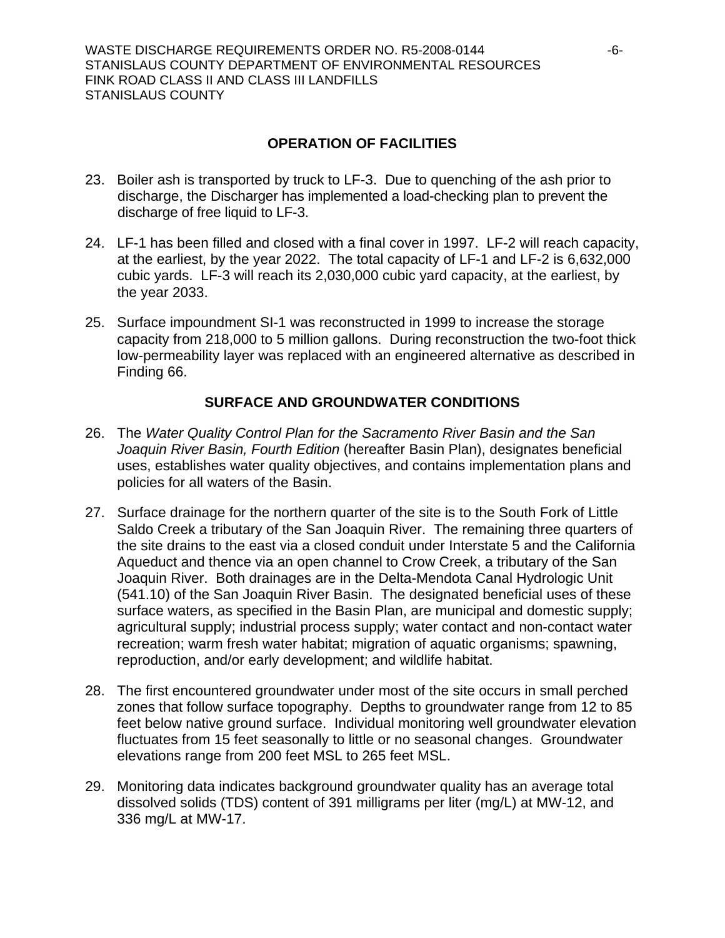## **OPERATION OF FACILITIES**

- 23. Boiler ash is transported by truck to LF-3. Due to quenching of the ash prior to discharge, the Discharger has implemented a load-checking plan to prevent the discharge of free liquid to LF-3.
- 24. LF-1 has been filled and closed with a final cover in 1997. LF-2 will reach capacity, at the earliest, by the year 2022. The total capacity of LF-1 and LF-2 is 6,632,000 cubic yards. LF-3 will reach its 2,030,000 cubic yard capacity, at the earliest, by the year 2033.
- 25. Surface impoundment SI-1 was reconstructed in 1999 to increase the storage capacity from 218,000 to 5 million gallons. During reconstruction the two-foot thick low-permeability layer was replaced with an engineered alternative as described in Finding [66.](#page-13-0)

### **SURFACE AND GROUNDWATER CONDITIONS**

- 26. The *Water Quality Control Plan for the Sacramento River Basin and the San Joaquin River Basin, Fourth Edition* (hereafter Basin Plan), designates beneficial uses, establishes water quality objectives, and contains implementation plans and policies for all waters of the Basin.
- 27. Surface drainage for the northern quarter of the site is to the South Fork of Little Saldo Creek a tributary of the San Joaquin River. The remaining three quarters of the site drains to the east via a closed conduit under Interstate 5 and the California Aqueduct and thence via an open channel to Crow Creek, a tributary of the San Joaquin River. Both drainages are in the Delta-Mendota Canal Hydrologic Unit (541.10) of the San Joaquin River Basin. The designated beneficial uses of these surface waters, as specified in the Basin Plan, are municipal and domestic supply; agricultural supply; industrial process supply; water contact and non-contact water recreation; warm fresh water habitat; migration of aquatic organisms; spawning, reproduction, and/or early development; and wildlife habitat.
- 28. The first encountered groundwater under most of the site occurs in small perched zones that follow surface topography. Depths to groundwater range from 12 to 85 feet below native ground surface. Individual monitoring well groundwater elevation fluctuates from 15 feet seasonally to little or no seasonal changes. Groundwater elevations range from 200 feet MSL to 265 feet MSL.
- 29. Monitoring data indicates background groundwater quality has an average total dissolved solids (TDS) content of 391 milligrams per liter (mg/L) at MW-12, and 336 mg/L at MW-17.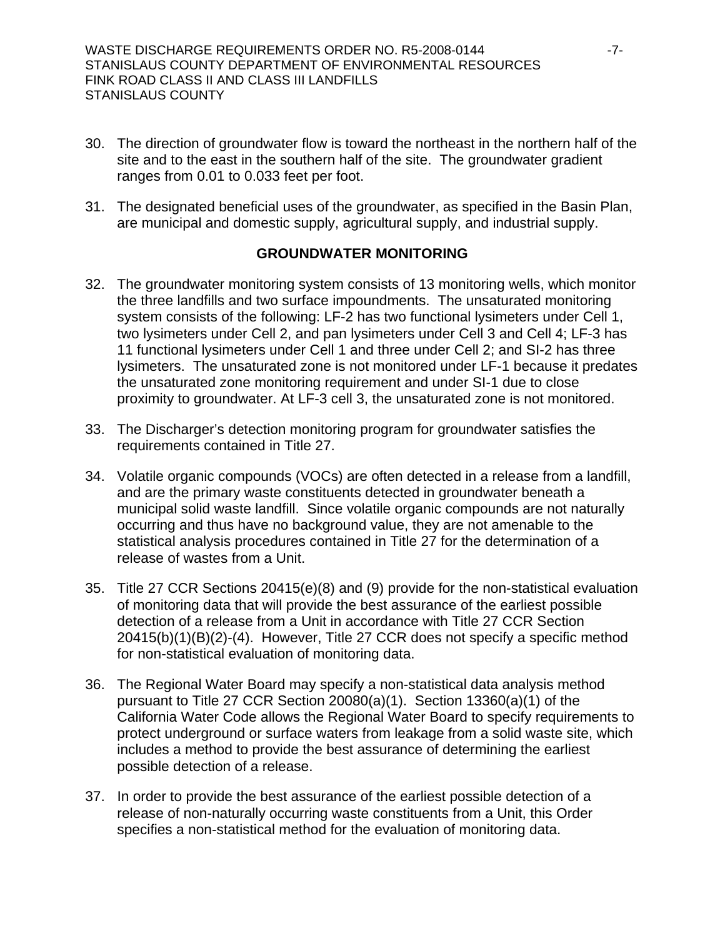- 30. The direction of groundwater flow is toward the northeast in the northern half of the site and to the east in the southern half of the site. The groundwater gradient ranges from 0.01 to 0.033 feet per foot.
- 31. The designated beneficial uses of the groundwater, as specified in the Basin Plan, are municipal and domestic supply, agricultural supply, and industrial supply.

#### **GROUNDWATER MONITORING**

- 32. The groundwater monitoring system consists of 13 monitoring wells, which monitor the three landfills and two surface impoundments. The unsaturated monitoring system consists of the following: LF-2 has two functional lysimeters under Cell 1, two lysimeters under Cell 2, and pan lysimeters under Cell 3 and Cell 4; LF-3 has 11 functional lysimeters under Cell 1 and three under Cell 2; and SI-2 has three lysimeters. The unsaturated zone is not monitored under LF-1 because it predates the unsaturated zone monitoring requirement and under SI-1 due to close proximity to groundwater. At LF-3 cell 3, the unsaturated zone is not monitored.
- 33. The Discharger's detection monitoring program for groundwater satisfies the requirements contained in Title 27.
- 34. Volatile organic compounds (VOCs) are often detected in a release from a landfill, and are the primary waste constituents detected in groundwater beneath a municipal solid waste landfill. Since volatile organic compounds are not naturally occurring and thus have no background value, they are not amenable to the statistical analysis procedures contained in Title 27 for the determination of a release of wastes from a Unit.
- 35. Title 27 CCR Sections 20415(e)(8) and (9) provide for the non-statistical evaluation of monitoring data that will provide the best assurance of the earliest possible detection of a release from a Unit in accordance with Title 27 CCR Section 20415(b)(1)(B)(2)-(4). However, Title 27 CCR does not specify a specific method for non-statistical evaluation of monitoring data.
- 36. The Regional Water Board may specify a non-statistical data analysis method pursuant to Title 27 CCR Section 20080(a)(1). Section 13360(a)(1) of the California Water Code allows the Regional Water Board to specify requirements to protect underground or surface waters from leakage from a solid waste site, which includes a method to provide the best assurance of determining the earliest possible detection of a release.
- 37. In order to provide the best assurance of the earliest possible detection of a release of non-naturally occurring waste constituents from a Unit, this Order specifies a non-statistical method for the evaluation of monitoring data.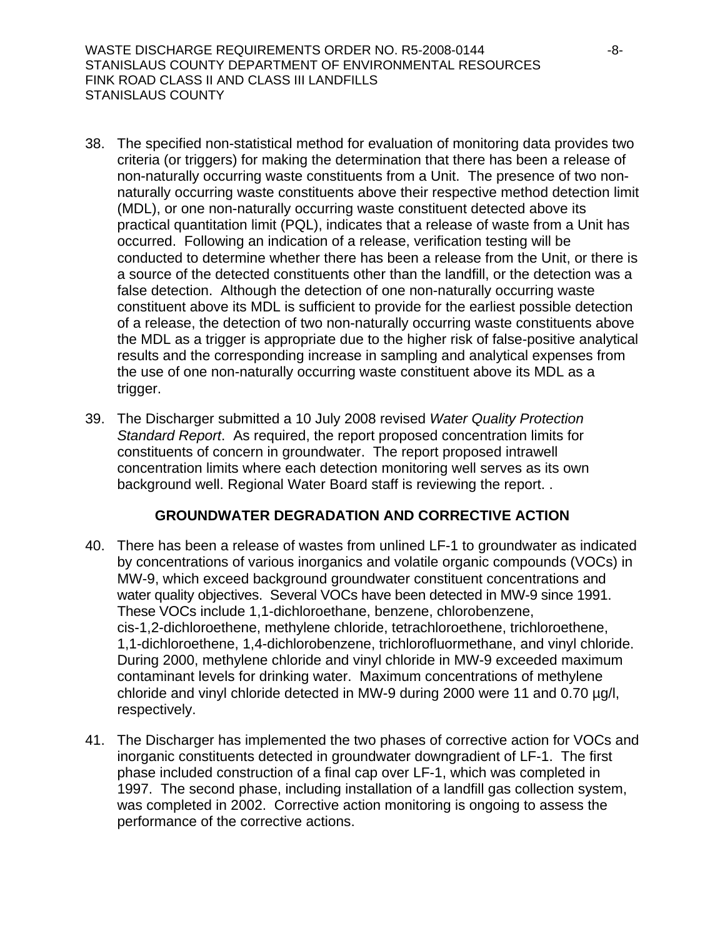WASTE DISCHARGE REQUIREMENTS ORDER NO. R5-2008-0144  $-8-$ STANISLAUS COUNTY DEPARTMENT OF ENVIRONMENTAL RESOURCES FINK ROAD CLASS II AND CLASS III LANDFILLS STANISLAUS COUNTY

- 38. The specified non-statistical method for evaluation of monitoring data provides two criteria (or triggers) for making the determination that there has been a release of non-naturally occurring waste constituents from a Unit. The presence of two nonnaturally occurring waste constituents above their respective method detection limit (MDL), or one non-naturally occurring waste constituent detected above its practical quantitation limit (PQL), indicates that a release of waste from a Unit has occurred. Following an indication of a release, verification testing will be conducted to determine whether there has been a release from the Unit, or there is a source of the detected constituents other than the landfill, or the detection was a false detection. Although the detection of one non-naturally occurring waste constituent above its MDL is sufficient to provide for the earliest possible detection of a release, the detection of two non-naturally occurring waste constituents above the MDL as a trigger is appropriate due to the higher risk of false-positive analytical results and the corresponding increase in sampling and analytical expenses from the use of one non-naturally occurring waste constituent above its MDL as a trigger.
- 39. The Discharger submitted a 10 July 2008 revised *Water Quality Protection Standard Report*. As required, the report proposed concentration limits for constituents of concern in groundwater. The report proposed intrawell concentration limits where each detection monitoring well serves as its own background well. Regional Water Board staff is reviewing the report. .

#### **GROUNDWATER DEGRADATION AND CORRECTIVE ACTION**

- 40. There has been a release of wastes from unlined LF-1 to groundwater as indicated by concentrations of various inorganics and volatile organic compounds (VOCs) in MW-9, which exceed background groundwater constituent concentrations and water quality objectives. Several VOCs have been detected in MW-9 since 1991. These VOCs include 1,1-dichloroethane, benzene, chlorobenzene, cis-1,2-dichloroethene, methylene chloride, tetrachloroethene, trichloroethene, 1,1-dichloroethene, 1,4-dichlorobenzene, trichlorofluormethane, and vinyl chloride. During 2000, methylene chloride and vinyl chloride in MW-9 exceeded maximum contaminant levels for drinking water. Maximum concentrations of methylene chloride and vinyl chloride detected in MW-9 during 2000 were 11 and 0.70 µg/l, respectively.
- 41. The Discharger has implemented the two phases of corrective action for VOCs and inorganic constituents detected in groundwater downgradient of LF-1. The first phase included construction of a final cap over LF-1, which was completed in 1997. The second phase, including installation of a landfill gas collection system, was completed in 2002. Corrective action monitoring is ongoing to assess the performance of the corrective actions.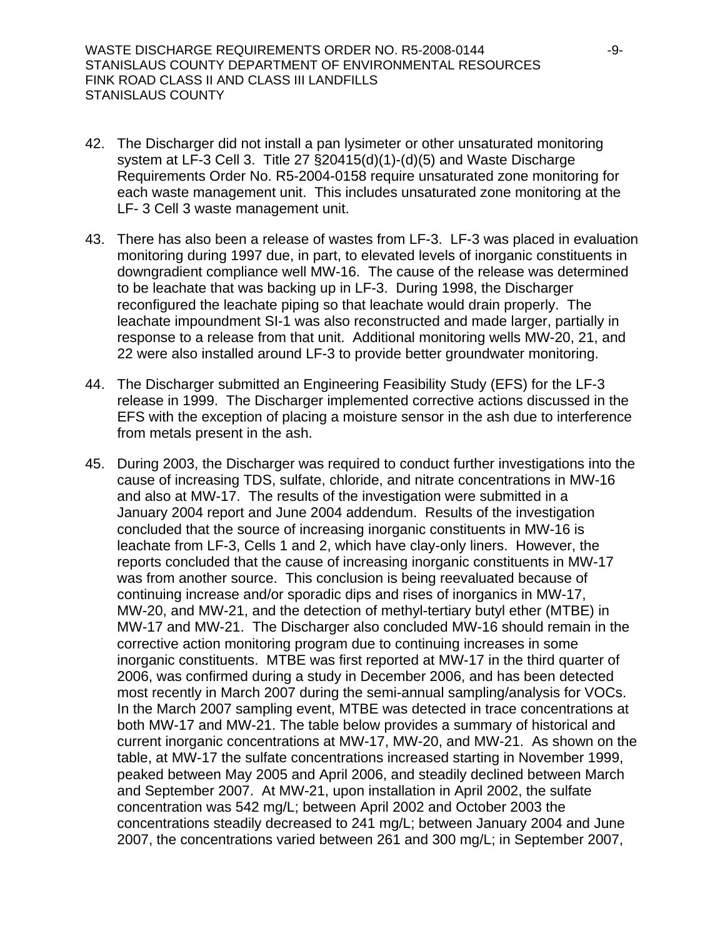WASTE DISCHARGE REQUIREMENTS ORDER NO. R5-2008-0144  $-9$ -9-STANISLAUS COUNTY DEPARTMENT OF ENVIRONMENTAL RESOURCES FINK ROAD CLASS II AND CLASS III LANDFILLS STANISLAUS COUNTY

- 42. The Discharger did not install a pan lysimeter or other unsaturated monitoring system at LF-3 Cell 3. Title 27 §20415(d)(1)-(d)(5) and Waste Discharge Requirements Order No. R5-2004-0158 require unsaturated zone monitoring for each waste management unit. This includes unsaturated zone monitoring at the LF- 3 Cell 3 waste management unit.
- 43. There has also been a release of wastes from LF-3. LF-3 was placed in evaluation monitoring during 1997 due, in part, to elevated levels of inorganic constituents in downgradient compliance well MW-16. The cause of the release was determined to be leachate that was backing up in LF-3. During 1998, the Discharger reconfigured the leachate piping so that leachate would drain properly. The leachate impoundment SI-1 was also reconstructed and made larger, partially in response to a release from that unit. Additional monitoring wells MW-20, 21, and 22 were also installed around LF-3 to provide better groundwater monitoring.
- 44. The Discharger submitted an Engineering Feasibility Study (EFS) for the LF-3 release in 1999. The Discharger implemented corrective actions discussed in the EFS with the exception of placing a moisture sensor in the ash due to interference from metals present in the ash.
- 45. During 2003, the Discharger was required to conduct further investigations into the cause of increasing TDS, sulfate, chloride, and nitrate concentrations in MW-16 and also at MW-17. The results of the investigation were submitted in a January 2004 report and June 2004 addendum. Results of the investigation concluded that the source of increasing inorganic constituents in MW-16 is leachate from LF-3, Cells 1 and 2, which have clay-only liners. However, the reports concluded that the cause of increasing inorganic constituents in MW-17 was from another source. This conclusion is being reevaluated because of continuing increase and/or sporadic dips and rises of inorganics in MW-17, MW-20, and MW-21, and the detection of methyl-tertiary butyl ether (MTBE) in MW-17 and MW-21.The Discharger also concluded MW-16 should remain in the corrective action monitoring program due to continuing increases in some inorganic constituents. MTBE was first reported at MW-17 in the third quarter of 2006, was confirmed during a study in December 2006, and has been detected most recently in March 2007 during the semi-annual sampling/analysis for VOCs. In the March 2007 sampling event, MTBE was detected in trace concentrations at both MW-17 and MW-21. The table below provides a summary of historical and current inorganic concentrations at MW-17, MW-20, and MW-21. As shown on the table, at MW-17 the sulfate concentrations increased starting in November 1999, peaked between May 2005 and April 2006, and steadily declined between March and September 2007. At MW-21, upon installation in April 2002, the sulfate concentration was 542 mg/L; between April 2002 and October 2003 the concentrations steadily decreased to 241 mg/L; between January 2004 and June 2007, the concentrations varied between 261 and 300 mg/L; in September 2007,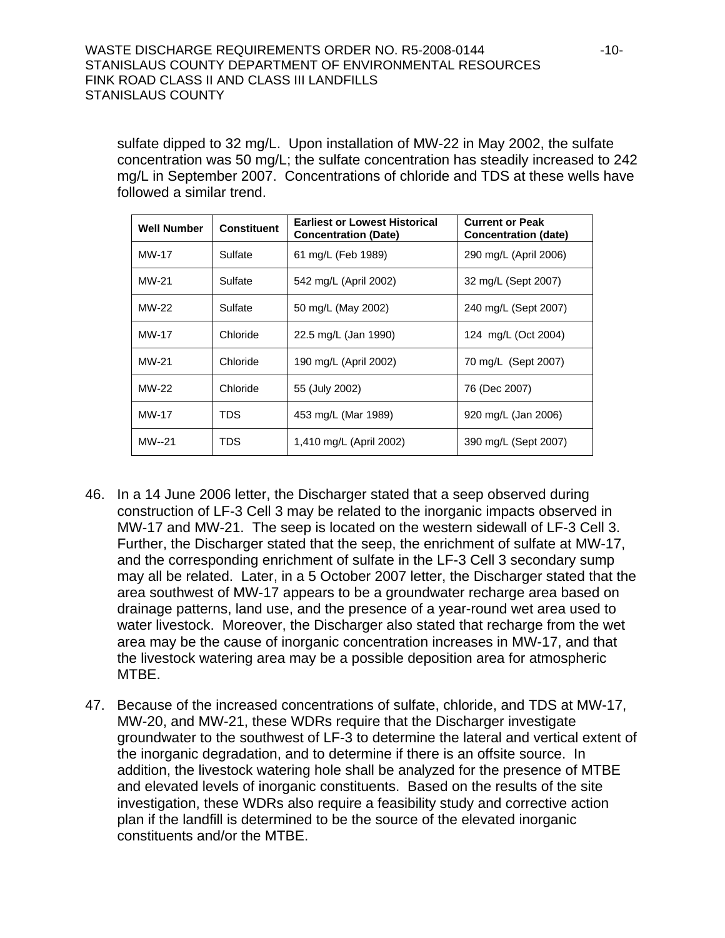sulfate dipped to 32 mg/L. Upon installation of MW-22 in May 2002, the sulfate concentration was 50 mg/L; the sulfate concentration has steadily increased to 242 mg/L in September 2007. Concentrations of chloride and TDS at these wells have followed a similar trend.

| <b>Well Number</b> | <b>Constituent</b> | <b>Earliest or Lowest Historical</b><br><b>Concentration (Date)</b> | <b>Current or Peak</b><br><b>Concentration (date)</b> |
|--------------------|--------------------|---------------------------------------------------------------------|-------------------------------------------------------|
| MW-17              | Sulfate            | 61 mg/L (Feb 1989)                                                  | 290 mg/L (April 2006)                                 |
| MW-21              | Sulfate            | 542 mg/L (April 2002)                                               | 32 mg/L (Sept 2007)                                   |
| MW-22              | Sulfate            | 50 mg/L (May 2002)                                                  | 240 mg/L (Sept 2007)                                  |
| MW-17              | Chloride           | 22.5 mg/L (Jan 1990)                                                | 124 mg/L (Oct 2004)                                   |
| MW-21              | Chloride           | 190 mg/L (April 2002)                                               | 70 mg/L (Sept 2007)                                   |
| MW-22              | Chloride           | 55 (July 2002)                                                      | 76 (Dec 2007)                                         |
| MW-17              | TDS                | 453 mg/L (Mar 1989)                                                 | 920 mg/L (Jan 2006)                                   |
| MW--21             | TDS                | 1,410 mg/L (April 2002)                                             | 390 mg/L (Sept 2007)                                  |

- 46. In a 14 June 2006 letter, the Discharger stated that a seep observed during construction of LF-3 Cell 3 may be related to the inorganic impacts observed in MW-17 and MW-21. The seep is located on the western sidewall of LF-3 Cell 3. Further, the Discharger stated that the seep, the enrichment of sulfate at MW-17, and the corresponding enrichment of sulfate in the LF-3 Cell 3 secondary sump may all be related. Later, in a 5 October 2007 letter, the Discharger stated that the area southwest of MW-17 appears to be a groundwater recharge area based on drainage patterns, land use, and the presence of a year-round wet area used to water livestock. Moreover, the Discharger also stated that recharge from the wet area may be the cause of inorganic concentration increases in MW-17, and that the livestock watering area may be a possible deposition area for atmospheric MTBE.
- 47. Because of the increased concentrations of sulfate, chloride, and TDS at MW-17, MW-20, and MW-21, these WDRs require that the Discharger investigate groundwater to the southwest of LF-3 to determine the lateral and vertical extent of the inorganic degradation, and to determine if there is an offsite source. In addition, the livestock watering hole shall be analyzed for the presence of MTBE and elevated levels of inorganic constituents. Based on the results of the site investigation, these WDRs also require a feasibility study and corrective action plan if the landfill is determined to be the source of the elevated inorganic constituents and/or the MTBE.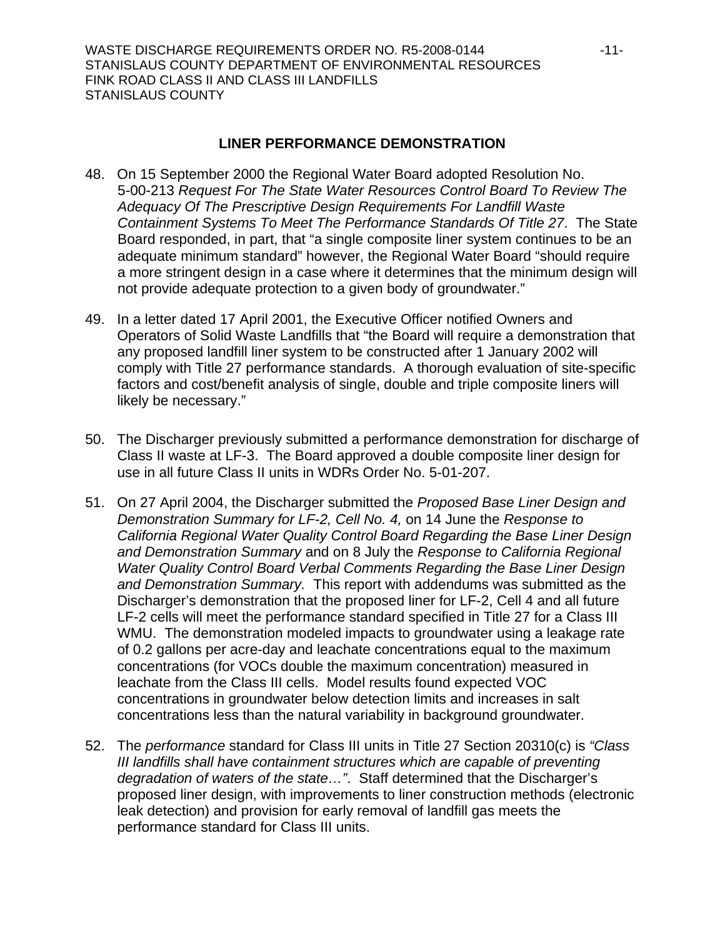#### **LINER PERFORMANCE DEMONSTRATION**

- 48. On 15 September 2000 the Regional Water Board adopted Resolution No. 5-00-213 *Request For The State Water Resources Control Board To Review The Adequacy Of The Prescriptive Design Requirements For Landfill Waste Containment Systems To Meet The Performance Standards Of Title 27*. The State Board responded, in part, that "a single composite liner system continues to be an adequate minimum standard" however, the Regional Water Board "should require a more stringent design in a case where it determines that the minimum design will not provide adequate protection to a given body of groundwater."
- 49. In a letter dated 17 April 2001, the Executive Officer notified Owners and Operators of Solid Waste Landfills that "the Board will require a demonstration that any proposed landfill liner system to be constructed after 1 January 2002 will comply with Title 27 performance standards. A thorough evaluation of site-specific factors and cost/benefit analysis of single, double and triple composite liners will likely be necessary."
- 50. The Discharger previously submitted a performance demonstration for discharge of Class II waste at LF-3. The Board approved a double composite liner design for use in all future Class II units in WDRs Order No. 5-01-207.
- 51. On 27 April 2004, the Discharger submitted the *Proposed Base Liner Design and Demonstration Summary for LF-2, Cell No. 4,* on 14 June the *Response to California Regional Water Quality Control Board Regarding the Base Liner Design and Demonstration Summary* and on 8 July the *Response to California Regional Water Quality Control Board Verbal Comments Regarding the Base Liner Design and Demonstration Summary.* This report with addendums was submitted as the Discharger's demonstration that the proposed liner for LF-2, Cell 4 and all future LF-2 cells will meet the performance standard specified in Title 27 for a Class III WMU. The demonstration modeled impacts to groundwater using a leakage rate of 0.2 gallons per acre-day and leachate concentrations equal to the maximum concentrations (for VOCs double the maximum concentration) measured in leachate from the Class III cells. Model results found expected VOC concentrations in groundwater below detection limits and increases in salt concentrations less than the natural variability in background groundwater.
- 52. The *performance* standard for Class III units in Title 27 Section 20310(c) is *"Class III landfills shall have containment structures which are capable of preventing degradation of waters of the state…"*. Staff determined that the Discharger's proposed liner design, with improvements to liner construction methods (electronic leak detection) and provision for early removal of landfill gas meets the performance standard for Class III units.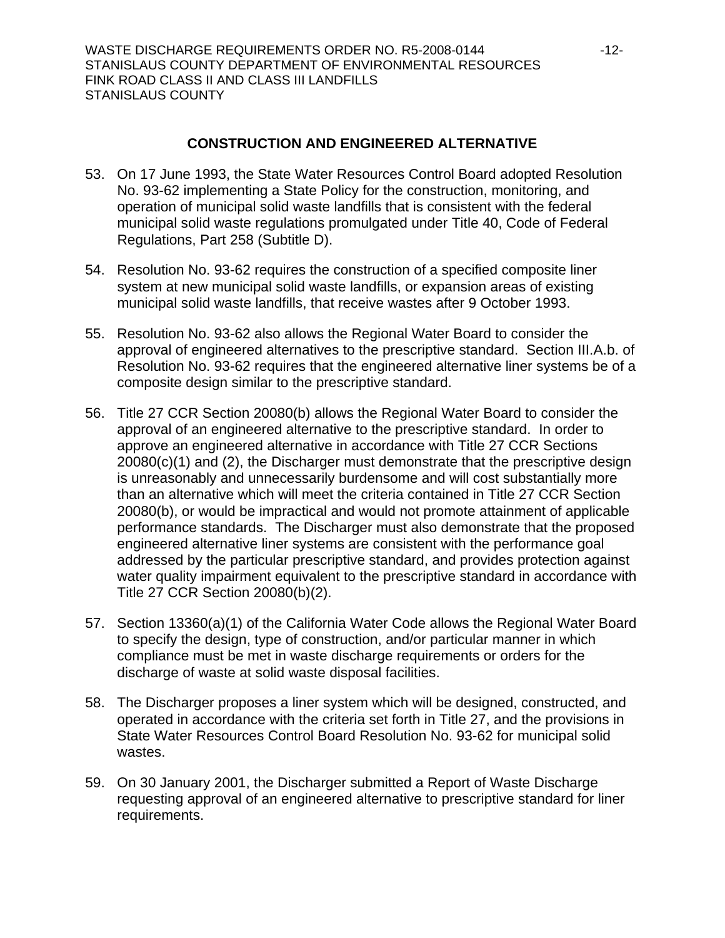### **CONSTRUCTION AND ENGINEERED ALTERNATIVE**

- 53. On 17 June 1993, the State Water Resources Control Board adopted Resolution No. 93-62 implementing a State Policy for the construction, monitoring, and operation of municipal solid waste landfills that is consistent with the federal municipal solid waste regulations promulgated under Title 40, Code of Federal Regulations, Part 258 (Subtitle D).
- 54. Resolution No. 93-62 requires the construction of a specified composite liner system at new municipal solid waste landfills, or expansion areas of existing municipal solid waste landfills, that receive wastes after 9 October 1993.
- 55. Resolution No. 93-62 also allows the Regional Water Board to consider the approval of engineered alternatives to the prescriptive standard. Section III.A.b. of Resolution No. 93-62 requires that the engineered alternative liner systems be of a composite design similar to the prescriptive standard.
- 56. Title 27 CCR Section 20080(b) allows the Regional Water Board to consider the approval of an engineered alternative to the prescriptive standard. In order to approve an engineered alternative in accordance with Title 27 CCR Sections 20080(c)(1) and (2), the Discharger must demonstrate that the prescriptive design is unreasonably and unnecessarily burdensome and will cost substantially more than an alternative which will meet the criteria contained in Title 27 CCR Section 20080(b), or would be impractical and would not promote attainment of applicable performance standards. The Discharger must also demonstrate that the proposed engineered alternative liner systems are consistent with the performance goal addressed by the particular prescriptive standard, and provides protection against water quality impairment equivalent to the prescriptive standard in accordance with Title 27 CCR Section 20080(b)(2).
- 57. Section 13360(a)(1) of the California Water Code allows the Regional Water Board to specify the design, type of construction, and/or particular manner in which compliance must be met in waste discharge requirements or orders for the discharge of waste at solid waste disposal facilities.
- 58. The Discharger proposes a liner system which will be designed, constructed, and operated in accordance with the criteria set forth in Title 27, and the provisions in State Water Resources Control Board Resolution No. 93-62 for municipal solid wastes.
- 59. On 30 January 2001, the Discharger submitted a Report of Waste Discharge requesting approval of an engineered alternative to prescriptive standard for liner requirements.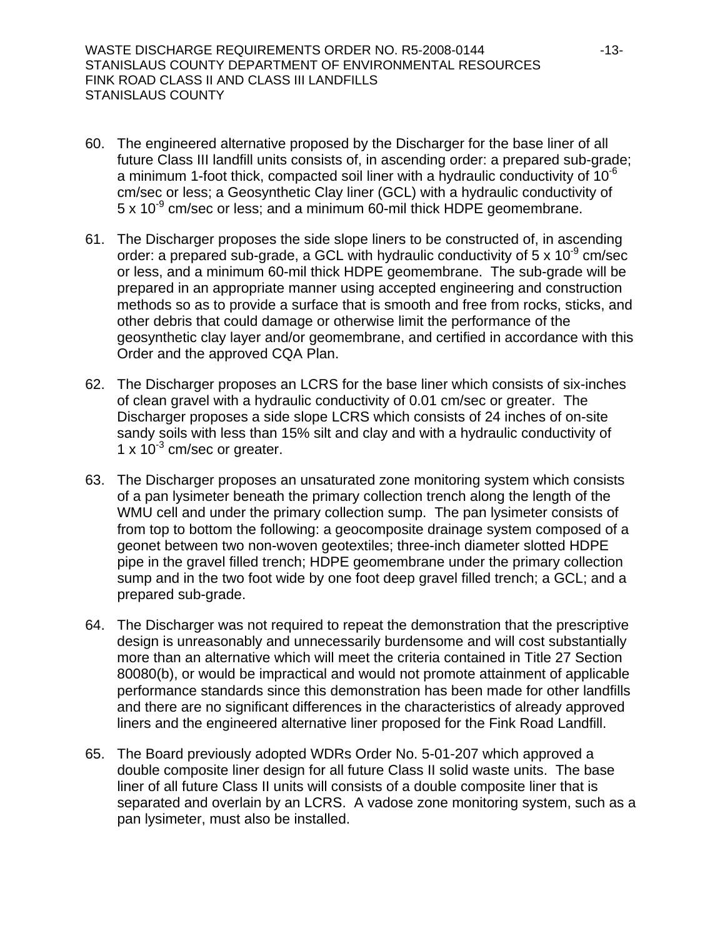WASTE DISCHARGE REQUIREMENTS ORDER NO. R5-2008-0144 -13- STANISLAUS COUNTY DEPARTMENT OF ENVIRONMENTAL RESOURCES FINK ROAD CLASS II AND CLASS III LANDFILLS STANISLAUS COUNTY

- 60. The engineered alternative proposed by the Discharger for the base liner of all future Class III landfill units consists of, in ascending order: a prepared sub-grade; a minimum 1-foot thick, compacted soil liner with a hydraulic conductivity of  $10^{-6}$ cm/sec or less; a Geosynthetic Clay liner (GCL) with a hydraulic conductivity of  $5 \times 10^{-9}$  cm/sec or less; and a minimum 60-mil thick HDPE geomembrane.
- 61. The Discharger proposes the side slope liners to be constructed of, in ascending order: a prepared sub-grade, a GCL with hydraulic conductivity of  $5 \times 10^{-9}$  cm/sec or less, and a minimum 60-mil thick HDPE geomembrane. The sub-grade will be prepared in an appropriate manner using accepted engineering and construction methods so as to provide a surface that is smooth and free from rocks, sticks, and other debris that could damage or otherwise limit the performance of the geosynthetic clay layer and/or geomembrane, and certified in accordance with this Order and the approved CQA Plan.
- 62. The Discharger proposes an LCRS for the base liner which consists of six-inches of clean gravel with a hydraulic conductivity of 0.01 cm/sec or greater. The Discharger proposes a side slope LCRS which consists of 24 inches of on-site sandy soils with less than 15% silt and clay and with a hydraulic conductivity of 1 x  $10^{-3}$  cm/sec or greater.
- 63. The Discharger proposes an unsaturated zone monitoring system which consists of a pan lysimeter beneath the primary collection trench along the length of the WMU cell and under the primary collection sump. The pan lysimeter consists of from top to bottom the following: a geocomposite drainage system composed of a geonet between two non-woven geotextiles; three-inch diameter slotted HDPE pipe in the gravel filled trench; HDPE geomembrane under the primary collection sump and in the two foot wide by one foot deep gravel filled trench; a GCL; and a prepared sub-grade.
- 64. The Discharger was not required to repeat the demonstration that the prescriptive design is unreasonably and unnecessarily burdensome and will cost substantially more than an alternative which will meet the criteria contained in Title 27 Section 80080(b), or would be impractical and would not promote attainment of applicable performance standards since this demonstration has been made for other landfills and there are no significant differences in the characteristics of already approved liners and the engineered alternative liner proposed for the Fink Road Landfill.
- 65. The Board previously adopted WDRs Order No. 5-01-207 which approved a double composite liner design for all future Class II solid waste units. The base liner of all future Class II units will consists of a double composite liner that is separated and overlain by an LCRS. A vadose zone monitoring system, such as a pan lysimeter, must also be installed.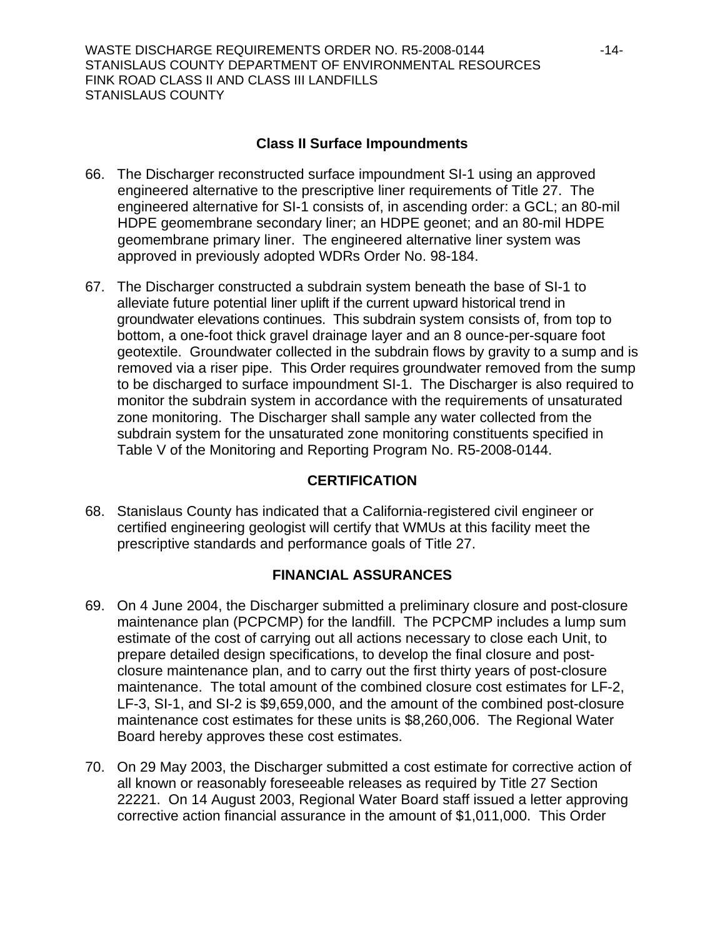### **Class II Surface Impoundments**

- <span id="page-13-0"></span>66. The Discharger reconstructed surface impoundment SI-1 using an approved engineered alternative to the prescriptive liner requirements of Title 27. The engineered alternative for SI-1 consists of, in ascending order: a GCL; an 80-mil HDPE geomembrane secondary liner; an HDPE geonet; and an 80-mil HDPE geomembrane primary liner. The engineered alternative liner system was approved in previously adopted WDRs Order No. 98-184.
- 67. The Discharger constructed a subdrain system beneath the base of SI-1 to alleviate future potential liner uplift if the current upward historical trend in groundwater elevations continues. This subdrain system consists of, from top to bottom, a one-foot thick gravel drainage layer and an 8 ounce-per-square foot geotextile. Groundwater collected in the subdrain flows by gravity to a sump and is removed via a riser pipe. This Order requires groundwater removed from the sump to be discharged to surface impoundment SI-1. The Discharger is also required to monitor the subdrain system in accordance with the requirements of unsaturated zone monitoring. The Discharger shall sample any water collected from the subdrain system for the unsaturated zone monitoring constituents specified in Table V of the Monitoring and Reporting Program No. R5-2008-0144.

## **CERTIFICATION**

68. Stanislaus County has indicated that a California-registered civil engineer or certified engineering geologist will certify that WMUs at this facility meet the prescriptive standards and performance goals of Title 27.

## **FINANCIAL ASSURANCES**

- 69. On 4 June 2004, the Discharger submitted a preliminary closure and post-closure maintenance plan (PCPCMP) for the landfill. The PCPCMP includes a lump sum estimate of the cost of carrying out all actions necessary to close each Unit, to prepare detailed design specifications, to develop the final closure and postclosure maintenance plan, and to carry out the first thirty years of post-closure maintenance. The total amount of the combined closure cost estimates for LF-2, LF-3, SI-1, and SI-2 is \$9,659,000, and the amount of the combined post-closure maintenance cost estimates for these units is \$8,260,006. The Regional Water Board hereby approves these cost estimates.
- 70. On 29 May 2003, the Discharger submitted a cost estimate for corrective action of all known or reasonably foreseeable releases as required by Title 27 Section 22221. On 14 August 2003, Regional Water Board staff issued a letter approving corrective action financial assurance in the amount of \$1,011,000. This Order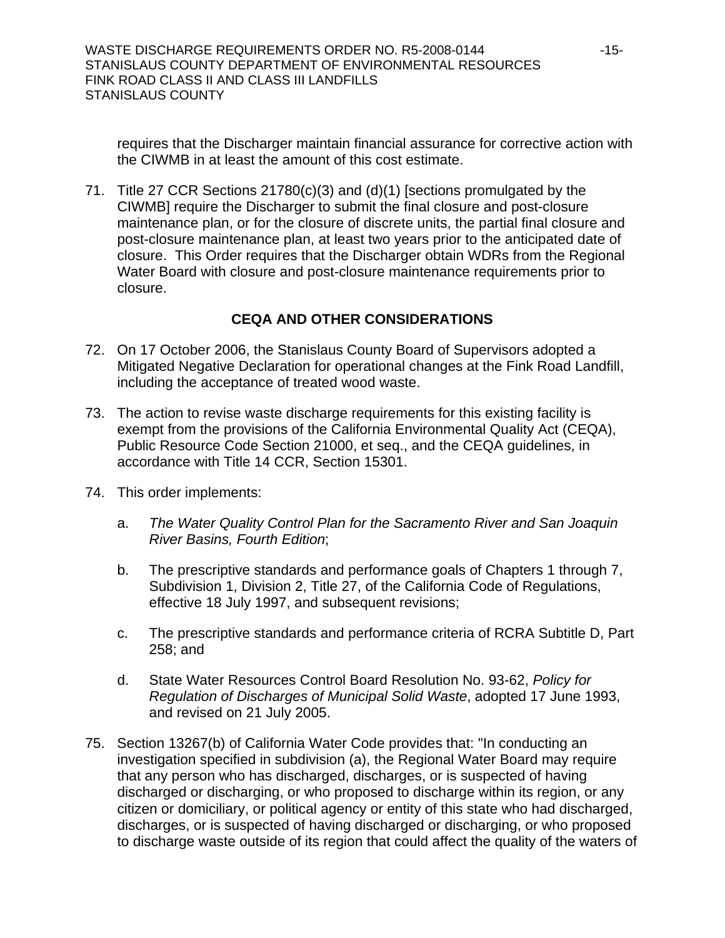requires that the Discharger maintain financial assurance for corrective action with the CIWMB in at least the amount of this cost estimate.

71. Title 27 CCR Sections 21780(c)(3) and (d)(1) [sections promulgated by the CIWMB] require the Discharger to submit the final closure and post-closure maintenance plan, or for the closure of discrete units, the partial final closure and post-closure maintenance plan, at least two years prior to the anticipated date of closure. This Order requires that the Discharger obtain WDRs from the Regional Water Board with closure and post-closure maintenance requirements prior to closure.

## **CEQA AND OTHER CONSIDERATIONS**

- 72. On 17 October 2006, the Stanislaus County Board of Supervisors adopted a Mitigated Negative Declaration for operational changes at the Fink Road Landfill, including the acceptance of treated wood waste.
- 73. The action to revise waste discharge requirements for this existing facility is exempt from the provisions of the California Environmental Quality Act (CEQA), Public Resource Code Section 21000, et seq., and the CEQA guidelines, in accordance with Title 14 CCR, Section 15301.
- 74. This order implements:
	- a. *The Water Quality Control Plan for the Sacramento River and San Joaquin River Basins, Fourth Edition*;
	- b. The prescriptive standards and performance goals of Chapters 1 through 7, Subdivision 1, Division 2, Title 27, of the California Code of Regulations, effective 18 July 1997, and subsequent revisions;
	- c. The prescriptive standards and performance criteria of RCRA Subtitle D, Part 258; and
	- d. State Water Resources Control Board Resolution No. 93-62, *Policy for Regulation of Discharges of Municipal Solid Waste*, adopted 17 June 1993, and revised on 21 July 2005.
- <span id="page-14-0"></span>75. Section 13267(b) of California Water Code provides that: "In conducting an investigation specified in subdivision (a), the Regional Water Board may require that any person who has discharged, discharges, or is suspected of having discharged or discharging, or who proposed to discharge within its region, or any citizen or domiciliary, or political agency or entity of this state who had discharged, discharges, or is suspected of having discharged or discharging, or who proposed to discharge waste outside of its region that could affect the quality of the waters of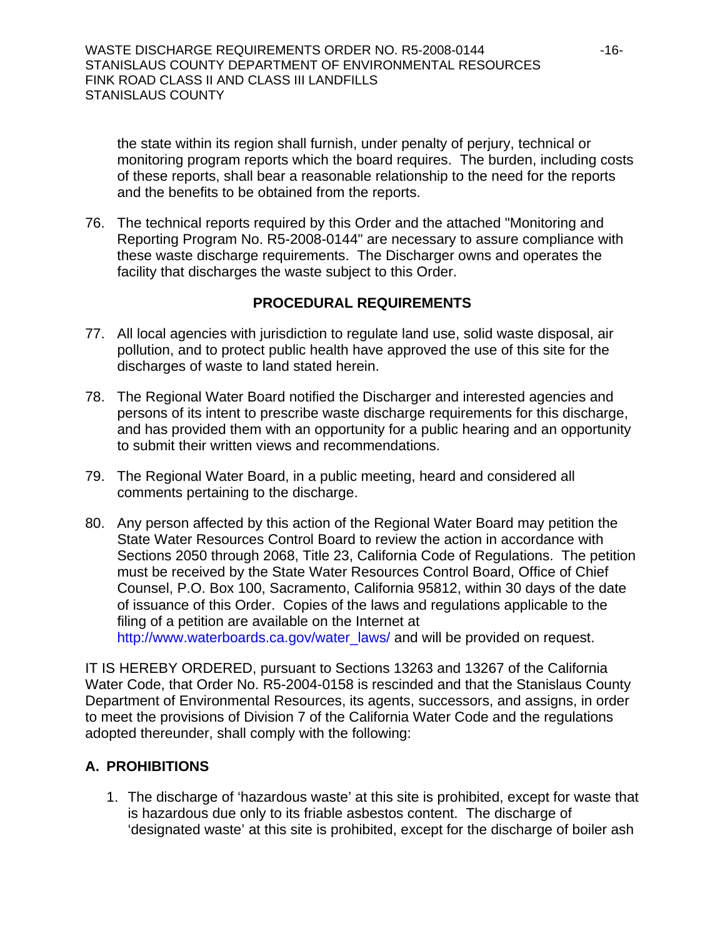the state within its region shall furnish, under penalty of perjury, technical or monitoring program reports which the board requires. The burden, including costs of these reports, shall bear a reasonable relationship to the need for the reports and the benefits to be obtained from the reports.

76. The technical reports required by this Order and the attached "Monitoring and Reporting Program No. R5-2008-0144" are necessary to assure compliance with these waste discharge requirements. The Discharger owns and operates the facility that discharges the waste subject to this Order.

### **PROCEDURAL REQUIREMENTS**

- 77. All local agencies with jurisdiction to regulate land use, solid waste disposal, air pollution, and to protect public health have approved the use of this site for the discharges of waste to land stated herein.
- 78. The Regional Water Board notified the Discharger and interested agencies and persons of its intent to prescribe waste discharge requirements for this discharge, and has provided them with an opportunity for a public hearing and an opportunity to submit their written views and recommendations.
- 79. The Regional Water Board, in a public meeting, heard and considered all comments pertaining to the discharge.
- 80. Any person affected by this action of the Regional Water Board may petition the State Water Resources Control Board to review the action in accordance with Sections 2050 through 2068, Title 23, California Code of Regulations. The petition must be received by the State Water Resources Control Board, Office of Chief Counsel, P.O. Box 100, Sacramento, California 95812, within 30 days of the date of issuance of this Order. Copies of the laws and regulations applicable to the filing of a petition are available on the Internet at [http://www.waterboards.ca.gov/water\\_laws/](http://www.waterboards.ca.gov/water_laws/) and will be provided on request.

IT IS HEREBY ORDERED, pursuant to Sections 13263 and 13267 of the California Water Code, that Order No. R5-2004-0158 is rescinded and that the Stanislaus County Department of Environmental Resources, its agents, successors, and assigns, in order to meet the provisions of Division 7 of the California Water Code and the regulations adopted thereunder, shall comply with the following:

## **A. PROHIBITIONS**

1. The discharge of 'hazardous waste' at this site is prohibited, except for waste that is hazardous due only to its friable asbestos content. The discharge of 'designated waste' at this site is prohibited, except for the discharge of boiler ash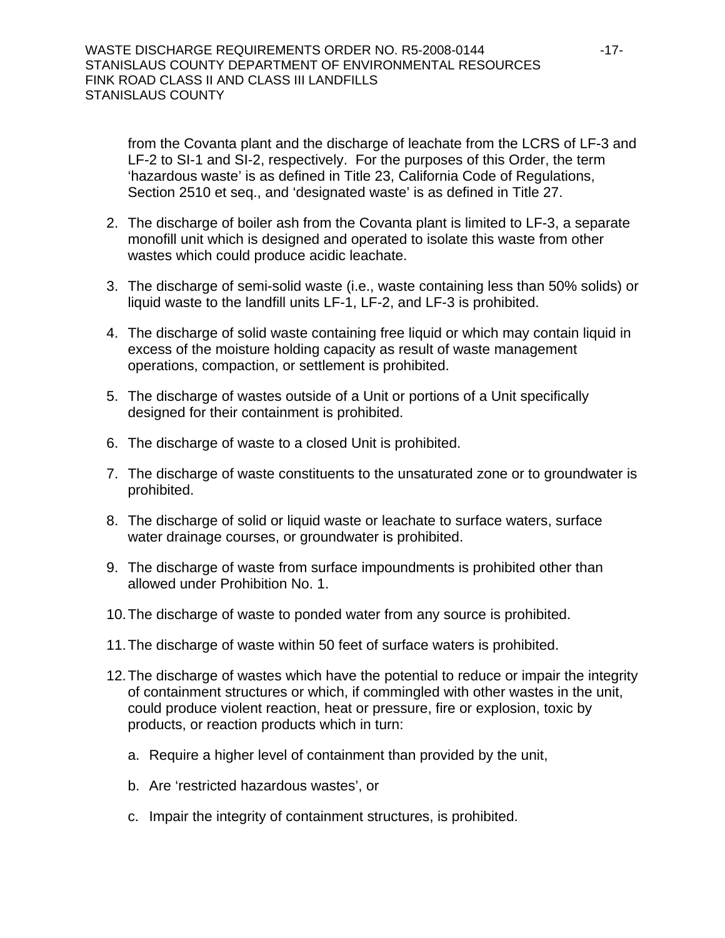from the Covanta plant and the discharge of leachate from the LCRS of LF-3 and LF-2 to SI-1 and SI-2, respectively. For the purposes of this Order, the term 'hazardous waste' is as defined in Title 23, California Code of Regulations, Section 2510 et seq., and 'designated waste' is as defined in Title 27.

- 2. The discharge of boiler ash from the Covanta plant is limited to LF-3, a separate monofill unit which is designed and operated to isolate this waste from other wastes which could produce acidic leachate.
- 3. The discharge of semi-solid waste (i.e., waste containing less than 50% solids) or liquid waste to the landfill units LF-1, LF-2, and LF-3 is prohibited.
- 4. The discharge of solid waste containing free liquid or which may contain liquid in excess of the moisture holding capacity as result of waste management operations, compaction, or settlement is prohibited.
- 5. The discharge of wastes outside of a Unit or portions of a Unit specifically designed for their containment is prohibited.
- 6. The discharge of waste to a closed Unit is prohibited.
- 7. The discharge of waste constituents to the unsaturated zone or to groundwater is prohibited.
- 8. The discharge of solid or liquid waste or leachate to surface waters, surface water drainage courses, or groundwater is prohibited.
- 9. The discharge of waste from surface impoundments is prohibited other than allowed under Prohibition No. 1.
- 10. The discharge of waste to ponded water from any source is prohibited.
- 11. The discharge of waste within 50 feet of surface waters is prohibited.
- 12. The discharge of wastes which have the potential to reduce or impair the integrity of containment structures or which, if commingled with other wastes in the unit, could produce violent reaction, heat or pressure, fire or explosion, toxic by products, or reaction products which in turn:
	- a. Require a higher level of containment than provided by the unit,
	- b. Are 'restricted hazardous wastes', or
	- c. Impair the integrity of containment structures, is prohibited.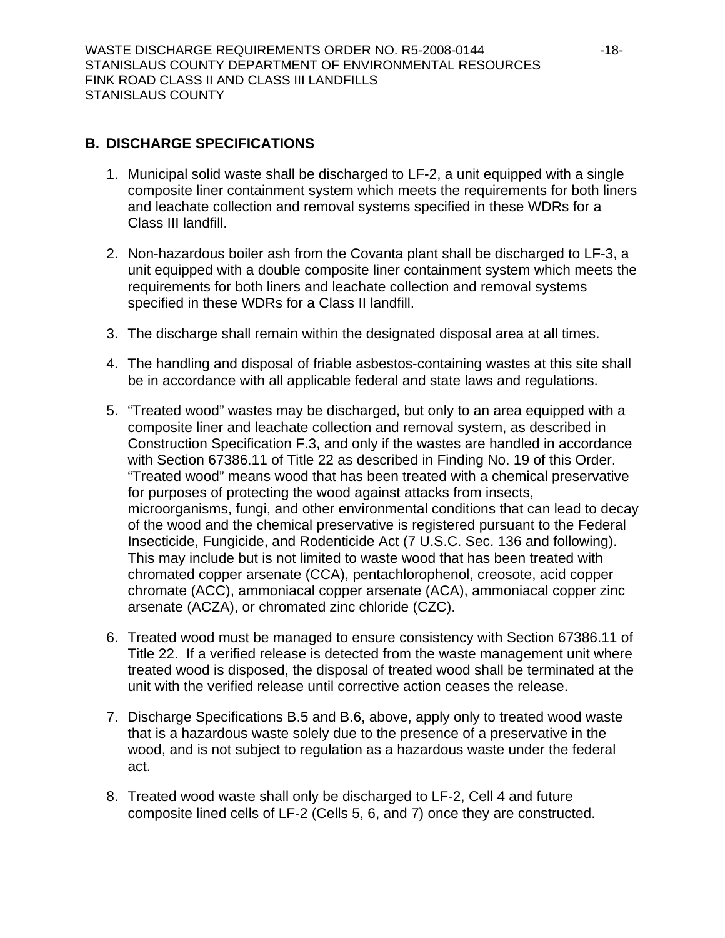# **B. DISCHARGE SPECIFICATIONS**

- 1. Municipal solid waste shall be discharged to LF-2, a unit equipped with a single composite liner containment system which meets the requirements for both liners and leachate collection and removal systems specified in these WDRs for a Class III landfill.
- 2. Non-hazardous boiler ash from the Covanta plant shall be discharged to LF-3, a unit equipped with a double composite liner containment system which meets the requirements for both liners and leachate collection and removal systems specified in these WDRs for a Class II landfill.
- 3. The discharge shall remain within the designated disposal area at all times.
- 4. The handling and disposal of friable asbestos-containing wastes at this site shall be in accordance with all applicable federal and state laws and regulations.
- <span id="page-17-0"></span>5. "Treated wood" wastes may be discharged, but only to an area equipped with a composite liner and leachate collection and removal system, as described in Construction Specification F.3, and only if the wastes are handled in accordance with Section 67386.11 of Title 22 as described in Finding No. [19](#page-3-0) of this Order. "Treated wood" means wood that has been treated with a chemical preservative for purposes of protecting the wood against attacks from insects, microorganisms, fungi, and other environmental conditions that can lead to decay of the wood and the chemical preservative is registered pursuant to the Federal Insecticide, Fungicide, and Rodenticide Act (7 U.S.C. Sec. 136 and following). This may include but is not limited to waste wood that has been treated with chromated copper arsenate (CCA), pentachlorophenol, creosote, acid copper chromate (ACC), ammoniacal copper arsenate (ACA), ammoniacal copper zinc arsenate (ACZA), or chromated zinc chloride (CZC).
- <span id="page-17-1"></span>6. Treated wood must be managed to ensure consistency with Section 67386.11 of Title 22. If a verified release is detected from the waste management unit where treated wood is disposed, the disposal of treated wood shall be terminated at the unit with the verified release until corrective action ceases the release.
- 7. Discharge Specifications B.[5](#page-17-0) and B.[6](#page-17-1), above, apply only to treated wood waste that is a hazardous waste solely due to the presence of a preservative in the wood, and is not subject to regulation as a hazardous waste under the federal act.
- 8. Treated wood waste shall only be discharged to LF-2, Cell 4 and future composite lined cells of LF-2 (Cells 5, 6, and 7) once they are constructed.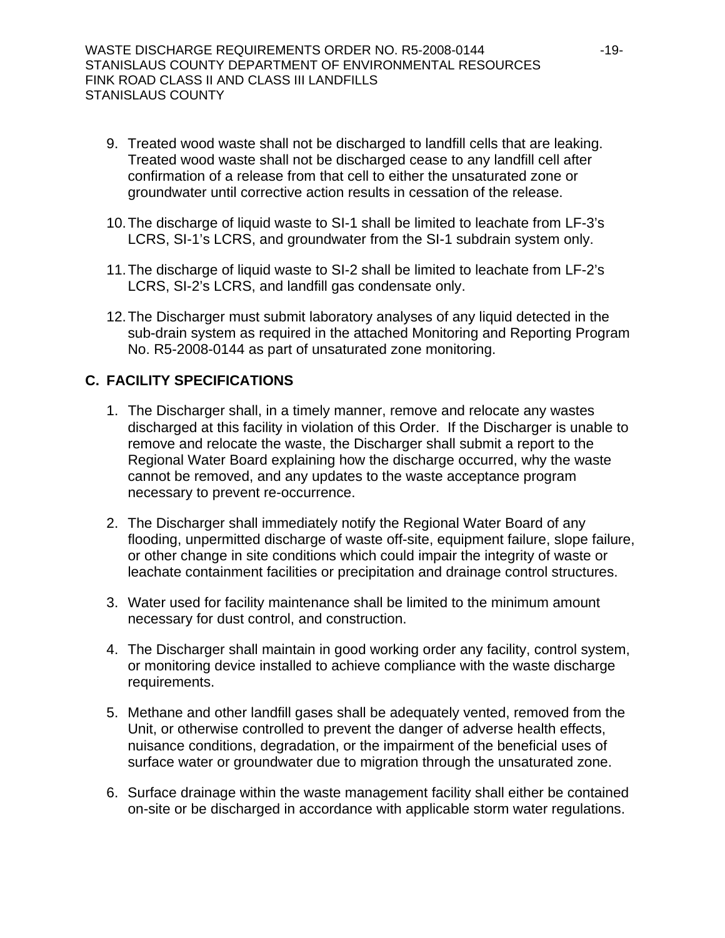- 9. Treated wood waste shall not be discharged to landfill cells that are leaking. Treated wood waste shall not be discharged cease to any landfill cell after confirmation of a release from that cell to either the unsaturated zone or groundwater until corrective action results in cessation of the release.
- <span id="page-18-0"></span>10. The discharge of liquid waste to SI-1 shall be limited to leachate from LF-3's LCRS, SI-1's LCRS, and groundwater from the SI-1 subdrain system only.
- <span id="page-18-1"></span>11. The discharge of liquid waste to SI-2 shall be limited to leachate from LF-2's LCRS, SI-2's LCRS, and landfill gas condensate only.
- 12. The Discharger must submit laboratory analyses of any liquid detected in the sub-drain system as required in the attached Monitoring and Reporting Program No. R5-2008-0144 as part of unsaturated zone monitoring.

### **C. FACILITY SPECIFICATIONS**

- 1. The Discharger shall, in a timely manner, remove and relocate any wastes discharged at this facility in violation of this Order. If the Discharger is unable to remove and relocate the waste, the Discharger shall submit a report to the Regional Water Board explaining how the discharge occurred, why the waste cannot be removed, and any updates to the waste acceptance program necessary to prevent re-occurrence.
- 2. The Discharger shall immediately notify the Regional Water Board of any flooding, unpermitted discharge of waste off-site, equipment failure, slope failure, or other change in site conditions which could impair the integrity of waste or leachate containment facilities or precipitation and drainage control structures.
- 3. Water used for facility maintenance shall be limited to the minimum amount necessary for dust control, and construction.
- 4. The Discharger shall maintain in good working order any facility, control system, or monitoring device installed to achieve compliance with the waste discharge requirements.
- 5. Methane and other landfill gases shall be adequately vented, removed from the Unit, or otherwise controlled to prevent the danger of adverse health effects, nuisance conditions, degradation, or the impairment of the beneficial uses of surface water or groundwater due to migration through the unsaturated zone.
- 6. Surface drainage within the waste management facility shall either be contained on-site or be discharged in accordance with applicable storm water regulations.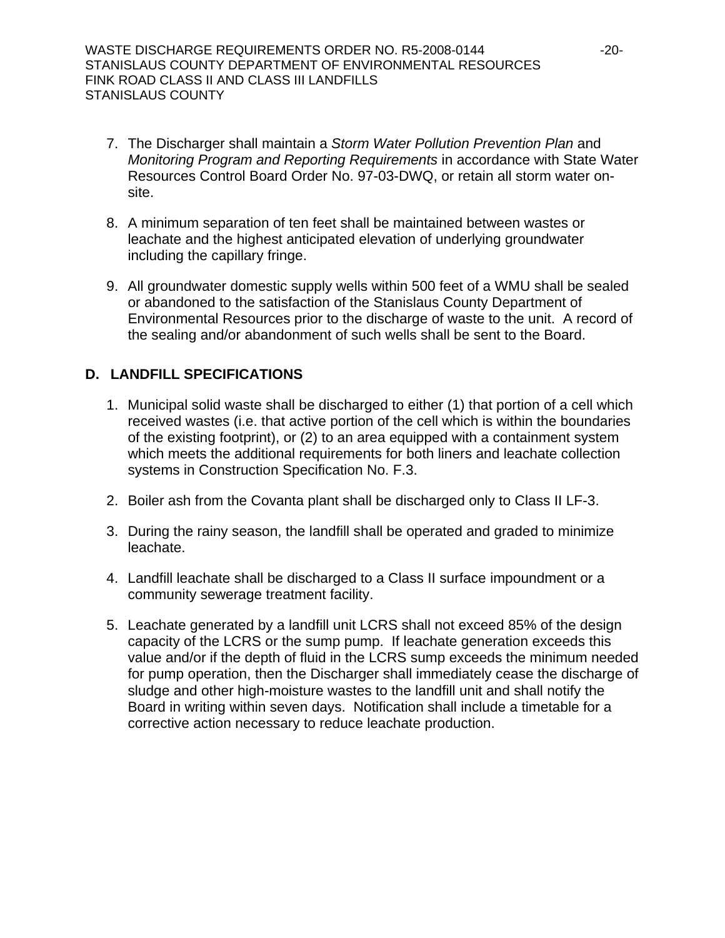- 7. The Discharger shall maintain a *Storm Water Pollution Prevention Plan* and *Monitoring Program and Reporting Requirements* in accordance with State Water Resources Control Board Order No. 97-03-DWQ, or retain all storm water onsite.
- 8. A minimum separation of ten feet shall be maintained between wastes or leachate and the highest anticipated elevation of underlying groundwater including the capillary fringe.
- 9. All groundwater domestic supply wells within 500 feet of a WMU shall be sealed or abandoned to the satisfaction of the Stanislaus County Department of Environmental Resources prior to the discharge of waste to the unit. A record of the sealing and/or abandonment of such wells shall be sent to the Board.

## **D. LANDFILL SPECIFICATIONS**

- 1. Municipal solid waste shall be discharged to either (1) that portion of a cell which received wastes (i.e. that active portion of the cell which is within the boundaries of the existing footprint), or (2) to an area equipped with a containment system which meets the additional requirements for both liners and leachate collection systems in Construction Specification No. F.[3](#page-21-0).
- 2. Boiler ash from the Covanta plant shall be discharged only to Class II LF-3.
- 3. During the rainy season, the landfill shall be operated and graded to minimize leachate.
- 4. Landfill leachate shall be discharged to a Class II surface impoundment or a community sewerage treatment facility.
- 5. Leachate generated by a landfill unit LCRS shall not exceed 85% of the design capacity of the LCRS or the sump pump. If leachate generation exceeds this value and/or if the depth of fluid in the LCRS sump exceeds the minimum needed for pump operation, then the Discharger shall immediately cease the discharge of sludge and other high-moisture wastes to the landfill unit and shall notify the Board in writing within seven days. Notification shall include a timetable for a corrective action necessary to reduce leachate production.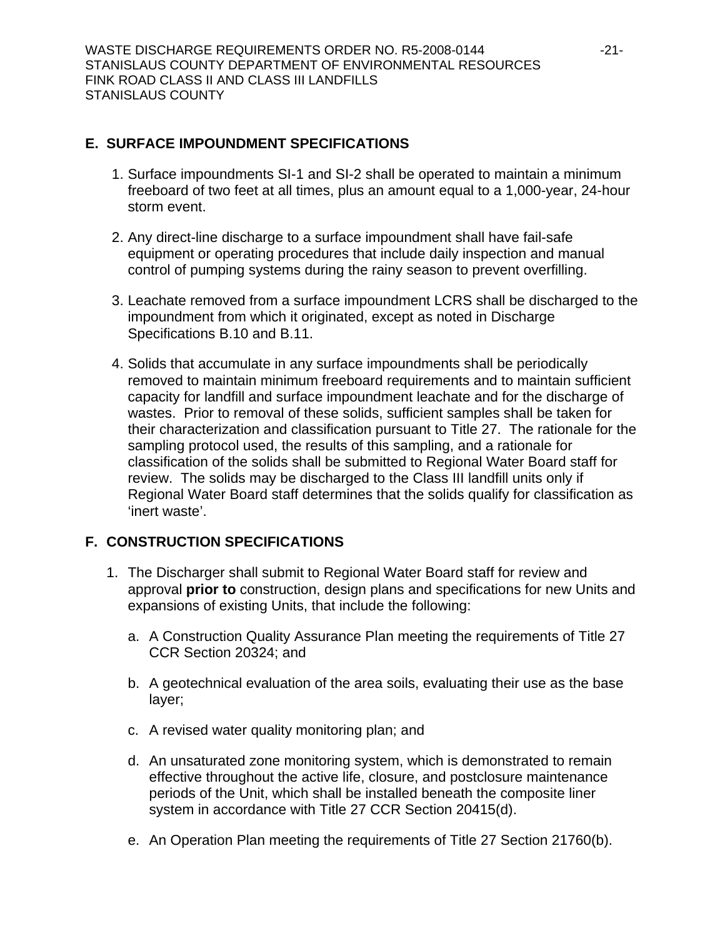## **E. SURFACE IMPOUNDMENT SPECIFICATIONS**

- 1. Surface impoundments SI-1 and SI-2 shall be operated to maintain a minimum freeboard of two feet at all times, plus an amount equal to a 1,000-year, 24-hour storm event.
- 2. Any direct-line discharge to a surface impoundment shall have fail-safe equipment or operating procedures that include daily inspection and manual control of pumping systems during the rainy season to prevent overfilling.
- 3. Leachate removed from a surface impoundment LCRS shall be discharged to the impoundment from which it originated, except as noted in Discharge Specifications B.[10](#page-18-0) and B.[11](#page-18-1).
- 4. Solids that accumulate in any surface impoundments shall be periodically removed to maintain minimum freeboard requirements and to maintain sufficient capacity for landfill and surface impoundment leachate and for the discharge of wastes. Prior to removal of these solids, sufficient samples shall be taken for their characterization and classification pursuant to Title 27. The rationale for the sampling protocol used, the results of this sampling, and a rationale for classification of the solids shall be submitted to Regional Water Board staff for review. The solids may be discharged to the Class III landfill units only if Regional Water Board staff determines that the solids qualify for classification as 'inert waste'.

## **F. CONSTRUCTION SPECIFICATIONS**

- 1. The Discharger shall submit to Regional Water Board staff for review and approval **prior to** construction, design plans and specifications for new Units and expansions of existing Units, that include the following:
	- a. A Construction Quality Assurance Plan meeting the requirements of Title 27 CCR Section 20324; and
	- b. A geotechnical evaluation of the area soils, evaluating their use as the base layer;
	- c. A revised water quality monitoring plan; and
	- d. An unsaturated zone monitoring system, which is demonstrated to remain effective throughout the active life, closure, and postclosure maintenance periods of the Unit, which shall be installed beneath the composite liner system in accordance with Title 27 CCR Section 20415(d).
	- e. An Operation Plan meeting the requirements of Title 27 Section 21760(b).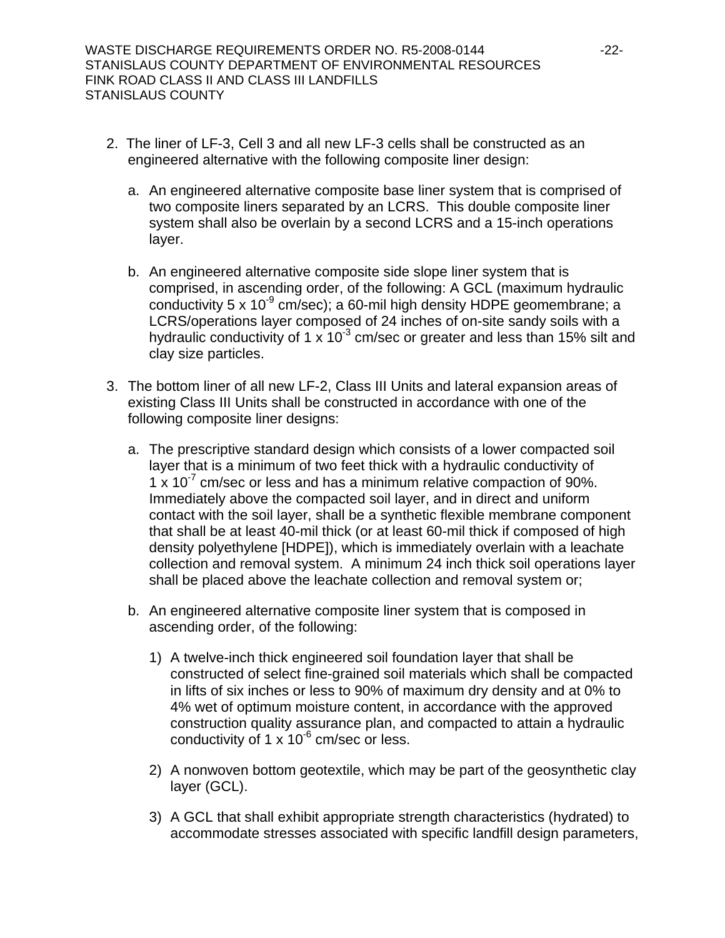- 2. The liner of LF-3, Cell 3 and all new LF-3 cells shall be constructed as an engineered alternative with the following composite liner design:
	- a. An engineered alternative composite base liner system that is comprised of two composite liners separated by an LCRS. This double composite liner system shall also be overlain by a second LCRS and a 15-inch operations layer.
	- b. An engineered alternative composite side slope liner system that is comprised, in ascending order, of the following: A GCL (maximum hydraulic conductivity 5 x 10 $^9$  cm/sec); a 60-mil high density HDPE geomembrane; a LCRS/operations layer composed of 24 inches of on-site sandy soils with a hydraulic conductivity of 1 x 10<sup>-3</sup> cm/sec or greater and less than 15% silt and clay size particles.
- <span id="page-21-0"></span>3. The bottom liner of all new LF-2, Class III Units and lateral expansion areas of existing Class III Units shall be constructed in accordance with one of the following composite liner designs:
	- a. The prescriptive standard design which consists of a lower compacted soil layer that is a minimum of two feet thick with a hydraulic conductivity of 1 x 10 $^7$  cm/sec or less and has a minimum relative compaction of 90%. Immediately above the compacted soil layer, and in direct and uniform contact with the soil layer, shall be a synthetic flexible membrane component that shall be at least 40-mil thick (or at least 60-mil thick if composed of high density polyethylene [HDPE]), which is immediately overlain with a leachate collection and removal system. A minimum 24 inch thick soil operations layer shall be placed above the leachate collection and removal system or;
	- b. An engineered alternative composite liner system that is composed in ascending order, of the following:
		- 1) A twelve-inch thick engineered soil foundation layer that shall be constructed of select fine-grained soil materials which shall be compacted in lifts of six inches or less to 90% of maximum dry density and at 0% to 4% wet of optimum moisture content, in accordance with the approved construction quality assurance plan, and compacted to attain a hydraulic conductivity of 1 x  $10^{-6}$  cm/sec or less.
		- 2) A nonwoven bottom geotextile, which may be part of the geosynthetic clay layer (GCL).
		- 3) A GCL that shall exhibit appropriate strength characteristics (hydrated) to accommodate stresses associated with specific landfill design parameters,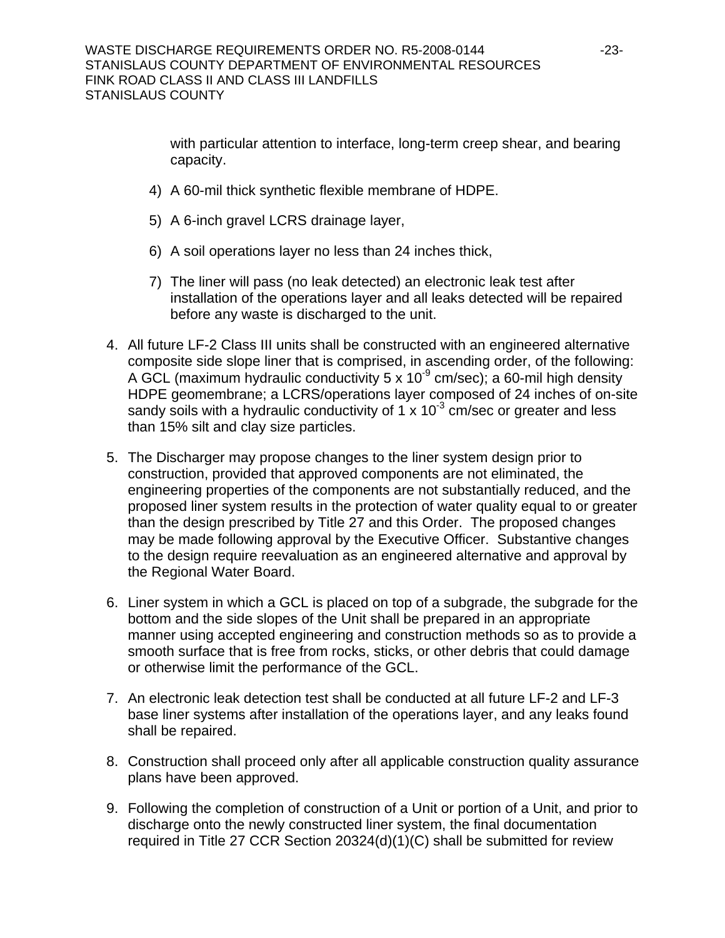with particular attention to interface, long-term creep shear, and bearing capacity.

- 4) A 60-mil thick synthetic flexible membrane of HDPE.
- 5) A 6-inch gravel LCRS drainage layer,
- 6) A soil operations layer no less than 24 inches thick,
- 7) The liner will pass (no leak detected) an electronic leak test after installation of the operations layer and all leaks detected will be repaired before any waste is discharged to the unit.
- 4. All future LF-2 Class III units shall be constructed with an engineered alternative composite side slope liner that is comprised, in ascending order, of the following: A GCL (maximum hydraulic conductivity 5 x  $10^{-9}$  cm/sec); a 60-mil high density HDPE geomembrane; a LCRS/operations layer composed of 24 inches of on-site sandy soils with a hydraulic conductivity of  $1 \times 10^{-3}$  cm/sec or greater and less than 15% silt and clay size particles.
- 5. The Discharger may propose changes to the liner system design prior to construction, provided that approved components are not eliminated, the engineering properties of the components are not substantially reduced, and the proposed liner system results in the protection of water quality equal to or greater than the design prescribed by Title 27 and this Order. The proposed changes may be made following approval by the Executive Officer. Substantive changes to the design require reevaluation as an engineered alternative and approval by the Regional Water Board.
- 6. Liner system in which a GCL is placed on top of a subgrade, the subgrade for the bottom and the side slopes of the Unit shall be prepared in an appropriate manner using accepted engineering and construction methods so as to provide a smooth surface that is free from rocks, sticks, or other debris that could damage or otherwise limit the performance of the GCL.
- 7. An electronic leak detection test shall be conducted at all future LF-2 and LF-3 base liner systems after installation of the operations layer, and any leaks found shall be repaired.
- 8. Construction shall proceed only after all applicable construction quality assurance plans have been approved.
- 9. Following the completion of construction of a Unit or portion of a Unit, and prior to discharge onto the newly constructed liner system, the final documentation required in Title 27 CCR Section 20324(d)(1)(C) shall be submitted for review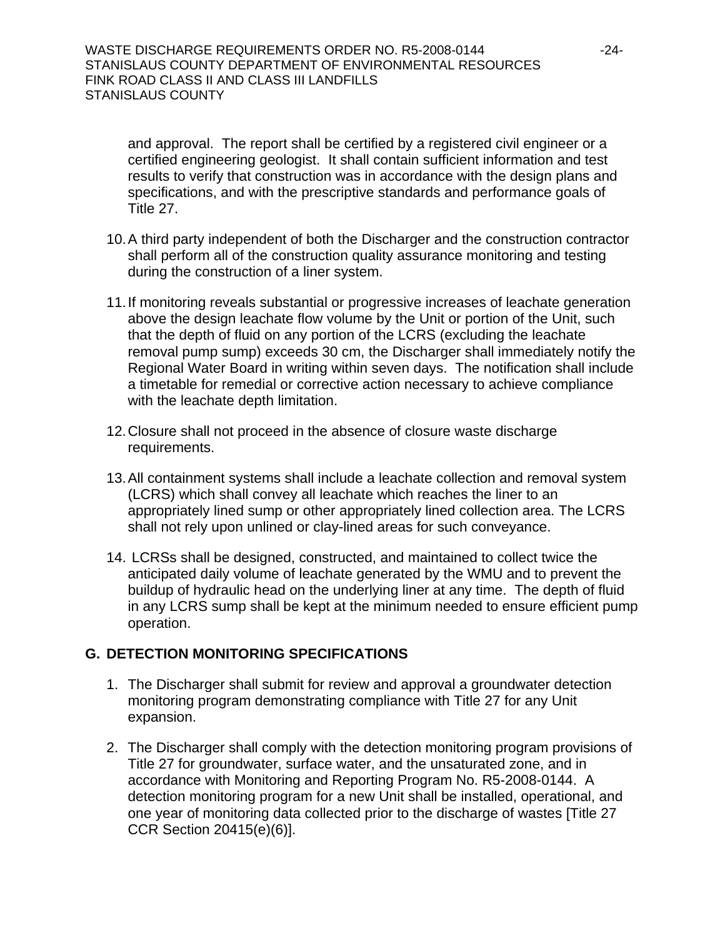and approval. The report shall be certified by a registered civil engineer or a certified engineering geologist. It shall contain sufficient information and test results to verify that construction was in accordance with the design plans and specifications, and with the prescriptive standards and performance goals of Title 27.

- 10. A third party independent of both the Discharger and the construction contractor shall perform all of the construction quality assurance monitoring and testing during the construction of a liner system.
- 11. If monitoring reveals substantial or progressive increases of leachate generation above the design leachate flow volume by the Unit or portion of the Unit, such that the depth of fluid on any portion of the LCRS (excluding the leachate removal pump sump) exceeds 30 cm, the Discharger shall immediately notify the Regional Water Board in writing within seven days. The notification shall include a timetable for remedial or corrective action necessary to achieve compliance with the leachate depth limitation.
- 12. Closure shall not proceed in the absence of closure waste discharge requirements.
- 13. All containment systems shall include a leachate collection and removal system (LCRS) which shall convey all leachate which reaches the liner to an appropriately lined sump or other appropriately lined collection area. The LCRS shall not rely upon unlined or clay-lined areas for such conveyance.
- 14. LCRSs shall be designed, constructed, and maintained to collect twice the anticipated daily volume of leachate generated by the WMU and to prevent the buildup of hydraulic head on the underlying liner at any time. The depth of fluid in any LCRS sump shall be kept at the minimum needed to ensure efficient pump operation.

## **G. DETECTION MONITORING SPECIFICATIONS**

- 1. The Discharger shall submit for review and approval a groundwater detection monitoring program demonstrating compliance with Title 27 for any Unit expansion.
- <span id="page-23-0"></span>2. The Discharger shall comply with the detection monitoring program provisions of Title 27 for groundwater, surface water, and the unsaturated zone, and in accordance with Monitoring and Reporting Program No. R5-2008-0144. A detection monitoring program for a new Unit shall be installed, operational, and one year of monitoring data collected prior to the discharge of wastes [Title 27 CCR Section 20415(e)(6)].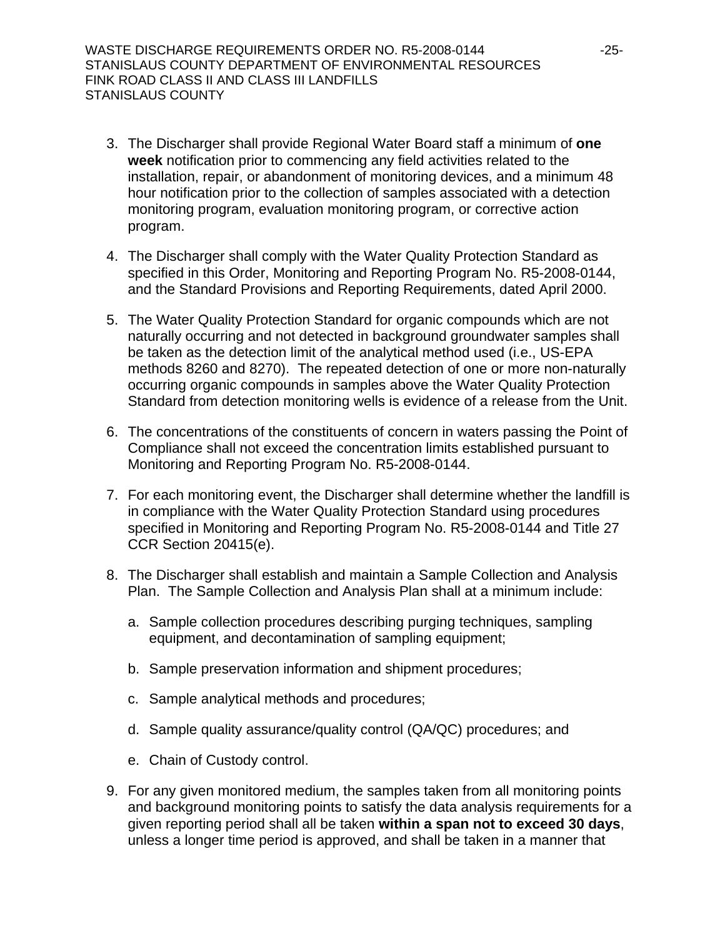- 3. The Discharger shall provide Regional Water Board staff a minimum of **one week** notification prior to commencing any field activities related to the installation, repair, or abandonment of monitoring devices, and a minimum 48 hour notification prior to the collection of samples associated with a detection monitoring program, evaluation monitoring program, or corrective action program.
- 4. The Discharger shall comply with the Water Quality Protection Standard as specified in this Order, Monitoring and Reporting Program No. R5-2008-0144, and the Standard Provisions and Reporting Requirements, dated April 2000.
- 5. The Water Quality Protection Standard for organic compounds which are not naturally occurring and not detected in background groundwater samples shall be taken as the detection limit of the analytical method used (i.e., US-EPA methods 8260 and 8270). The repeated detection of one or more non-naturally occurring organic compounds in samples above the Water Quality Protection Standard from detection monitoring wells is evidence of a release from the Unit.
- 6. The concentrations of the constituents of concern in waters passing the Point of Compliance shall not exceed the concentration limits established pursuant to Monitoring and Reporting Program No. R5-2008-0144.
- 7. For each monitoring event, the Discharger shall determine whether the landfill is in compliance with the Water Quality Protection Standard using procedures specified in Monitoring and Reporting Program No. R5-2008-0144 and Title 27 CCR Section 20415(e).
- 8. The Discharger shall establish and maintain a Sample Collection and Analysis Plan. The Sample Collection and Analysis Plan shall at a minimum include:
	- a. Sample collection procedures describing purging techniques, sampling equipment, and decontamination of sampling equipment;
	- b. Sample preservation information and shipment procedures;
	- c. Sample analytical methods and procedures;
	- d. Sample quality assurance/quality control (QA/QC) procedures; and
	- e. Chain of Custody control.
- 9. For any given monitored medium, the samples taken from all monitoring points and background monitoring points to satisfy the data analysis requirements for a given reporting period shall all be taken **within a span not to exceed 30 days**, unless a longer time period is approved, and shall be taken in a manner that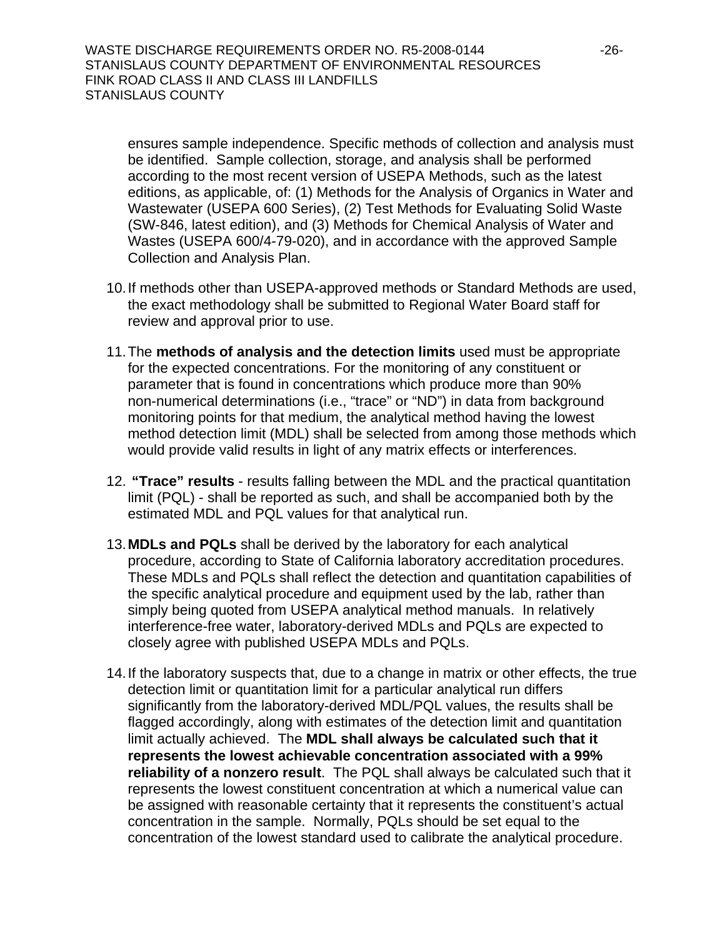ensures sample independence. Specific methods of collection and analysis must be identified. Sample collection, storage, and analysis shall be performed according to the most recent version of USEPA Methods, such as the latest editions, as applicable, of: (1) Methods for the Analysis of Organics in Water and Wastewater (USEPA 600 Series), (2) Test Methods for Evaluating Solid Waste (SW-846, latest edition), and (3) Methods for Chemical Analysis of Water and Wastes (USEPA 600/4-79-020), and in accordance with the approved Sample Collection and Analysis Plan.

- 10. If methods other than USEPA-approved methods or Standard Methods are used, the exact methodology shall be submitted to Regional Water Board staff for review and approval prior to use.
- 11. The **methods of analysis and the detection limits** used must be appropriate for the expected concentrations. For the monitoring of any constituent or parameter that is found in concentrations which produce more than 90% non-numerical determinations (i.e., "trace" or "ND") in data from background monitoring points for that medium, the analytical method having the lowest method detection limit (MDL) shall be selected from among those methods which would provide valid results in light of any matrix effects or interferences.
- 12. **"Trace" results** results falling between the MDL and the practical quantitation limit (PQL) - shall be reported as such, and shall be accompanied both by the estimated MDL and PQL values for that analytical run.
- 13.**MDLs and PQLs** shall be derived by the laboratory for each analytical procedure, according to State of California laboratory accreditation procedures. These MDLs and PQLs shall reflect the detection and quantitation capabilities of the specific analytical procedure and equipment used by the lab, rather than simply being quoted from USEPA analytical method manuals. In relatively interference-free water, laboratory-derived MDLs and PQLs are expected to closely agree with published USEPA MDLs and PQLs.
- 14. If the laboratory suspects that, due to a change in matrix or other effects, the true detection limit or quantitation limit for a particular analytical run differs significantly from the laboratory-derived MDL/PQL values, the results shall be flagged accordingly, along with estimates of the detection limit and quantitation limit actually achieved. The **MDL shall always be calculated such that it represents the lowest achievable concentration associated with a 99% reliability of a nonzero result**. The PQL shall always be calculated such that it represents the lowest constituent concentration at which a numerical value can be assigned with reasonable certainty that it represents the constituent's actual concentration in the sample. Normally, PQLs should be set equal to the concentration of the lowest standard used to calibrate the analytical procedure.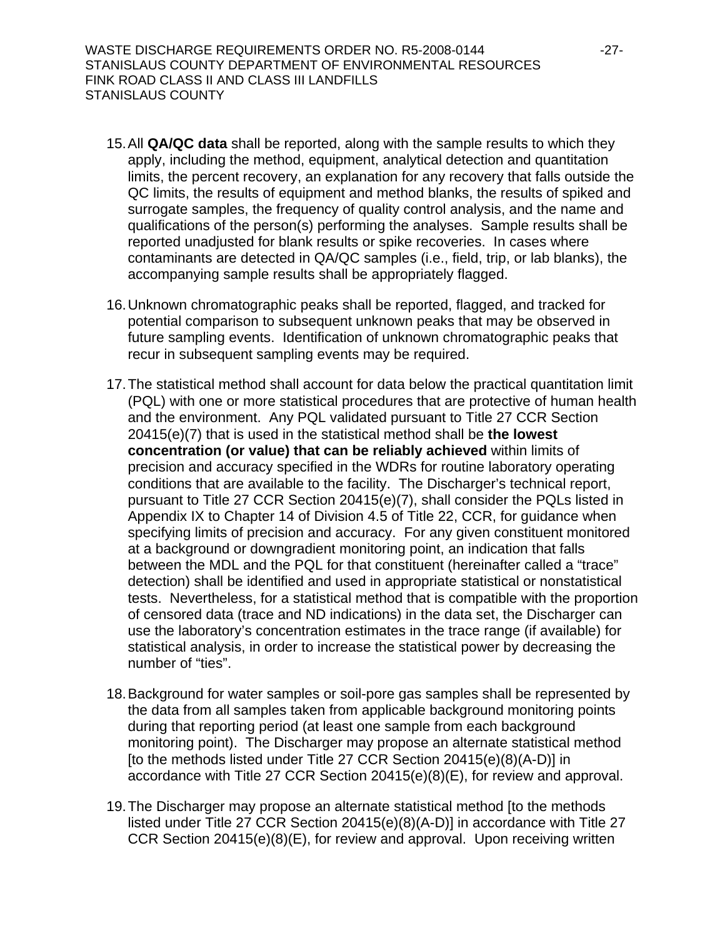- 15. All **QA/QC data** shall be reported, along with the sample results to which they apply, including the method, equipment, analytical detection and quantitation limits, the percent recovery, an explanation for any recovery that falls outside the QC limits, the results of equipment and method blanks, the results of spiked and surrogate samples, the frequency of quality control analysis, and the name and qualifications of the person(s) performing the analyses. Sample results shall be reported unadjusted for blank results or spike recoveries. In cases where contaminants are detected in QA/QC samples (i.e., field, trip, or lab blanks), the accompanying sample results shall be appropriately flagged.
- 16. Unknown chromatographic peaks shall be reported, flagged, and tracked for potential comparison to subsequent unknown peaks that may be observed in future sampling events. Identification of unknown chromatographic peaks that recur in subsequent sampling events may be required.
- 17. The statistical method shall account for data below the practical quantitation limit (PQL) with one or more statistical procedures that are protective of human health and the environment. Any PQL validated pursuant to Title 27 CCR Section 20415(e)(7) that is used in the statistical method shall be **the lowest concentration (or value) that can be reliably achieved** within limits of precision and accuracy specified in the WDRs for routine laboratory operating conditions that are available to the facility. The Discharger's technical report, pursuant to Title 27 CCR Section 20415(e)(7), shall consider the PQLs listed in Appendix IX to Chapter 14 of Division 4.5 of Title 22, CCR, for guidance when specifying limits of precision and accuracy. For any given constituent monitored at a background or downgradient monitoring point, an indication that falls between the MDL and the PQL for that constituent (hereinafter called a "trace" detection) shall be identified and used in appropriate statistical or nonstatistical tests. Nevertheless, for a statistical method that is compatible with the proportion of censored data (trace and ND indications) in the data set, the Discharger can use the laboratory's concentration estimates in the trace range (if available) for statistical analysis, in order to increase the statistical power by decreasing the number of "ties".
- 18. Background for water samples or soil-pore gas samples shall be represented by the data from all samples taken from applicable background monitoring points during that reporting period (at least one sample from each background monitoring point). The Discharger may propose an alternate statistical method [to the methods listed under Title 27 CCR Section 20415(e)(8)(A-D)] in accordance with Title 27 CCR Section 20415(e)(8)(E), for review and approval.
- 19. The Discharger may propose an alternate statistical method [to the methods listed under Title 27 CCR Section 20415(e)(8)(A-D)] in accordance with Title 27 CCR Section 20415(e)(8)(E), for review and approval. Upon receiving written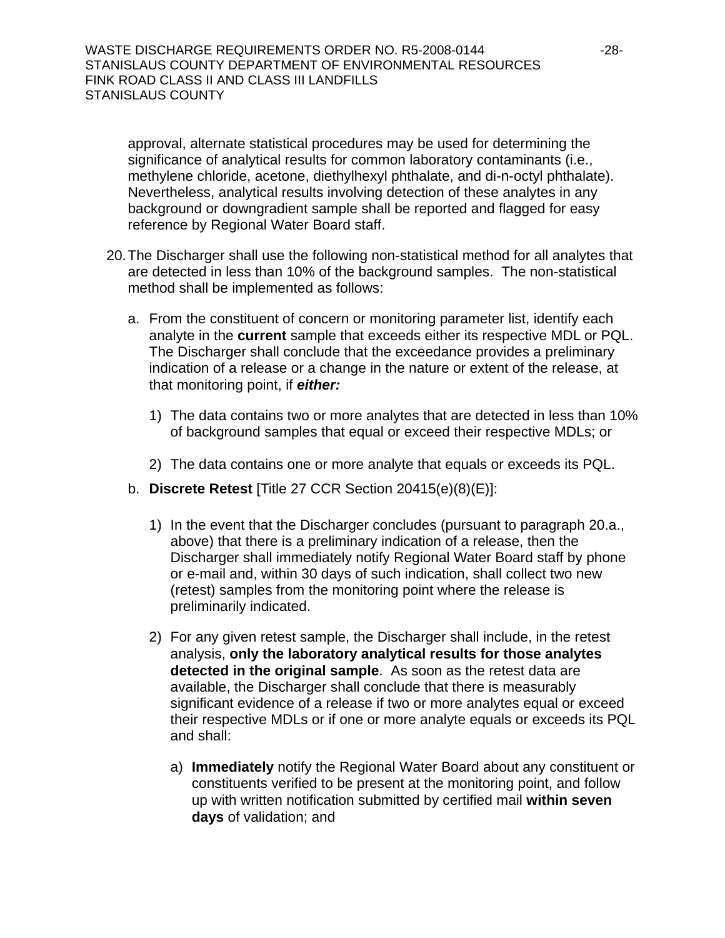approval, alternate statistical procedures may be used for determining the significance of analytical results for common laboratory contaminants (i.e., methylene chloride, acetone, diethylhexyl phthalate, and di-n-octyl phthalate). Nevertheless, analytical results involving detection of these analytes in any background or downgradient sample shall be reported and flagged for easy reference by Regional Water Board staff.

- 20. The Discharger shall use the following non-statistical method for all analytes that are detected in less than 10% of the background samples. The non-statistical method shall be implemented as follows:
	- a. From the constituent of concern or monitoring parameter list, identify each analyte in the **current** sample that exceeds either its respective MDL or PQL. The Discharger shall conclude that the exceedance provides a preliminary indication of a release or a change in the nature or extent of the release, at that monitoring point, if *either:* 
		- 1) The data contains two or more analytes that are detected in less than 10% of background samples that equal or exceed their respective MDLs; or
		- 2) The data contains one or more analyte that equals or exceeds its PQL.
	- b. **Discrete Retest** [Title 27 CCR Section 20415(e)(8)(E)]:
		- 1) In the event that the Discharger concludes (pursuant to paragraph 20.a., above) that there is a preliminary indication of a release, then the Discharger shall immediately notify Regional Water Board staff by phone or e-mail and, within 30 days of such indication, shall collect two new (retest) samples from the monitoring point where the release is preliminarily indicated.
		- 2) For any given retest sample, the Discharger shall include, in the retest analysis, **only the laboratory analytical results for those analytes detected in the original sample**. As soon as the retest data are available, the Discharger shall conclude that there is measurably significant evidence of a release if two or more analytes equal or exceed their respective MDLs or if one or more analyte equals or exceeds its PQL and shall:
			- a) **Immediately** notify the Regional Water Board about any constituent or constituents verified to be present at the monitoring point, and follow up with written notification submitted by certified mail **within seven days** of validation; and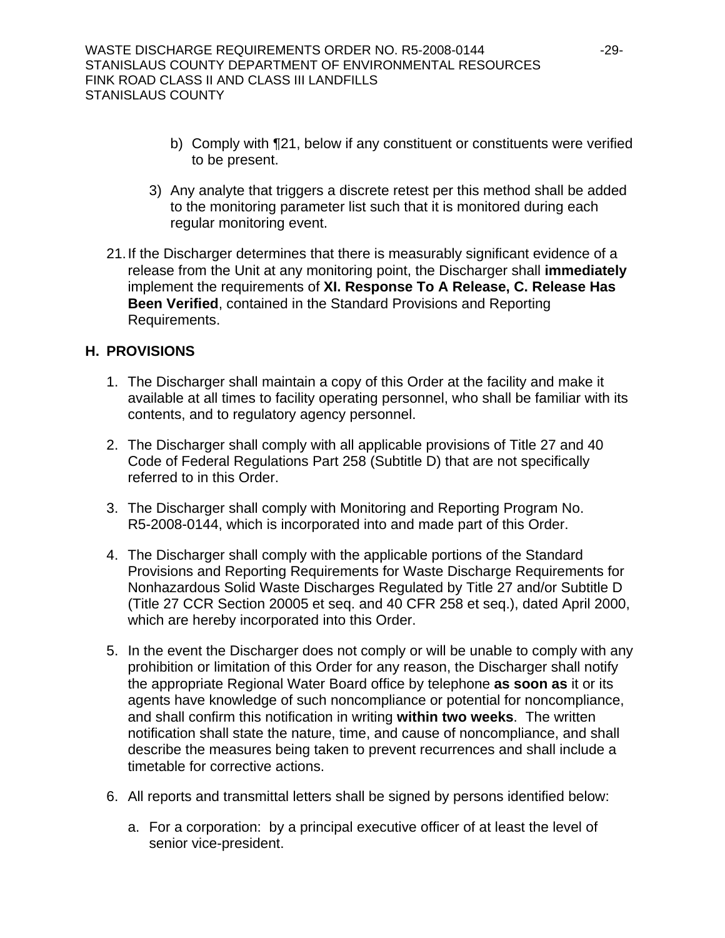- b) Comply with ¶21, below if any constituent or constituents were verified to be present.
- 3) Any analyte that triggers a discrete retest per this method shall be added to the monitoring parameter list such that it is monitored during each regular monitoring event.
- 21. If the Discharger determines that there is measurably significant evidence of a release from the Unit at any monitoring point, the Discharger shall **immediately** implement the requirements of **XI. Response To A Release, C. Release Has Been Verified**, contained in the Standard Provisions and Reporting Requirements.

### **H. PROVISIONS**

- 1. The Discharger shall maintain a copy of this Order at the facility and make it available at all times to facility operating personnel, who shall be familiar with its contents, and to regulatory agency personnel.
- 2. The Discharger shall comply with all applicable provisions of Title 27 and 40 Code of Federal Regulations Part 258 (Subtitle D) that are not specifically referred to in this Order.
- 3. The Discharger shall comply with Monitoring and Reporting Program No. R5-2008-0144, which is incorporated into and made part of this Order.
- 4. The Discharger shall comply with the applicable portions of the Standard Provisions and Reporting Requirements for Waste Discharge Requirements for Nonhazardous Solid Waste Discharges Regulated by Title 27 and/or Subtitle D (Title 27 CCR Section 20005 et seq. and 40 CFR 258 et seq.), dated April 2000, which are hereby incorporated into this Order.
- 5. In the event the Discharger does not comply or will be unable to comply with any prohibition or limitation of this Order for any reason, the Discharger shall notify the appropriate Regional Water Board office by telephone **as soon as** it or its agents have knowledge of such noncompliance or potential for noncompliance, and shall confirm this notification in writing **within two weeks**. The written notification shall state the nature, time, and cause of noncompliance, and shall describe the measures being taken to prevent recurrences and shall include a timetable for corrective actions.
- <span id="page-28-0"></span>6. All reports and transmittal letters shall be signed by persons identified below:
	- a. For a corporation: by a principal executive officer of at least the level of senior vice-president.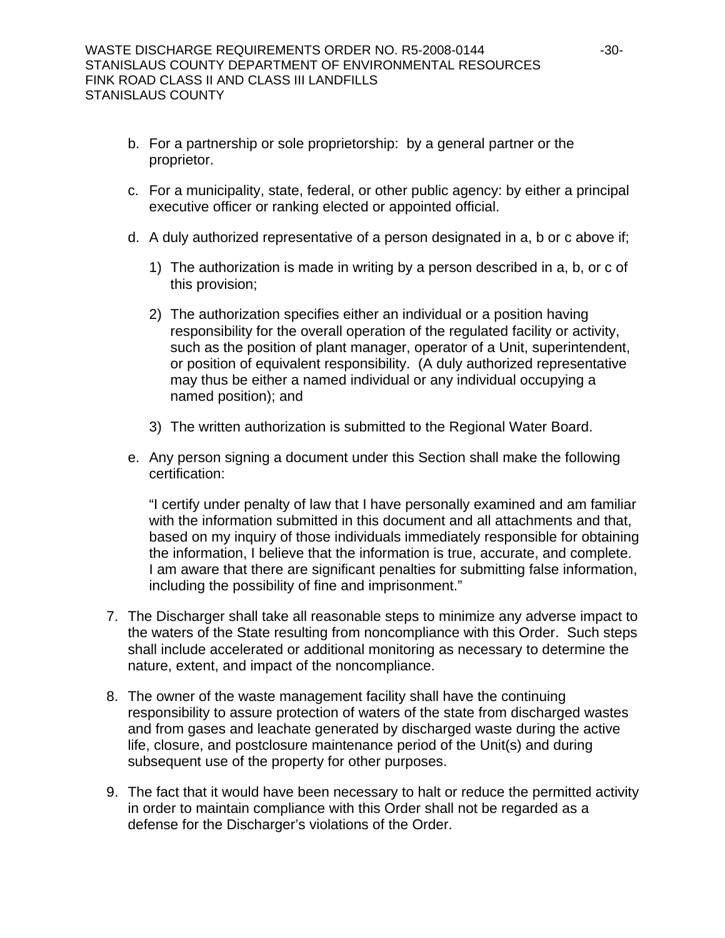- b. For a partnership or sole proprietorship: by a general partner or the proprietor.
- c. For a municipality, state, federal, or other public agency: by either a principal executive officer or ranking elected or appointed official.
- d. A duly authorized representative of a person designated in a, b or c above if;
	- 1) The authorization is made in writing by a person described in a, b, or c of this provision;
	- 2) The authorization specifies either an individual or a position having responsibility for the overall operation of the regulated facility or activity, such as the position of plant manager, operator of a Unit, superintendent, or position of equivalent responsibility. (A duly authorized representative may thus be either a named individual or any individual occupying a named position); and
	- 3) The written authorization is submitted to the Regional Water Board.
- e. Any person signing a document under this Section shall make the following certification:

"I certify under penalty of law that I have personally examined and am familiar with the information submitted in this document and all attachments and that, based on my inquiry of those individuals immediately responsible for obtaining the information, I believe that the information is true, accurate, and complete. I am aware that there are significant penalties for submitting false information, including the possibility of fine and imprisonment."

- 7. The Discharger shall take all reasonable steps to minimize any adverse impact to the waters of the State resulting from noncompliance with this Order. Such steps shall include accelerated or additional monitoring as necessary to determine the nature, extent, and impact of the noncompliance.
- 8. The owner of the waste management facility shall have the continuing responsibility to assure protection of waters of the state from discharged wastes and from gases and leachate generated by discharged waste during the active life, closure, and postclosure maintenance period of the Unit(s) and during subsequent use of the property for other purposes.
- 9. The fact that it would have been necessary to halt or reduce the permitted activity in order to maintain compliance with this Order shall not be regarded as a defense for the Discharger's violations of the Order.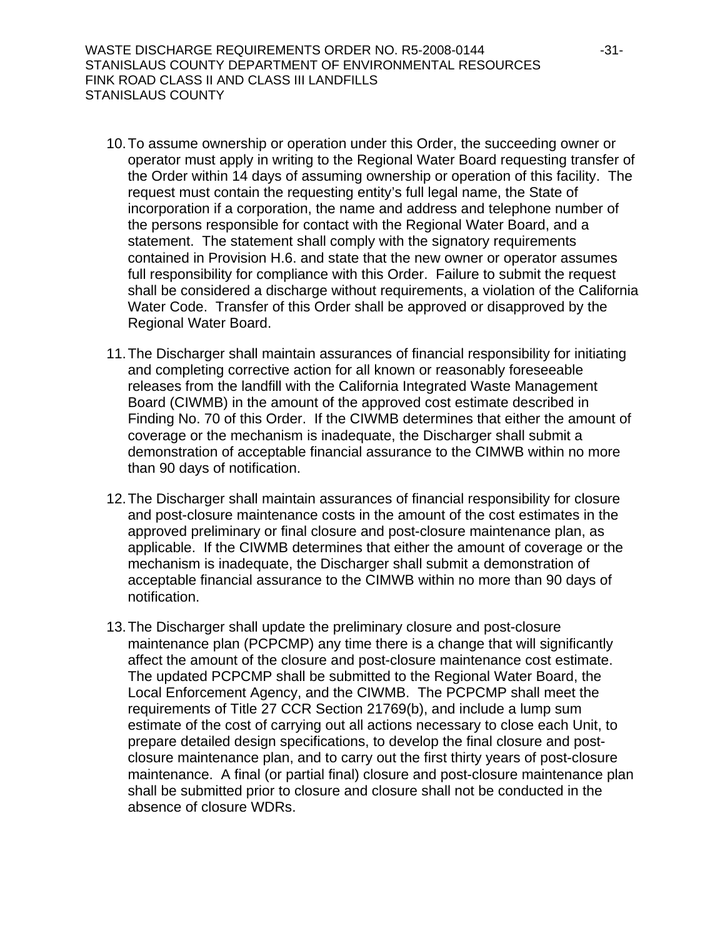WASTE DISCHARGE REQUIREMENTS ORDER NO. R5-2008-0144 -31- STANISLAUS COUNTY DEPARTMENT OF ENVIRONMENTAL RESOURCES FINK ROAD CLASS II AND CLASS III LANDFILLS STANISLAUS COUNTY

- 10. To assume ownership or operation under this Order, the succeeding owner or operator must apply in writing to the Regional Water Board requesting transfer of the Order within 14 days of assuming ownership or operation of this facility. The request must contain the requesting entity's full legal name, the State of incorporation if a corporation, the name and address and telephone number of the persons responsible for contact with the Regional Water Board, and a statement. The statement shall comply with the signatory requirements contained in Provision H.[6](#page-28-0). and state that the new owner or operator assumes full responsibility for compliance with this Order. Failure to submit the request shall be considered a discharge without requirements, a violation of the California Water Code. Transfer of this Order shall be approved or disapproved by the Regional Water Board.
- 11. The Discharger shall maintain assurances of financial responsibility for initiating and completing corrective action for all known or reasonably foreseeable releases from the landfill with the California Integrated Waste Management Board (CIWMB) in the amount of the approved cost estimate described in Finding No. [70](#page-14-0) of this Order. If the CIWMB determines that either the amount of coverage or the mechanism is inadequate, the Discharger shall submit a demonstration of acceptable financial assurance to the CIMWB within no more than 90 days of notification.
- 12. The Discharger shall maintain assurances of financial responsibility for closure and post-closure maintenance costs in the amount of the cost estimates in the approved preliminary or final closure and post-closure maintenance plan, as applicable. If the CIWMB determines that either the amount of coverage or the mechanism is inadequate, the Discharger shall submit a demonstration of acceptable financial assurance to the CIMWB within no more than 90 days of notification.
- 13. The Discharger shall update the preliminary closure and post-closure maintenance plan (PCPCMP) any time there is a change that will significantly affect the amount of the closure and post-closure maintenance cost estimate. The updated PCPCMP shall be submitted to the Regional Water Board, the Local Enforcement Agency, and the CIWMB. The PCPCMP shall meet the requirements of Title 27 CCR Section 21769(b), and include a lump sum estimate of the cost of carrying out all actions necessary to close each Unit, to prepare detailed design specifications, to develop the final closure and postclosure maintenance plan, and to carry out the first thirty years of post-closure maintenance. A final (or partial final) closure and post-closure maintenance plan shall be submitted prior to closure and closure shall not be conducted in the absence of closure WDRs.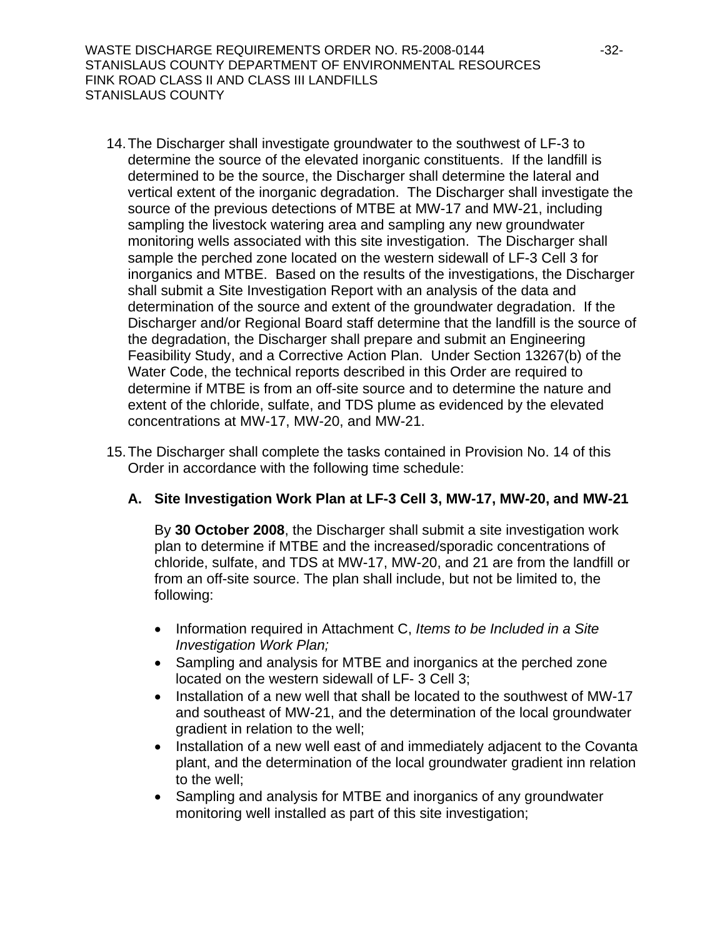WASTE DISCHARGE REQUIREMENTS ORDER NO. R5-2008-0144 -32- STANISLAUS COUNTY DEPARTMENT OF ENVIRONMENTAL RESOURCES FINK ROAD CLASS II AND CLASS III LANDFILLS STANISLAUS COUNTY

- <span id="page-31-0"></span>14. The Discharger shall investigate groundwater to the southwest of LF-3 to determine the source of the elevated inorganic constituents. If the landfill is determined to be the source, the Discharger shall determine the lateral and vertical extent of the inorganic degradation. The Discharger shall investigate the source of the previous detections of MTBE at MW-17 and MW-21, including sampling the livestock watering area and sampling any new groundwater monitoring wells associated with this site investigation. The Discharger shall sample the perched zone located on the western sidewall of LF-3 Cell 3 for inorganics and MTBE. Based on the results of the investigations, the Discharger shall submit a Site Investigation Report with an analysis of the data and determination of the source and extent of the groundwater degradation. If the Discharger and/or Regional Board staff determine that the landfill is the source of the degradation, the Discharger shall prepare and submit an Engineering Feasibility Study, and a Corrective Action Plan. Under Section 13267(b) of the Water Code, the technical reports described in this Order are required to determine if MTBE is from an off-site source and to determine the nature and extent of the chloride, sulfate, and TDS plume as evidenced by the elevated concentrations at MW-17, MW-20, and MW-21.
- 15. The Discharger shall complete the tasks contained in Provision No. [14](#page-31-0) of this Order in accordance with the following time schedule:

#### **A. Site Investigation Work Plan at LF-3 Cell 3, MW-17, MW-20, and MW-21**

By **30 October 2008**, the Discharger shall submit a site investigation work plan to determine if MTBE and the increased/sporadic concentrations of chloride, sulfate, and TDS at MW-17, MW-20, and 21 are from the landfill or from an off-site source. The plan shall include, but not be limited to, the following:

- Information required in Attachment C, *Items to be Included in a Site Investigation Work Plan;*
- Sampling and analysis for MTBE and inorganics at the perched zone located on the western sidewall of LF- 3 Cell 3;
- Installation of a new well that shall be located to the southwest of MW-17 and southeast of MW-21, and the determination of the local groundwater gradient in relation to the well;
- Installation of a new well east of and immediately adjacent to the Covanta plant, and the determination of the local groundwater gradient inn relation to the well;
- Sampling and analysis for MTBE and inorganics of any groundwater monitoring well installed as part of this site investigation;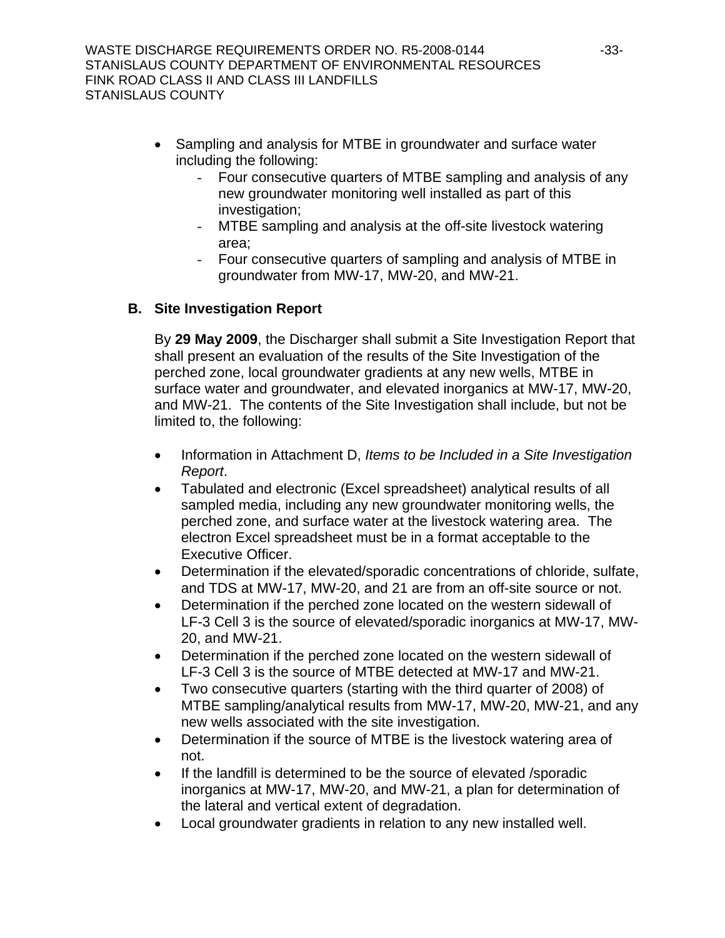- Sampling and analysis for MTBE in groundwater and surface water including the following:
	- Four consecutive quarters of MTBE sampling and analysis of any new groundwater monitoring well installed as part of this investigation;
	- MTBE sampling and analysis at the off-site livestock watering area;
	- Four consecutive quarters of sampling and analysis of MTBE in groundwater from MW-17, MW-20, and MW-21.

## **B. Site Investigation Report**

By **29 May 2009**, the Discharger shall submit a Site Investigation Report that shall present an evaluation of the results of the Site Investigation of the perched zone, local groundwater gradients at any new wells, MTBE in surface water and groundwater, and elevated inorganics at MW-17, MW-20, and MW-21. The contents of the Site Investigation shall include, but not be limited to, the following:

- Information in Attachment D, *Items to be Included in a Site Investigation Report*.
- Tabulated and electronic (Excel spreadsheet) analytical results of all sampled media, including any new groundwater monitoring wells, the perched zone, and surface water at the livestock watering area. The electron Excel spreadsheet must be in a format acceptable to the Executive Officer.
- Determination if the elevated/sporadic concentrations of chloride, sulfate, and TDS at MW-17, MW-20, and 21 are from an off-site source or not.
- Determination if the perched zone located on the western sidewall of LF-3 Cell 3 is the source of elevated/sporadic inorganics at MW-17, MW-20, and MW-21.
- Determination if the perched zone located on the western sidewall of LF-3 Cell 3 is the source of MTBE detected at MW-17 and MW-21.
- Two consecutive quarters (starting with the third quarter of 2008) of MTBE sampling/analytical results from MW-17, MW-20, MW-21, and any new wells associated with the site investigation.
- Determination if the source of MTBE is the livestock watering area of not.
- If the landfill is determined to be the source of elevated /sporadic inorganics at MW-17, MW-20, and MW-21, a plan for determination of the lateral and vertical extent of degradation.
- Local groundwater gradients in relation to any new installed well.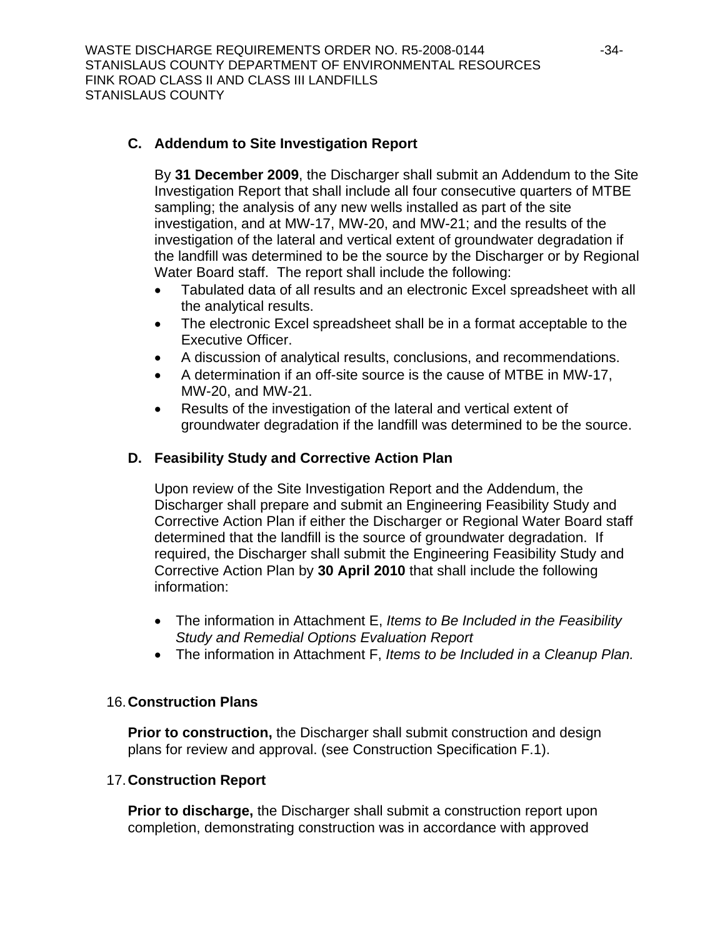## **C. Addendum to Site Investigation Report**

By **31 December 2009**, the Discharger shall submit an Addendum to the Site Investigation Report that shall include all four consecutive quarters of MTBE sampling; the analysis of any new wells installed as part of the site investigation, and at MW-17, MW-20, and MW-21; and the results of the investigation of the lateral and vertical extent of groundwater degradation if the landfill was determined to be the source by the Discharger or by Regional Water Board staff. The report shall include the following:

- Tabulated data of all results and an electronic Excel spreadsheet with all the analytical results.
- The electronic Excel spreadsheet shall be in a format acceptable to the Executive Officer.
- A discussion of analytical results, conclusions, and recommendations.
- A determination if an off-site source is the cause of MTBE in MW-17, MW-20, and MW-21.
- Results of the investigation of the lateral and vertical extent of groundwater degradation if the landfill was determined to be the source.

### **D. Feasibility Study and Corrective Action Plan**

Upon review of the Site Investigation Report and the Addendum, the Discharger shall prepare and submit an Engineering Feasibility Study and Corrective Action Plan if either the Discharger or Regional Water Board staff determined that the landfill is the source of groundwater degradation. If required, the Discharger shall submit the Engineering Feasibility Study and Corrective Action Plan by **30 April 2010** that shall include the following information:

- The information in Attachment E, *Items to Be Included in the Feasibility Study and Remedial Options Evaluation Report*
- The information in Attachment F, *Items to be Included in a Cleanup Plan.*

#### 16.**Construction Plans**

**Prior to construction,** the Discharger shall submit construction and design plans for review and approval. (see Construction Specification F.1).

#### 17.**Construction Report**

**Prior to discharge,** the Discharger shall submit a construction report upon completion, demonstrating construction was in accordance with approved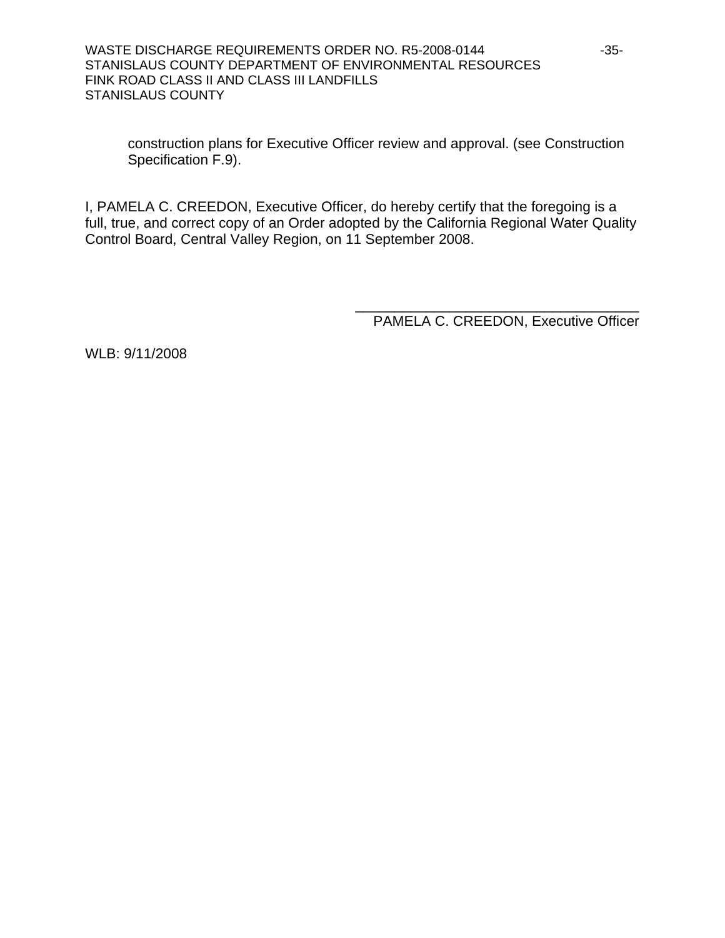construction plans for Executive Officer review and approval. (see Construction Specification F.[9\)](#page-23-0).

I, PAMELA C. CREEDON, Executive Officer, do hereby certify that the foregoing is a full, true, and correct copy of an Order adopted by the California Regional Water Quality Control Board, Central Valley Region, on 11 September 2008.

> \_\_\_\_\_\_\_\_\_\_\_\_\_\_\_\_\_\_\_\_\_\_\_\_\_\_\_\_\_\_\_\_\_\_\_\_ PAMELA C. CREEDON, Executive Officer

WLB: 9/11/2008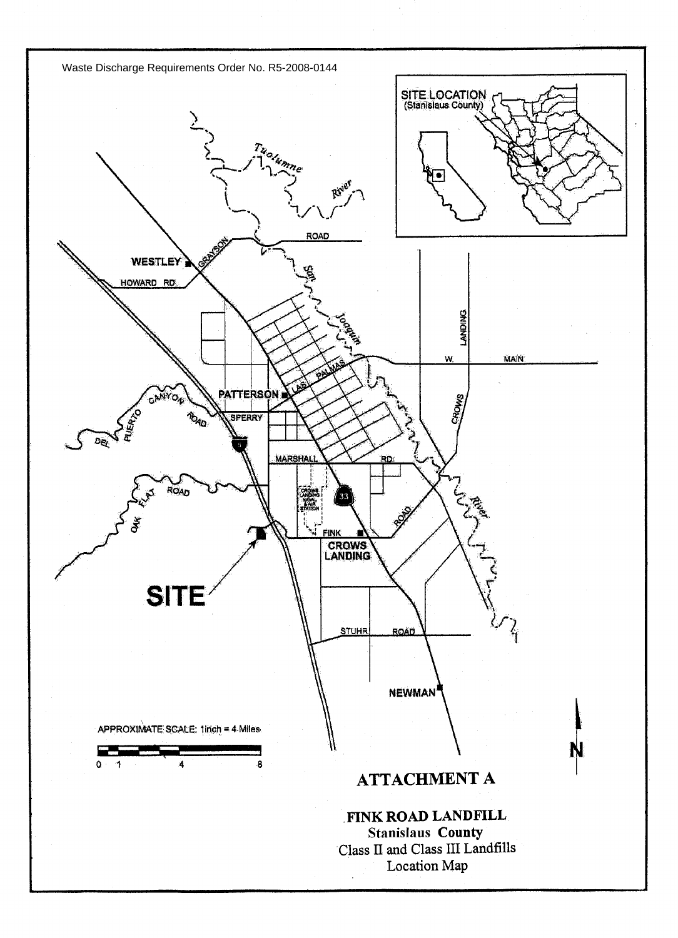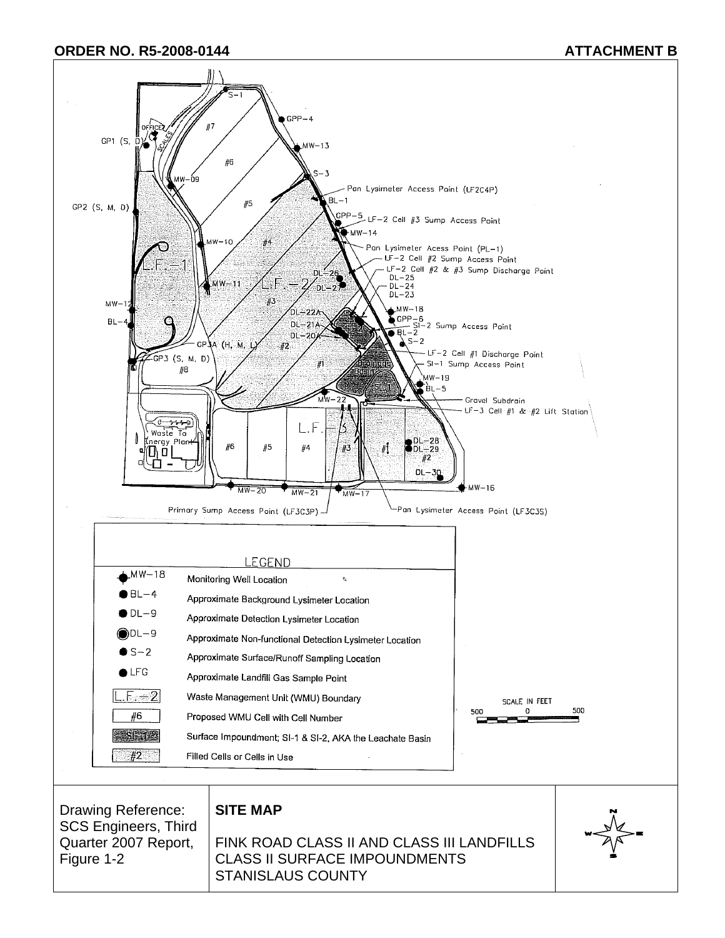#### **ORDER NO. R5-2008-0144** ATTACHMENT B

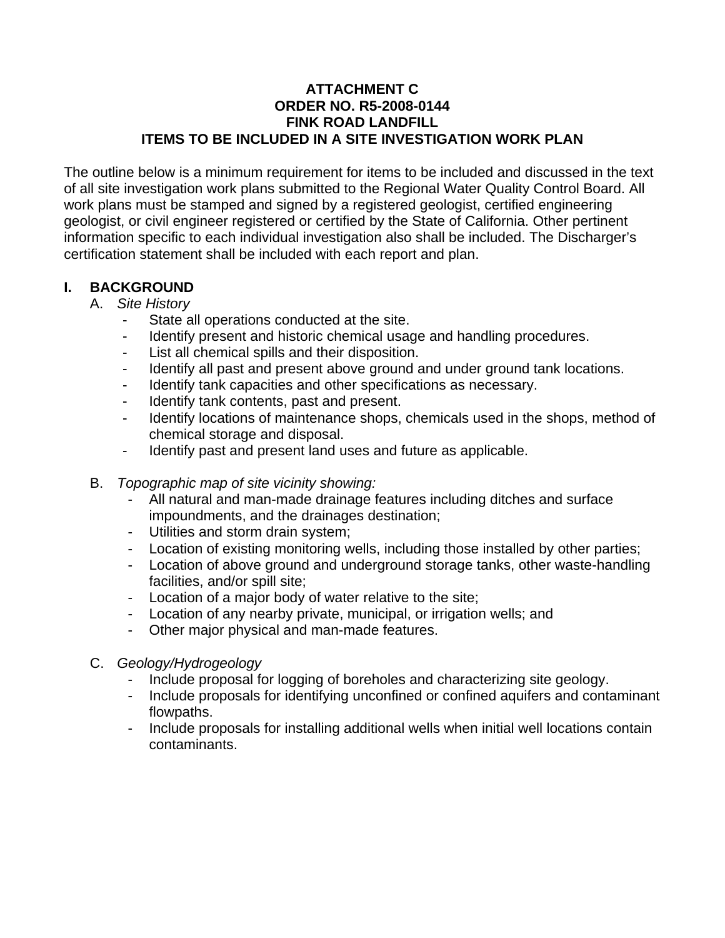## **ATTACHMENT C ORDER NO. R5-2008-0144 FINK ROAD LANDFILL ITEMS TO BE INCLUDED IN A SITE INVESTIGATION WORK PLAN**

The outline below is a minimum requirement for items to be included and discussed in the text of all site investigation work plans submitted to the Regional Water Quality Control Board. All work plans must be stamped and signed by a registered geologist, certified engineering geologist, or civil engineer registered or certified by the State of California. Other pertinent information specific to each individual investigation also shall be included. The Discharger's certification statement shall be included with each report and plan.

# **I. BACKGROUND**

- A. *Site History*
	- State all operations conducted at the site.
	- Identify present and historic chemical usage and handling procedures.
	- List all chemical spills and their disposition.
	- Identify all past and present above ground and under ground tank locations.
	- Identify tank capacities and other specifications as necessary.
	- Identify tank contents, past and present.
	- Identify locations of maintenance shops, chemicals used in the shops, method of chemical storage and disposal.
	- Identify past and present land uses and future as applicable.
- B. *Topographic map of site vicinity showing:*
	- All natural and man-made drainage features including ditches and surface impoundments, and the drainages destination;
	- Utilities and storm drain system;
	- Location of existing monitoring wells, including those installed by other parties;
	- Location of above ground and underground storage tanks, other waste-handling facilities, and/or spill site;
	- Location of a major body of water relative to the site;
	- Location of any nearby private, municipal, or irrigation wells; and
	- Other major physical and man-made features.
- C. *Geology/Hydrogeology*
	- Include proposal for logging of boreholes and characterizing site geology.
	- Include proposals for identifying unconfined or confined aquifers and contaminant flowpaths.
	- Include proposals for installing additional wells when initial well locations contain contaminants.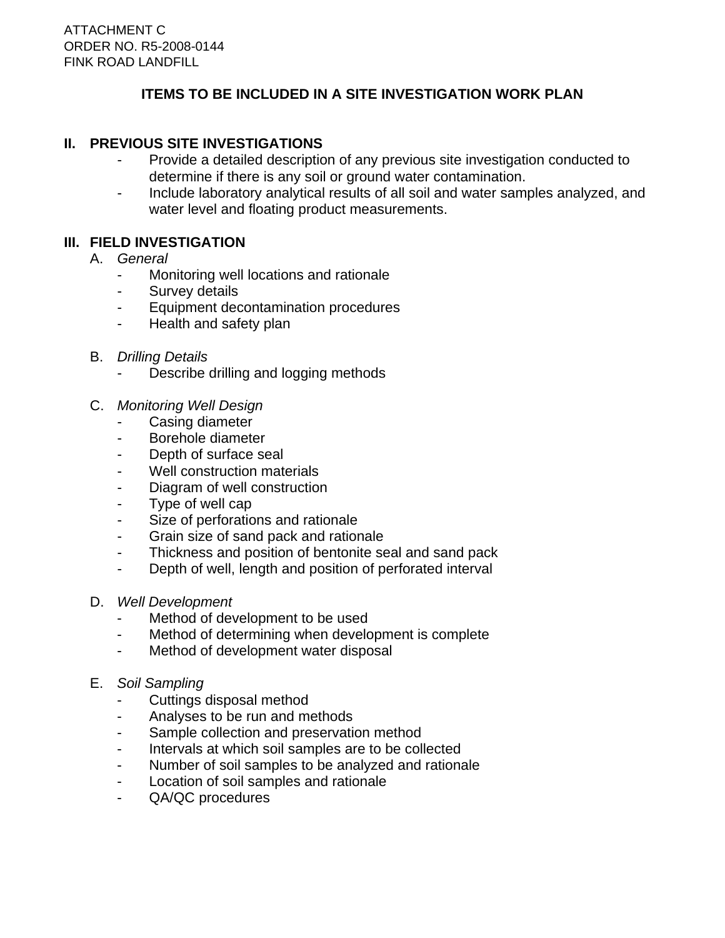# **ITEMS TO BE INCLUDED IN A SITE INVESTIGATION WORK PLAN**

## **II. PREVIOUS SITE INVESTIGATIONS**

- Provide a detailed description of any previous site investigation conducted to determine if there is any soil or ground water contamination.
- Include laboratory analytical results of all soil and water samples analyzed, and water level and floating product measurements.

## **III. FIELD INVESTIGATION**

- A. *General*
	- Monitoring well locations and rationale
	- Survey details
	- Equipment decontamination procedures
	- Health and safety plan
- B. *Drilling Details*
	- Describe drilling and logging methods
- C. *Monitoring Well Design*
	- Casing diameter
	- Borehole diameter
	- Depth of surface seal
	- Well construction materials
	- Diagram of well construction
	- Type of well cap
	- Size of perforations and rationale
	- Grain size of sand pack and rationale
	- Thickness and position of bentonite seal and sand pack
	- Depth of well, length and position of perforated interval
- D. *Well Development*
	- Method of development to be used
	- Method of determining when development is complete
	- Method of development water disposal
- E. *Soil Sampling*
	- Cuttings disposal method
	- Analyses to be run and methods
	- Sample collection and preservation method
	- Intervals at which soil samples are to be collected
	- Number of soil samples to be analyzed and rationale
	- Location of soil samples and rationale
	- QA/QC procedures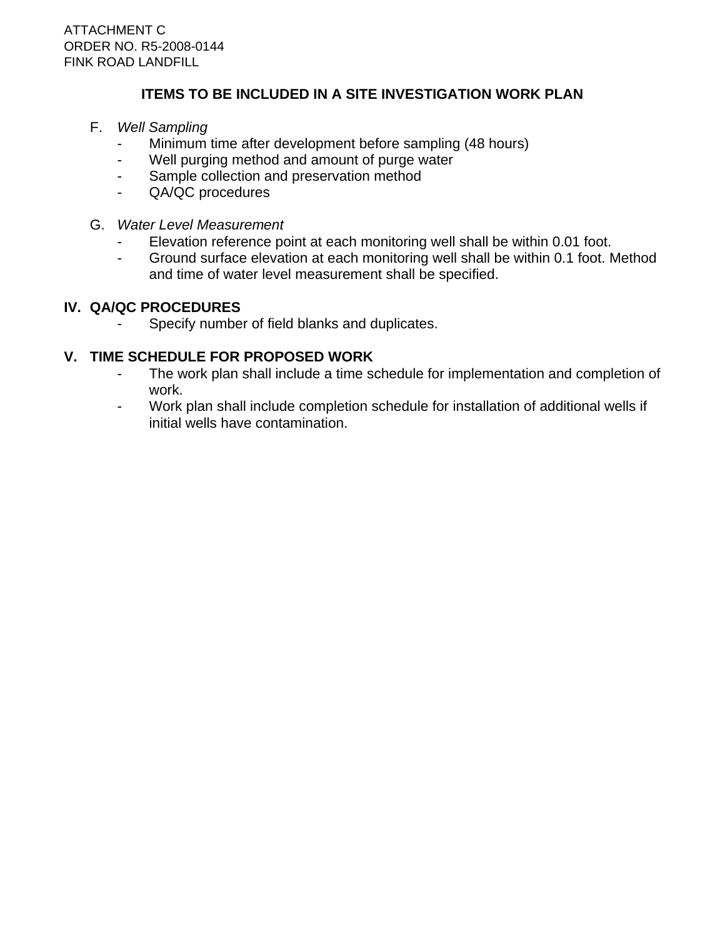# **ITEMS TO BE INCLUDED IN A SITE INVESTIGATION WORK PLAN**

- F. *Well Sampling*
	- Minimum time after development before sampling (48 hours)
	- Well purging method and amount of purge water
	- Sample collection and preservation method
	- QA/QC procedures
- G. *Water Level Measurement*
	- Elevation reference point at each monitoring well shall be within 0.01 foot.
	- Ground surface elevation at each monitoring well shall be within 0.1 foot. Method and time of water level measurement shall be specified.

# **IV. QA/QC PROCEDURES**

Specify number of field blanks and duplicates.

## **V. TIME SCHEDULE FOR PROPOSED WORK**

- The work plan shall include a time schedule for implementation and completion of work.
- Work plan shall include completion schedule for installation of additional wells if initial wells have contamination.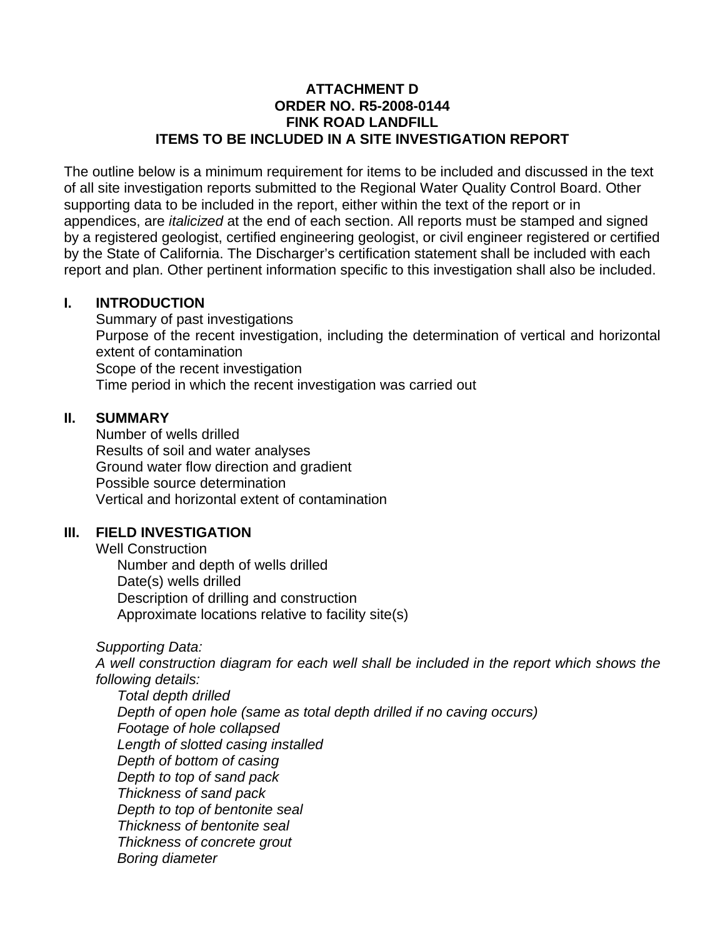## **ATTACHMENT D ORDER NO. R5-2008-0144 FINK ROAD LANDFILL ITEMS TO BE INCLUDED IN A SITE INVESTIGATION REPORT**

The outline below is a minimum requirement for items to be included and discussed in the text of all site investigation reports submitted to the Regional Water Quality Control Board. Other supporting data to be included in the report, either within the text of the report or in appendices, are *italicized* at the end of each section. All reports must be stamped and signed by a registered geologist, certified engineering geologist, or civil engineer registered or certified by the State of California. The Discharger's certification statement shall be included with each report and plan. Other pertinent information specific to this investigation shall also be included.

## **I. INTRODUCTION**

 Summary of past investigations Purpose of the recent investigation, including the determination of vertical and horizontal extent of contamination Scope of the recent investigation Time period in which the recent investigation was carried out

## **II. SUMMARY**

 Number of wells drilled Results of soil and water analyses Ground water flow direction and gradient Possible source determination Vertical and horizontal extent of contamination

## **III. FIELD INVESTIGATION**

 Well Construction Number and depth of wells drilled Date(s) wells drilled Description of drilling and construction Approximate locations relative to facility site(s)

*Supporting Data:* 

 *A well construction diagram for each well shall be included in the report which shows the following details:* 

 *Total depth drilled Depth of open hole (same as total depth drilled if no caving occurs) Footage of hole collapsed Length of slotted casing installed Depth of bottom of casing Depth to top of sand pack Thickness of sand pack Depth to top of bentonite seal Thickness of bentonite seal Thickness of concrete grout Boring diameter*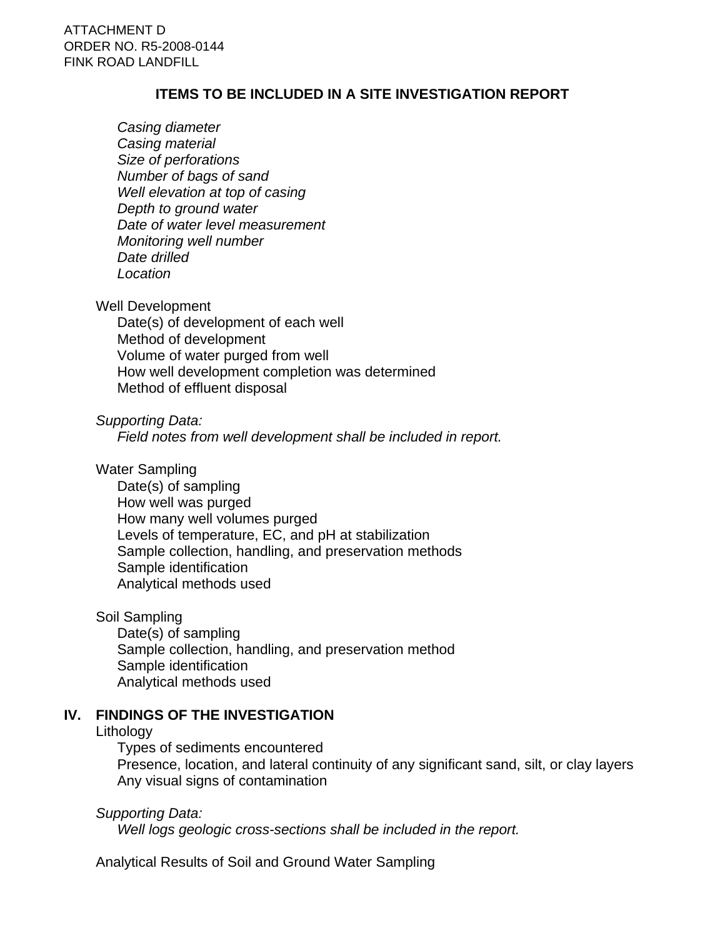## **ITEMS TO BE INCLUDED IN A SITE INVESTIGATION REPORT**

 *Casing diameter Casing material Size of perforations Number of bags of sand Well elevation at top of casing Depth to ground water Date of water level measurement Monitoring well number Date drilled Location*

#### Well Development

 Date(s) of development of each well Method of development Volume of water purged from well How well development completion was determined Method of effluent disposal

## *Supporting Data:*

 *Field notes from well development shall be included in report.*

#### Water Sampling

 Date(s) of sampling How well was purged How many well volumes purged Levels of temperature, EC, and pH at stabilization Sample collection, handling, and preservation methods Sample identification Analytical methods used

#### Soil Sampling

 Date(s) of sampling Sample collection, handling, and preservation method Sample identification Analytical methods used

## **IV. FINDINGS OF THE INVESTIGATION**

#### **Lithology**

 Types of sediments encountered Presence, location, and lateral continuity of any significant sand, silt, or clay layers Any visual signs of contamination

## *Supporting Data:*

 *Well logs geologic cross-sections shall be included in the report.*

Analytical Results of Soil and Ground Water Sampling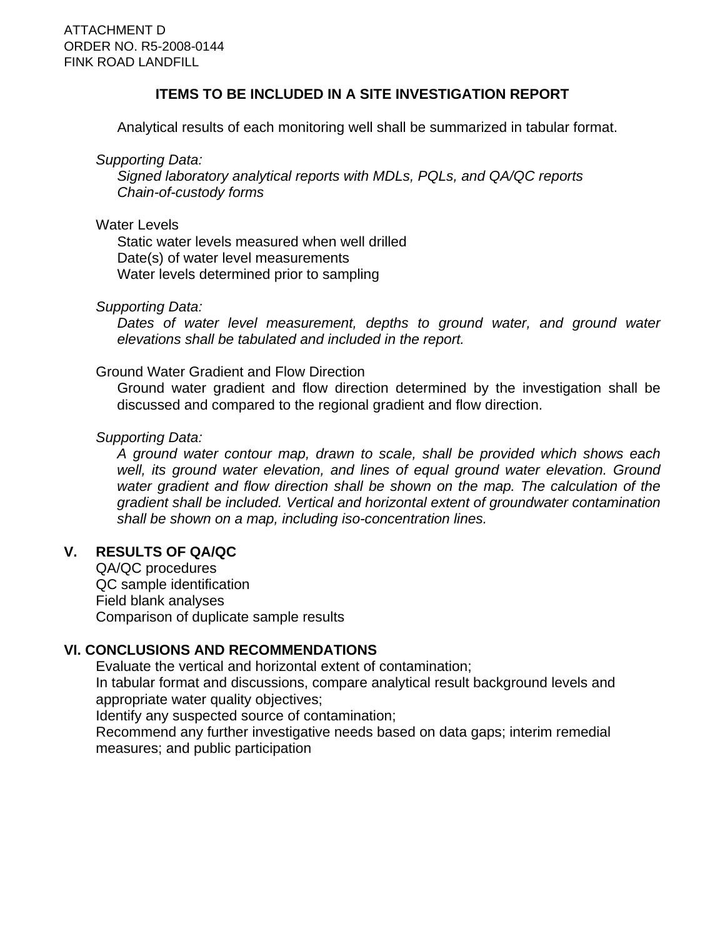## **ITEMS TO BE INCLUDED IN A SITE INVESTIGATION REPORT**

Analytical results of each monitoring well shall be summarized in tabular format.

*Supporting Data:* 

 *Signed laboratory analytical reports with MDLs, PQLs, and QA/QC reports Chain-of-custody forms* 

#### Water Levels

 Static water levels measured when well drilled Date(s) of water level measurements Water levels determined prior to sampling

## *Supporting Data:*

 *Dates of water level measurement, depths to ground water, and ground water elevations shall be tabulated and included in the report.*

## Ground Water Gradient and Flow Direction

 Ground water gradient and flow direction determined by the investigation shall be discussed and compared to the regional gradient and flow direction.

## *Supporting Data:*

 *A ground water contour map, drawn to scale, shall be provided which shows each*  well, its ground water elevation, and lines of equal ground water elevation. Ground *water gradient and flow direction shall be shown on the map. The calculation of the gradient shall be included. Vertical and horizontal extent of groundwater contamination shall be shown on a map, including iso-concentration lines.*

## **V. RESULTS OF QA/QC**

 QA/QC procedures QC sample identification Field blank analyses Comparison of duplicate sample results

# **VI. CONCLUSIONS AND RECOMMENDATIONS**

 Evaluate the vertical and horizontal extent of contamination; In tabular format and discussions, compare analytical result background levels and appropriate water quality objectives;

Identify any suspected source of contamination;

 Recommend any further investigative needs based on data gaps; interim remedial measures; and public participation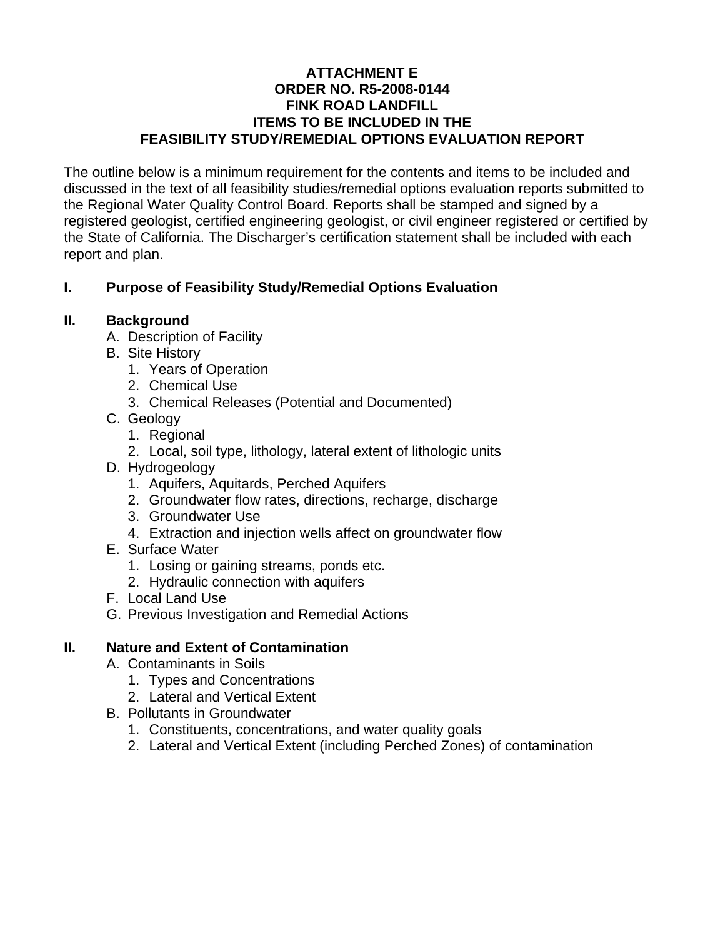## **ATTACHMENT E ORDER NO. R5-2008-0144 FINK ROAD LANDFILL ITEMS TO BE INCLUDED IN THE FEASIBILITY STUDY/REMEDIAL OPTIONS EVALUATION REPORT**

The outline below is a minimum requirement for the contents and items to be included and discussed in the text of all feasibility studies/remedial options evaluation reports submitted to the Regional Water Quality Control Board. Reports shall be stamped and signed by a registered geologist, certified engineering geologist, or civil engineer registered or certified by the State of California. The Discharger's certification statement shall be included with each report and plan.

# **I. Purpose of Feasibility Study/Remedial Options Evaluation**

## **II. Background**

- A. Description of Facility
- B. Site History
	- 1. Years of Operation
	- 2. Chemical Use
	- 3. Chemical Releases (Potential and Documented)
- C. Geology
	- 1. Regional
	- 2. Local, soil type, lithology, lateral extent of lithologic units
- D. Hydrogeology
	- 1. Aquifers, Aquitards, Perched Aquifers
	- 2. Groundwater flow rates, directions, recharge, discharge
	- 3. Groundwater Use
	- 4. Extraction and injection wells affect on groundwater flow
- E. Surface Water
	- 1. Losing or gaining streams, ponds etc.
	- 2. Hydraulic connection with aquifers
- F. Local Land Use
- G. Previous Investigation and Remedial Actions

## **II. Nature and Extent of Contamination**

- A. Contaminants in Soils
	- 1. Types and Concentrations
	- 2. Lateral and Vertical Extent
- B. Pollutants in Groundwater
	- 1. Constituents, concentrations, and water quality goals
	- 2. Lateral and Vertical Extent (including Perched Zones) of contamination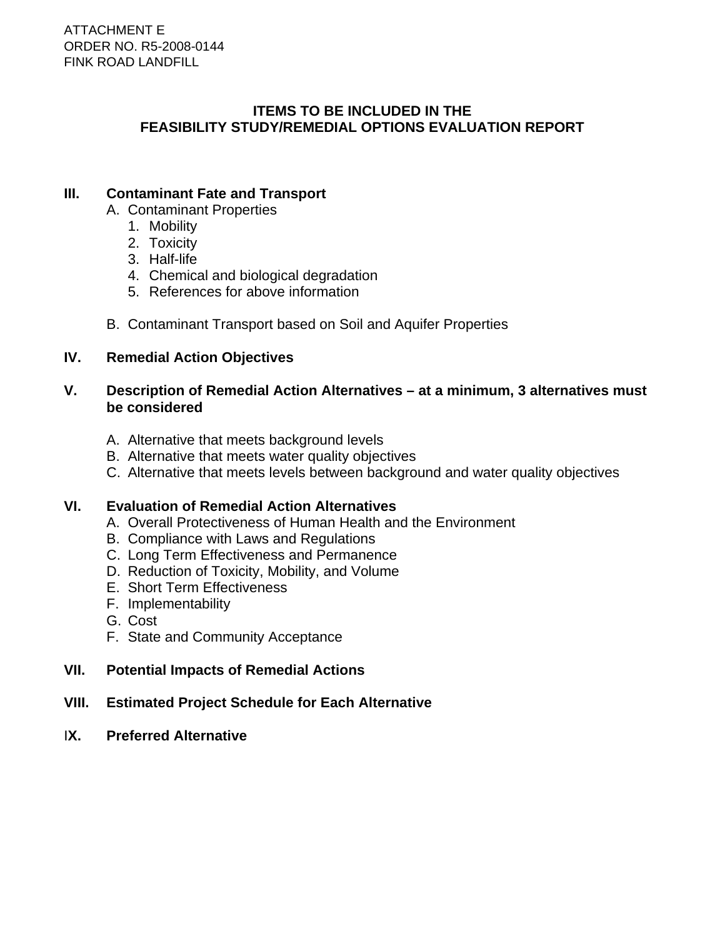## **ITEMS TO BE INCLUDED IN THE FEASIBILITY STUDY/REMEDIAL OPTIONS EVALUATION REPORT**

# **III. Contaminant Fate and Transport**

- A. Contaminant Properties
	- 1. Mobility
	- 2. Toxicity
	- 3. Half-life
	- 4. Chemical and biological degradation
	- 5. References for above information
- B. Contaminant Transport based on Soil and Aquifer Properties

## **IV. Remedial Action Objectives**

## **V. Description of Remedial Action Alternatives – at a minimum, 3 alternatives must be considered**

- A. Alternative that meets background levels
- B. Alternative that meets water quality objectives
- C. Alternative that meets levels between background and water quality objectives

## **VI. Evaluation of Remedial Action Alternatives**

- A. Overall Protectiveness of Human Health and the Environment
- B. Compliance with Laws and Regulations
- C. Long Term Effectiveness and Permanence
- D. Reduction of Toxicity, Mobility, and Volume
- E. Short Term Effectiveness
- F. Implementability
- G. Cost
- F. State and Community Acceptance
- **VII. Potential Impacts of Remedial Actions**
- **VIII. Estimated Project Schedule for Each Alternative**
- I**X. Preferred Alternative**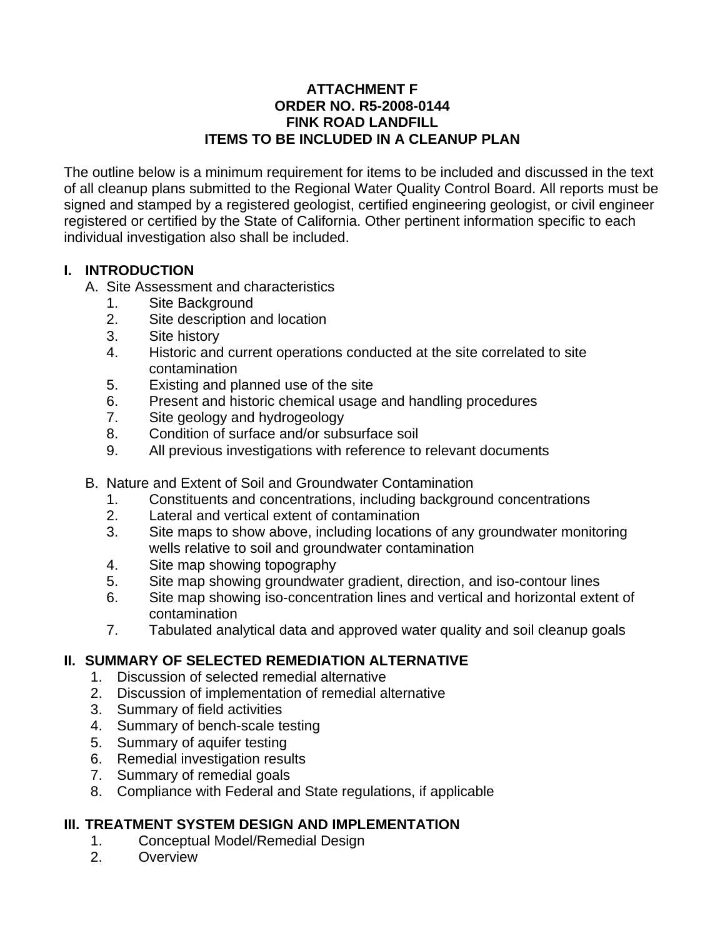## **ATTACHMENT F ORDER NO. R5-2008-0144 FINK ROAD LANDFILL ITEMS TO BE INCLUDED IN A CLEANUP PLAN**

The outline below is a minimum requirement for items to be included and discussed in the text of all cleanup plans submitted to the Regional Water Quality Control Board. All reports must be signed and stamped by a registered geologist, certified engineering geologist, or civil engineer registered or certified by the State of California. Other pertinent information specific to each individual investigation also shall be included.

# **I. INTRODUCTION**

- A. Site Assessment and characteristics
	- 1. Site Background
	- 2. Site description and location
	- 3. Site history
	- 4. Historic and current operations conducted at the site correlated to site contamination
	- 5. Existing and planned use of the site
	- 6. Present and historic chemical usage and handling procedures
	- 7. Site geology and hydrogeology
	- 8. Condition of surface and/or subsurface soil
	- 9. All previous investigations with reference to relevant documents
- B. Nature and Extent of Soil and Groundwater Contamination
	- 1. Constituents and concentrations, including background concentrations
	- 2. Lateral and vertical extent of contamination
	- 3. Site maps to show above, including locations of any groundwater monitoring wells relative to soil and groundwater contamination
	- 4. Site map showing topography
	- 5. Site map showing groundwater gradient, direction, and iso-contour lines
	- 6. Site map showing iso-concentration lines and vertical and horizontal extent of contamination
	- 7. Tabulated analytical data and approved water quality and soil cleanup goals

# **II. SUMMARY OF SELECTED REMEDIATION ALTERNATIVE**

- 1. Discussion of selected remedial alternative
- 2. Discussion of implementation of remedial alternative
- 3. Summary of field activities
- 4. Summary of bench-scale testing
- 5. Summary of aquifer testing
- 6. Remedial investigation results
- 7. Summary of remedial goals
- 8. Compliance with Federal and State regulations, if applicable

# **III. TREATMENT SYSTEM DESIGN AND IMPLEMENTATION**

- 1. Conceptual Model/Remedial Design
- 2. Overview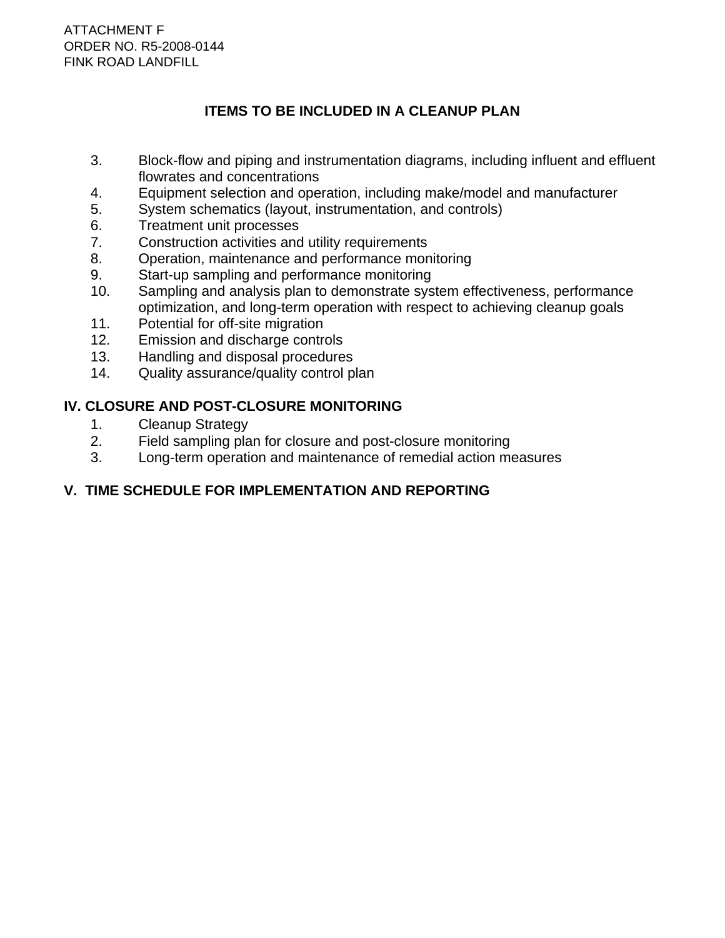# **ITEMS TO BE INCLUDED IN A CLEANUP PLAN**

- 3. Block-flow and piping and instrumentation diagrams, including influent and effluent flowrates and concentrations
- 4. Equipment selection and operation, including make/model and manufacturer
- 5. System schematics (layout, instrumentation, and controls)
- 6. Treatment unit processes
- 7. Construction activities and utility requirements
- 8. Operation, maintenance and performance monitoring
- 9. Start-up sampling and performance monitoring
- 10. Sampling and analysis plan to demonstrate system effectiveness, performance optimization, and long-term operation with respect to achieving cleanup goals
- 11. Potential for off-site migration
- 12. Emission and discharge controls
- 13. Handling and disposal procedures
- 14. Quality assurance/quality control plan

# **IV. CLOSURE AND POST-CLOSURE MONITORING**

- 1. Cleanup Strategy
- 2. Field sampling plan for closure and post-closure monitoring<br>3. Long-term operation and maintenance of remedial action me
- Long-term operation and maintenance of remedial action measures

# **V. TIME SCHEDULE FOR IMPLEMENTATION AND REPORTING**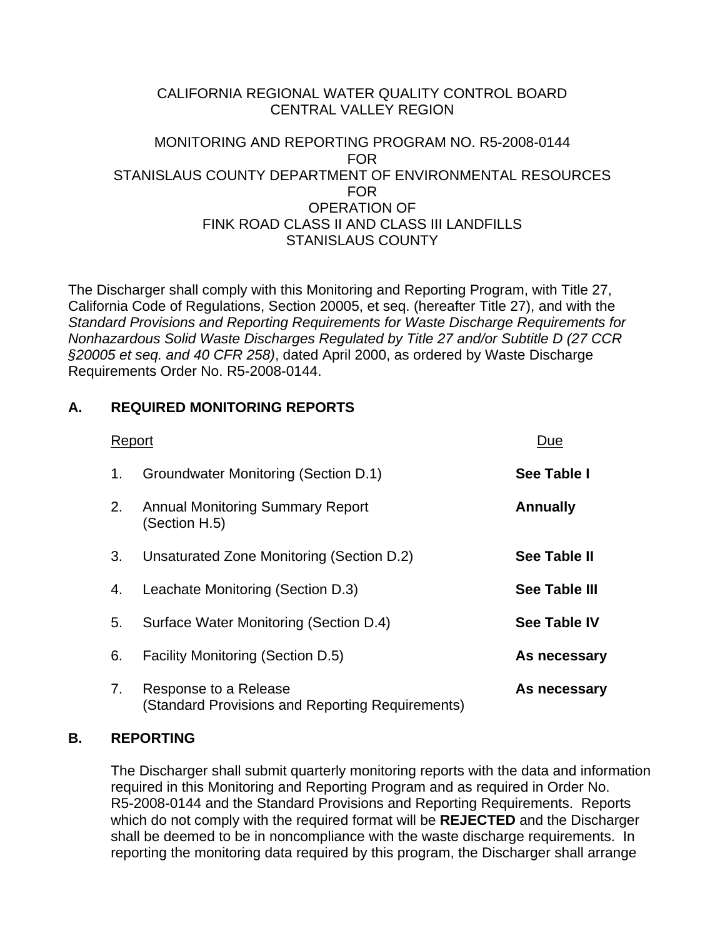## CALIFORNIA REGIONAL WATER QUALITY CONTROL BOARD CENTRAL VALLEY REGION

## MONITORING AND REPORTING PROGRAM NO. R5-2008-0144 FOR STANISLAUS COUNTY DEPARTMENT OF ENVIRONMENTAL RESOURCES FOR OPERATION OF FINK ROAD CLASS II AND CLASS III LANDFILLS STANISLAUS COUNTY

The Discharger shall comply with this Monitoring and Reporting Program, with Title 27, California Code of Regulations, Section 20005, et seq. (hereafter Title 27), and with the *Standard Provisions and Reporting Requirements for Waste Discharge Requirements for Nonhazardous Solid Waste Discharges Regulated by Title 27 and/or Subtitle D (27 CCR §20005 et seq. and 40 CFR 258)*, dated April 2000, as ordered by Waste Discharge Requirements Order No. R5-2008-0144.

# **A. REQUIRED MONITORING REPORTS**

| Report |                                                                           | Due                  |
|--------|---------------------------------------------------------------------------|----------------------|
| 1.     | Groundwater Monitoring (Section D.1)                                      | See Table I          |
| 2.     | <b>Annual Monitoring Summary Report</b><br>(Section H.5)                  | <b>Annually</b>      |
| 3.     | Unsaturated Zone Monitoring (Section D.2)                                 | See Table II         |
| 4.     | Leachate Monitoring (Section D.3)                                         | <b>See Table III</b> |
| 5.     | Surface Water Monitoring (Section D.4)                                    | <b>See Table IV</b>  |
| 6.     | <b>Facility Monitoring (Section D.5)</b>                                  | As necessary         |
| 7.     | Response to a Release<br>(Standard Provisions and Reporting Requirements) | As necessary         |

# **B. REPORTING**

 The Discharger shall submit quarterly monitoring reports with the data and information required in this Monitoring and Reporting Program and as required in Order No. R5-2008-0144 and the Standard Provisions and Reporting Requirements. Reports which do not comply with the required format will be **REJECTED** and the Discharger shall be deemed to be in noncompliance with the waste discharge requirements. In reporting the monitoring data required by this program, the Discharger shall arrange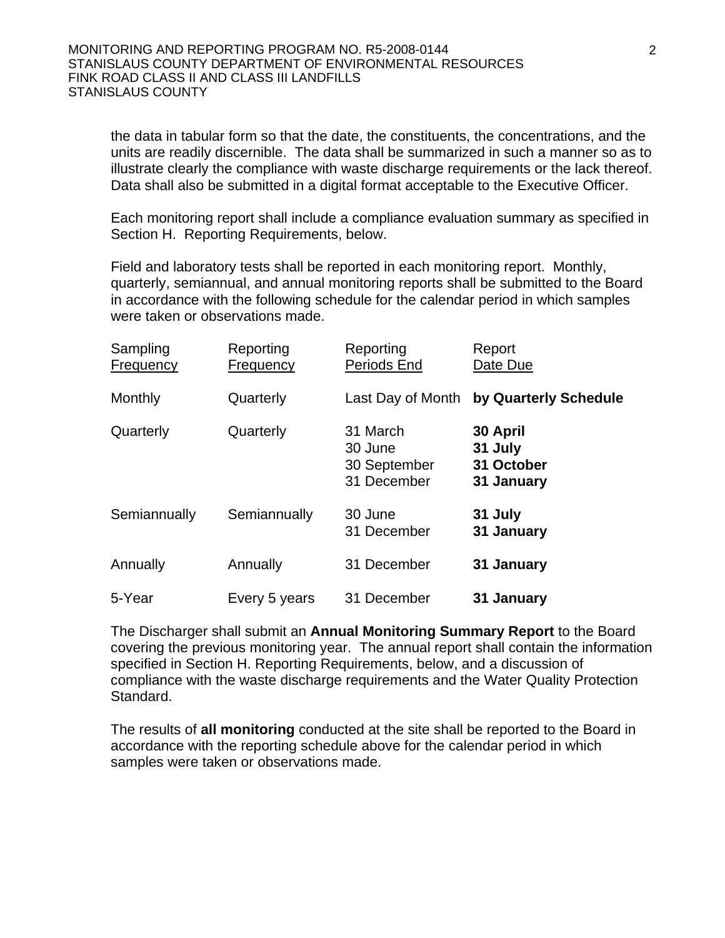the data in tabular form so that the date, the constituents, the concentrations, and the units are readily discernible. The data shall be summarized in such a manner so as to illustrate clearly the compliance with waste discharge requirements or the lack thereof. Data shall also be submitted in a digital format acceptable to the Executive Officer.

 Each monitoring report shall include a compliance evaluation summary as specified in Section H. Reporting Requirements, below.

 Field and laboratory tests shall be reported in each monitoring report. Monthly, quarterly, semiannual, and annual monitoring reports shall be submitted to the Board in accordance with the following schedule for the calendar period in which samples were taken or observations made.

| Sampling<br><b>Frequency</b> | Reporting<br><b>Frequency</b> | Reporting<br>Periods End                           | Report<br>Date Due                              |
|------------------------------|-------------------------------|----------------------------------------------------|-------------------------------------------------|
| Monthly                      | Quarterly                     | Last Day of Month                                  | by Quarterly Schedule                           |
| Quarterly                    | Quarterly                     | 31 March<br>30 June<br>30 September<br>31 December | 30 April<br>31 July<br>31 October<br>31 January |
| Semiannually                 | Semiannually                  | 30 June<br>31 December                             | 31 July<br>31 January                           |
| Annually                     | Annually                      | 31 December                                        | 31 January                                      |
| 5-Year                       | Every 5 years                 | 31 December                                        | 31 January                                      |

 The Discharger shall submit an **Annual Monitoring Summary Report** to the Board covering the previous monitoring year. The annual report shall contain the information specified in Section H. Reporting Requirements, below, and a discussion of compliance with the waste discharge requirements and the Water Quality Protection Standard.

 The results of **all monitoring** conducted at the site shall be reported to the Board in accordance with the reporting schedule above for the calendar period in which samples were taken or observations made.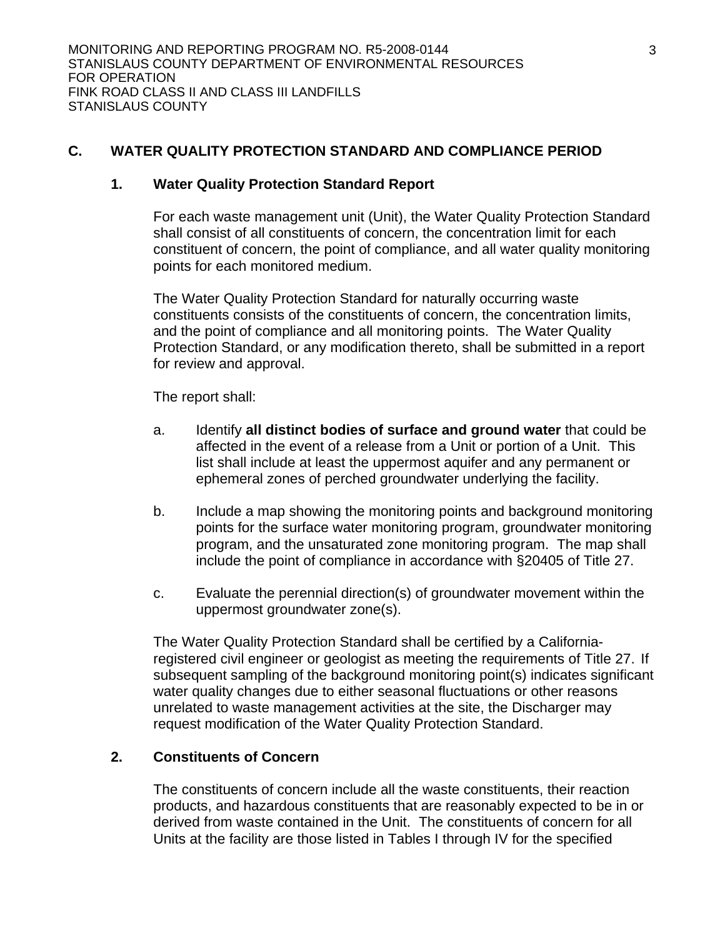## **C. WATER QUALITY PROTECTION STANDARD AND COMPLIANCE PERIOD**

#### **1. Water Quality Protection Standard Report**

 For each waste management unit (Unit), the Water Quality Protection Standard shall consist of all constituents of concern, the concentration limit for each constituent of concern, the point of compliance, and all water quality monitoring points for each monitored medium.

 The Water Quality Protection Standard for naturally occurring waste constituents consists of the constituents of concern, the concentration limits, and the point of compliance and all monitoring points. The Water Quality Protection Standard, or any modification thereto, shall be submitted in a report for review and approval.

The report shall:

- a. Identify **all distinct bodies of surface and ground water** that could be affected in the event of a release from a Unit or portion of a Unit. This list shall include at least the uppermost aquifer and any permanent or ephemeral zones of perched groundwater underlying the facility.
- b. Include a map showing the monitoring points and background monitoring points for the surface water monitoring program, groundwater monitoring program, and the unsaturated zone monitoring program. The map shall include the point of compliance in accordance with §20405 of Title 27.
- c. Evaluate the perennial direction(s) of groundwater movement within the uppermost groundwater zone(s).

 The Water Quality Protection Standard shall be certified by a Californiaregistered civil engineer or geologist as meeting the requirements of Title 27. If subsequent sampling of the background monitoring point(s) indicates significant water quality changes due to either seasonal fluctuations or other reasons unrelated to waste management activities at the site, the Discharger may request modification of the Water Quality Protection Standard.

## **2. Constituents of Concern**

 The constituents of concern include all the waste constituents, their reaction products, and hazardous constituents that are reasonably expected to be in or derived from waste contained in the Unit. The constituents of concern for all Units at the facility are those listed in Tables I through IV for the specified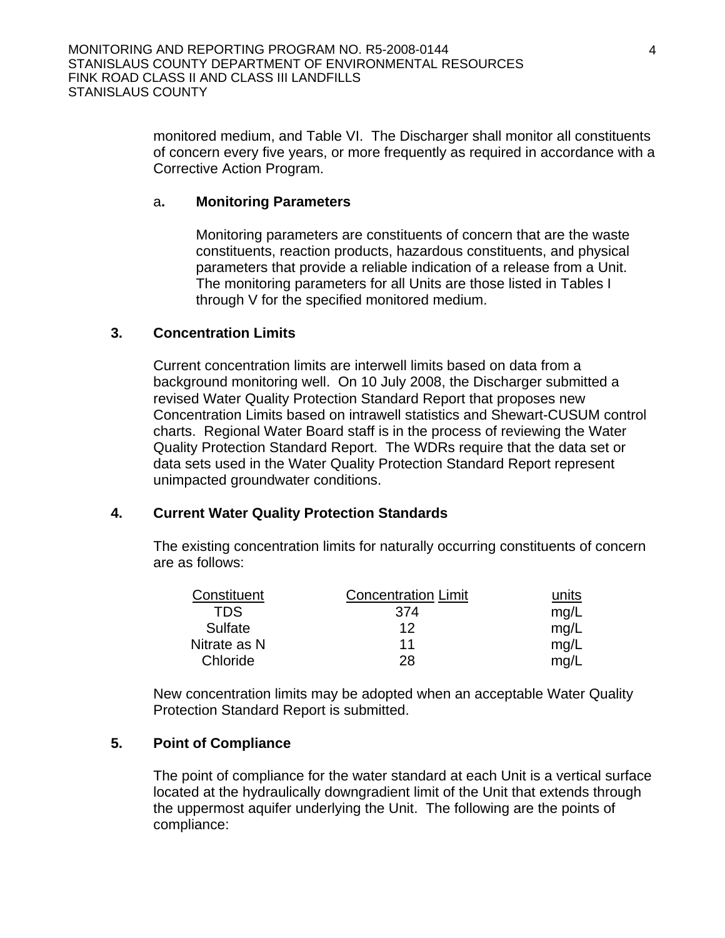monitored medium, and Table VI. The Discharger shall monitor all constituents of concern every five years, or more frequently as required in accordance with a Corrective Action Program.

#### a**. Monitoring Parameters**

 Monitoring parameters are constituents of concern that are the waste constituents, reaction products, hazardous constituents, and physical parameters that provide a reliable indication of a release from a Unit. The monitoring parameters for all Units are those listed in Tables I through V for the specified monitored medium.

#### **3. Concentration Limits**

 Current concentration limits are interwell limits based on data from a background monitoring well. On 10 July 2008, the Discharger submitted a revised Water Quality Protection Standard Report that proposes new Concentration Limits based on intrawell statistics and Shewart-CUSUM control charts. Regional Water Board staff is in the process of reviewing the Water Quality Protection Standard Report. The WDRs require that the data set or data sets used in the Water Quality Protection Standard Report represent unimpacted groundwater conditions.

## **4. Current Water Quality Protection Standards**

The existing concentration limits for naturally occurring constituents of concern are as follows:

| Constituent  | <b>Concentration Limit</b> | units |
|--------------|----------------------------|-------|
| TDS.         | 374                        | mq/L  |
| Sulfate      | 12                         | mq/L  |
| Nitrate as N | 11                         | mq/L  |
| Chloride     | 28                         | ma/   |

New concentration limits may be adopted when an acceptable Water Quality Protection Standard Report is submitted.

## **5. Point of Compliance**

 The point of compliance for the water standard at each Unit is a vertical surface located at the hydraulically downgradient limit of the Unit that extends through the uppermost aquifer underlying the Unit. The following are the points of compliance: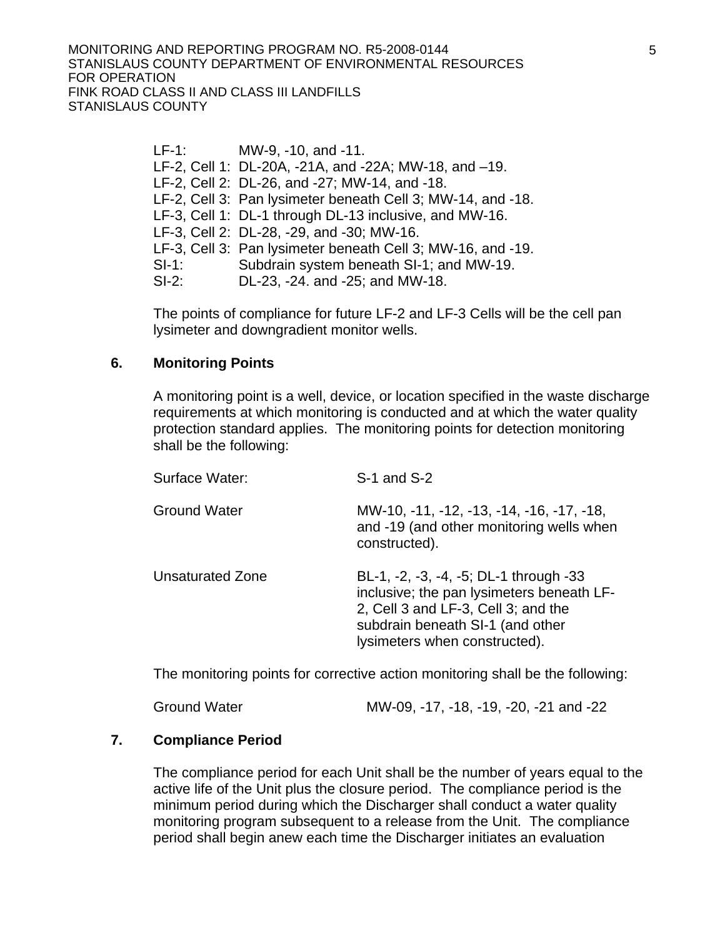LF-1: MW-9, -10, and -11. LF-2, Cell 1: DL-20A, -21A, and -22A; MW-18, and –19. LF-2, Cell 2: DL-26, and -27; MW-14, and -18. LF-2, Cell 3: Pan lysimeter beneath Cell 3; MW-14, and -18. LF-3, Cell 1: DL-1 through DL-13 inclusive, and MW-16. LF-3, Cell 2: DL-28, -29, and -30; MW-16. LF-3, Cell 3: Pan lysimeter beneath Cell 3; MW-16, and -19. SI-1: Subdrain system beneath SI-1; and MW-19. SI-2: DL-23, -24. and -25; and MW-18.

 The points of compliance for future LF-2 and LF-3 Cells will be the cell pan lysimeter and downgradient monitor wells.

#### **6. Monitoring Points**

A monitoring point is a well, device, or location specified in the waste discharge requirements at which monitoring is conducted and at which the water quality protection standard applies. The monitoring points for detection monitoring shall be the following:

| Surface Water:          | S-1 and S-2                                                                                                                                                                                     |
|-------------------------|-------------------------------------------------------------------------------------------------------------------------------------------------------------------------------------------------|
| <b>Ground Water</b>     | MW-10, -11, -12, -13, -14, -16, -17, -18,<br>and -19 (and other monitoring wells when<br>constructed).                                                                                          |
| <b>Unsaturated Zone</b> | BL-1, -2, -3, -4, -5; DL-1 through -33<br>inclusive; the pan lysimeters beneath LF-<br>2, Cell 3 and LF-3, Cell 3; and the<br>subdrain beneath SI-1 (and other<br>lysimeters when constructed). |

The monitoring points for corrective action monitoring shall be the following:

#### **7. Compliance Period**

 The compliance period for each Unit shall be the number of years equal to the active life of the Unit plus the closure period. The compliance period is the minimum period during which the Discharger shall conduct a water quality monitoring program subsequent to a release from the Unit. The compliance period shall begin anew each time the Discharger initiates an evaluation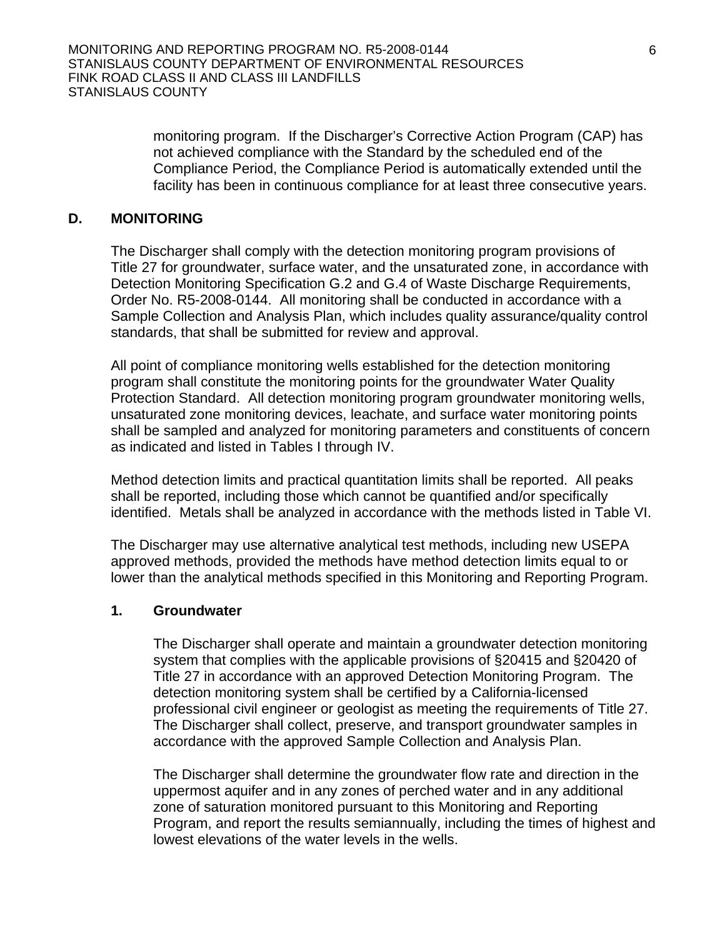monitoring program. If the Discharger's Corrective Action Program (CAP) has not achieved compliance with the Standard by the scheduled end of the Compliance Period, the Compliance Period is automatically extended until the facility has been in continuous compliance for at least three consecutive years.

#### **D. MONITORING**

The Discharger shall comply with the detection monitoring program provisions of Title 27 for groundwater, surface water, and the unsaturated zone, in accordance with Detection Monitoring Specification G.2 and G.4 of Waste Discharge Requirements, Order No. R5-2008-0144. All monitoring shall be conducted in accordance with a Sample Collection and Analysis Plan, which includes quality assurance/quality control standards, that shall be submitted for review and approval.

All point of compliance monitoring wells established for the detection monitoring program shall constitute the monitoring points for the groundwater Water Quality Protection Standard. All detection monitoring program groundwater monitoring wells, unsaturated zone monitoring devices, leachate, and surface water monitoring points shall be sampled and analyzed for monitoring parameters and constituents of concern as indicated and listed in Tables I through IV.

Method detection limits and practical quantitation limits shall be reported. All peaks shall be reported, including those which cannot be quantified and/or specifically identified. Metals shall be analyzed in accordance with the methods listed in Table VI.

The Discharger may use alternative analytical test methods, including new USEPA approved methods, provided the methods have method detection limits equal to or lower than the analytical methods specified in this Monitoring and Reporting Program.

#### **1. Groundwater**

The Discharger shall operate and maintain a groundwater detection monitoring system that complies with the applicable provisions of §20415 and §20420 of Title 27 in accordance with an approved Detection Monitoring Program. The detection monitoring system shall be certified by a California-licensed professional civil engineer or geologist as meeting the requirements of Title 27. The Discharger shall collect, preserve, and transport groundwater samples in accordance with the approved Sample Collection and Analysis Plan.

The Discharger shall determine the groundwater flow rate and direction in the uppermost aquifer and in any zones of perched water and in any additional zone of saturation monitored pursuant to this Monitoring and Reporting Program, and report the results semiannually, including the times of highest and lowest elevations of the water levels in the wells.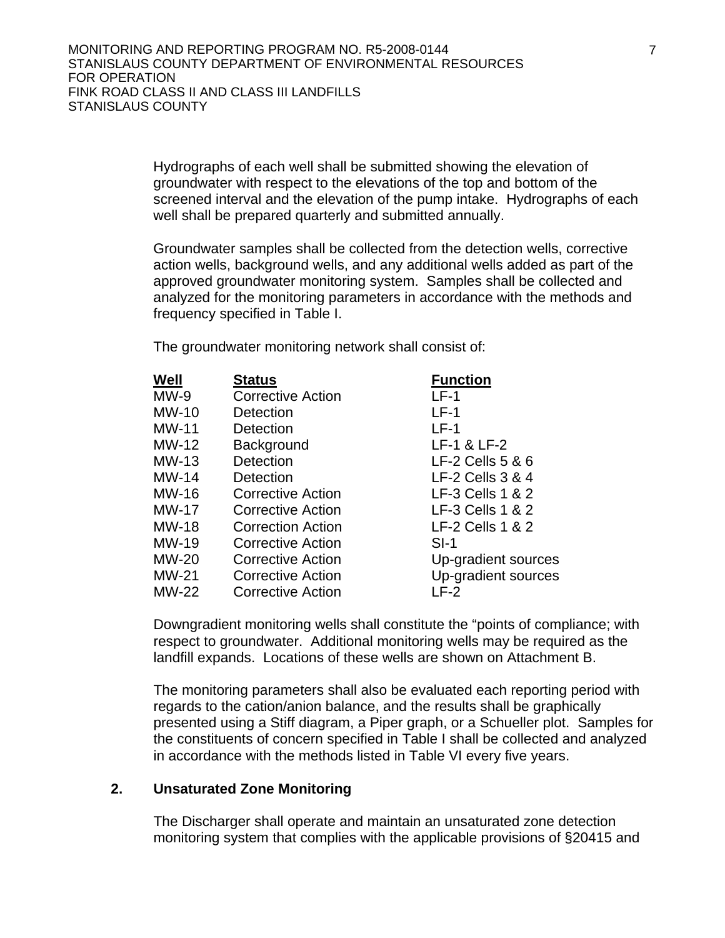Hydrographs of each well shall be submitted showing the elevation of groundwater with respect to the elevations of the top and bottom of the screened interval and the elevation of the pump intake. Hydrographs of each well shall be prepared quarterly and submitted annually.

Groundwater samples shall be collected from the detection wells, corrective action wells, background wells, and any additional wells added as part of the approved groundwater monitoring system. Samples shall be collected and analyzed for the monitoring parameters in accordance with the methods and frequency specified in Table I.

The groundwater monitoring network shall consist of:

| Well         | <b>Status</b>            | <b>Function</b>     |
|--------------|--------------------------|---------------------|
| $MW-9$       | <b>Corrective Action</b> | $LF-1$              |
| $MW-10$      | Detection                | $LF-1$              |
| $MW-11$      | Detection                | $LF-1$              |
| $MW-12$      | Background               | LF-1 & LF-2         |
| $MW-13$      | Detection                | LF-2 Cells $5 & 6$  |
| $MW-14$      | Detection                | LF-2 Cells 3 & 4    |
| MW-16        | Corrective Action        | LF-3 Cells 1 & 2    |
| <b>MW-17</b> | <b>Corrective Action</b> | LF-3 Cells 1 & 2    |
| <b>MW-18</b> | <b>Correction Action</b> | LF-2 Cells 1 & 2    |
| <b>MW-19</b> | <b>Corrective Action</b> | $SI-1$              |
| <b>MW-20</b> | <b>Corrective Action</b> | Up-gradient sources |
| $MW-21$      | <b>Corrective Action</b> | Up-gradient sources |
| <b>MW-22</b> | <b>Corrective Action</b> | $LF-2$              |

Downgradient monitoring wells shall constitute the "points of compliance; with respect to groundwater. Additional monitoring wells may be required as the landfill expands. Locations of these wells are shown on Attachment B.

The monitoring parameters shall also be evaluated each reporting period with regards to the cation/anion balance, and the results shall be graphically presented using a Stiff diagram, a Piper graph, or a Schueller plot. Samples for the constituents of concern specified in Table I shall be collected and analyzed in accordance with the methods listed in Table VI every five years.

## **2. Unsaturated Zone Monitoring**

The Discharger shall operate and maintain an unsaturated zone detection monitoring system that complies with the applicable provisions of §20415 and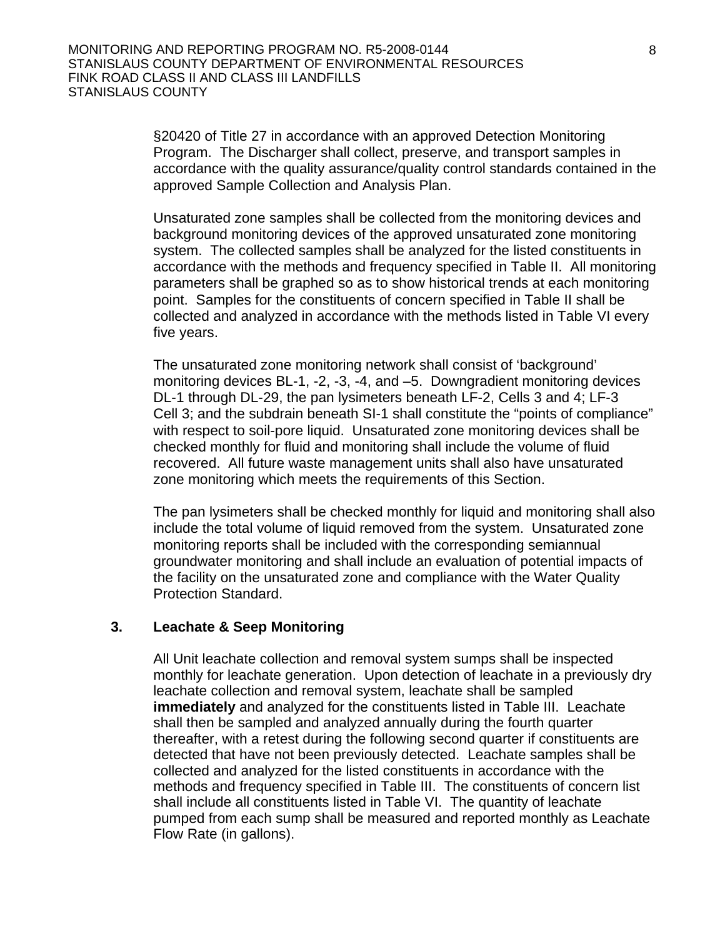§20420 of Title 27 in accordance with an approved Detection Monitoring Program. The Discharger shall collect, preserve, and transport samples in accordance with the quality assurance/quality control standards contained in the approved Sample Collection and Analysis Plan.

Unsaturated zone samples shall be collected from the monitoring devices and background monitoring devices of the approved unsaturated zone monitoring system. The collected samples shall be analyzed for the listed constituents in accordance with the methods and frequency specified in Table II. All monitoring parameters shall be graphed so as to show historical trends at each monitoring point. Samples for the constituents of concern specified in Table II shall be collected and analyzed in accordance with the methods listed in Table VI every five years.

The unsaturated zone monitoring network shall consist of 'background' monitoring devices BL-1, -2, -3, -4, and –5. Downgradient monitoring devices DL-1 through DL-29, the pan lysimeters beneath LF-2, Cells 3 and 4; LF-3 Cell 3; and the subdrain beneath SI-1 shall constitute the "points of compliance" with respect to soil-pore liquid. Unsaturated zone monitoring devices shall be checked monthly for fluid and monitoring shall include the volume of fluid recovered. All future waste management units shall also have unsaturated zone monitoring which meets the requirements of this Section.

The pan lysimeters shall be checked monthly for liquid and monitoring shall also include the total volume of liquid removed from the system. Unsaturated zone monitoring reports shall be included with the corresponding semiannual groundwater monitoring and shall include an evaluation of potential impacts of the facility on the unsaturated zone and compliance with the Water Quality Protection Standard.

#### **3. Leachate & Seep Monitoring**

All Unit leachate collection and removal system sumps shall be inspected monthly for leachate generation. Upon detection of leachate in a previously dry leachate collection and removal system, leachate shall be sampled **immediately** and analyzed for the constituents listed in Table III. Leachate shall then be sampled and analyzed annually during the fourth quarter thereafter, with a retest during the following second quarter if constituents are detected that have not been previously detected. Leachate samples shall be collected and analyzed for the listed constituents in accordance with the methods and frequency specified in Table III. The constituents of concern list shall include all constituents listed in Table VI. The quantity of leachate pumped from each sump shall be measured and reported monthly as Leachate Flow Rate (in gallons).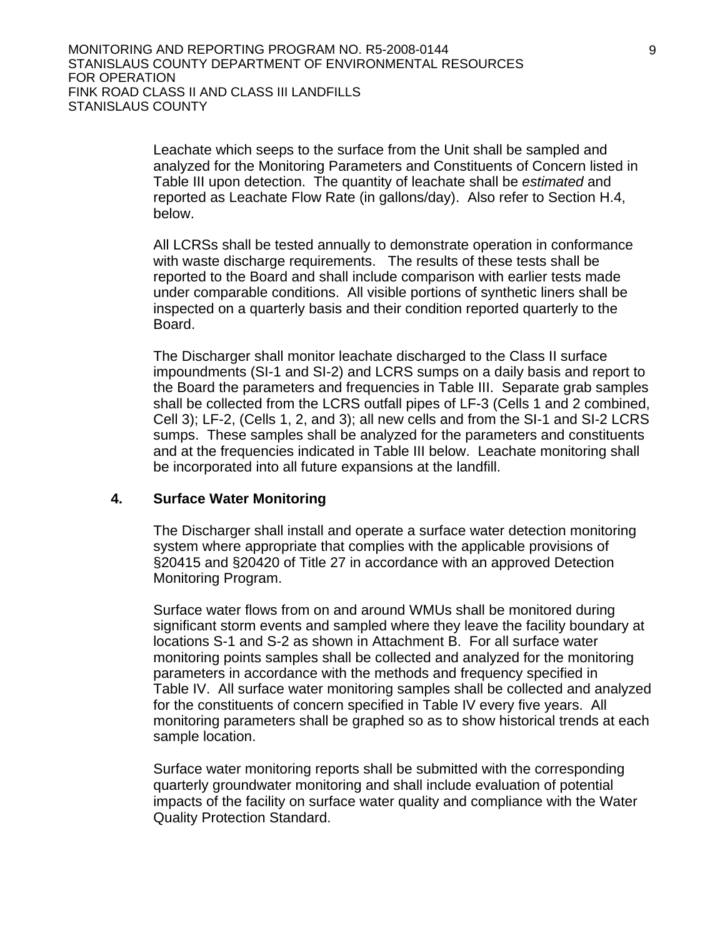Leachate which seeps to the surface from the Unit shall be sampled and analyzed for the Monitoring Parameters and Constituents of Concern listed in Table III upon detection. The quantity of leachate shall be *estimated* and reported as Leachate Flow Rate (in gallons/day). Also refer to Section H.4, below.

All LCRSs shall be tested annually to demonstrate operation in conformance with waste discharge requirements. The results of these tests shall be reported to the Board and shall include comparison with earlier tests made under comparable conditions. All visible portions of synthetic liners shall be inspected on a quarterly basis and their condition reported quarterly to the Board.

The Discharger shall monitor leachate discharged to the Class II surface impoundments (SI-1 and SI-2) and LCRS sumps on a daily basis and report to the Board the parameters and frequencies in Table III. Separate grab samples shall be collected from the LCRS outfall pipes of LF-3 (Cells 1 and 2 combined, Cell 3); LF-2, (Cells 1, 2, and 3); all new cells and from the SI-1 and SI-2 LCRS sumps. These samples shall be analyzed for the parameters and constituents and at the frequencies indicated in Table III below. Leachate monitoring shall be incorporated into all future expansions at the landfill.

#### **4. Surface Water Monitoring**

The Discharger shall install and operate a surface water detection monitoring system where appropriate that complies with the applicable provisions of §20415 and §20420 of Title 27 in accordance with an approved Detection Monitoring Program.

Surface water flows from on and around WMUs shall be monitored during significant storm events and sampled where they leave the facility boundary at locations S-1 and S-2 as shown in Attachment B. For all surface water monitoring points samples shall be collected and analyzed for the monitoring parameters in accordance with the methods and frequency specified in Table IV. All surface water monitoring samples shall be collected and analyzed for the constituents of concern specified in Table IV every five years. All monitoring parameters shall be graphed so as to show historical trends at each sample location.

Surface water monitoring reports shall be submitted with the corresponding quarterly groundwater monitoring and shall include evaluation of potential impacts of the facility on surface water quality and compliance with the Water Quality Protection Standard.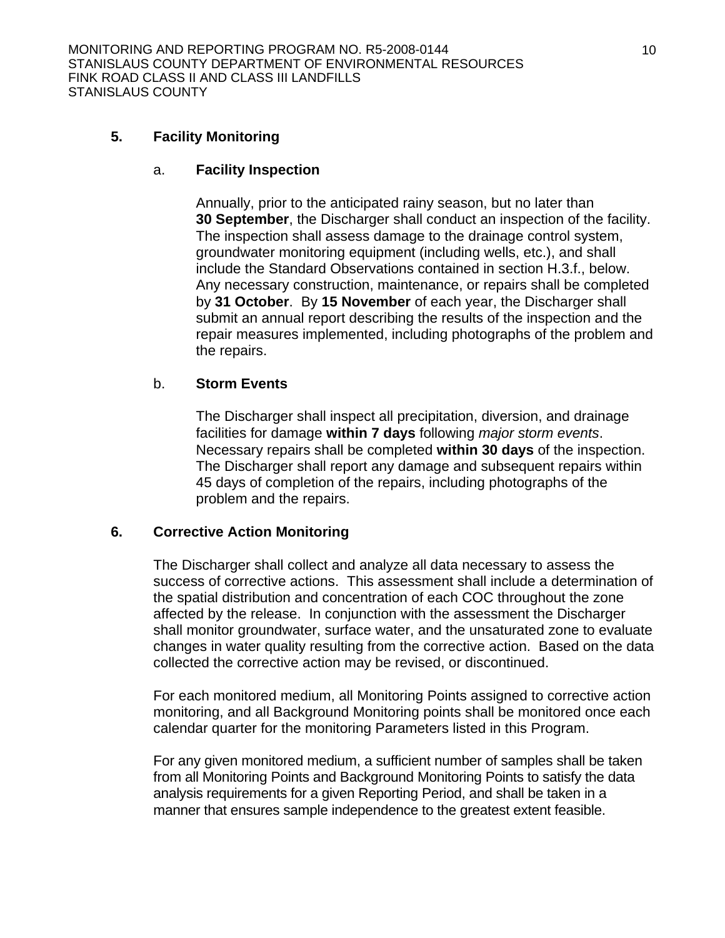## **5. Facility Monitoring**

#### a. **Facility Inspection**

Annually, prior to the anticipated rainy season, but no later than **30 September**, the Discharger shall conduct an inspection of the facility. The inspection shall assess damage to the drainage control system, groundwater monitoring equipment (including wells, etc.), and shall include the Standard Observations contained in section H.3.f., below. Any necessary construction, maintenance, or repairs shall be completed by **31 October**. By **15 November** of each year, the Discharger shall submit an annual report describing the results of the inspection and the repair measures implemented, including photographs of the problem and the repairs.

## b. **Storm Events**

The Discharger shall inspect all precipitation, diversion, and drainage facilities for damage **within 7 days** following *major storm events*. Necessary repairs shall be completed **within 30 days** of the inspection. The Discharger shall report any damage and subsequent repairs within 45 days of completion of the repairs, including photographs of the problem and the repairs.

## **6. Corrective Action Monitoring**

The Discharger shall collect and analyze all data necessary to assess the success of corrective actions. This assessment shall include a determination of the spatial distribution and concentration of each COC throughout the zone affected by the release. In conjunction with the assessment the Discharger shall monitor groundwater, surface water, and the unsaturated zone to evaluate changes in water quality resulting from the corrective action. Based on the data collected the corrective action may be revised, or discontinued.

For each monitored medium, all Monitoring Points assigned to corrective action monitoring, and all Background Monitoring points shall be monitored once each calendar quarter for the monitoring Parameters listed in this Program.

For any given monitored medium, a sufficient number of samples shall be taken from all Monitoring Points and Background Monitoring Points to satisfy the data analysis requirements for a given Reporting Period, and shall be taken in a manner that ensures sample independence to the greatest extent feasible.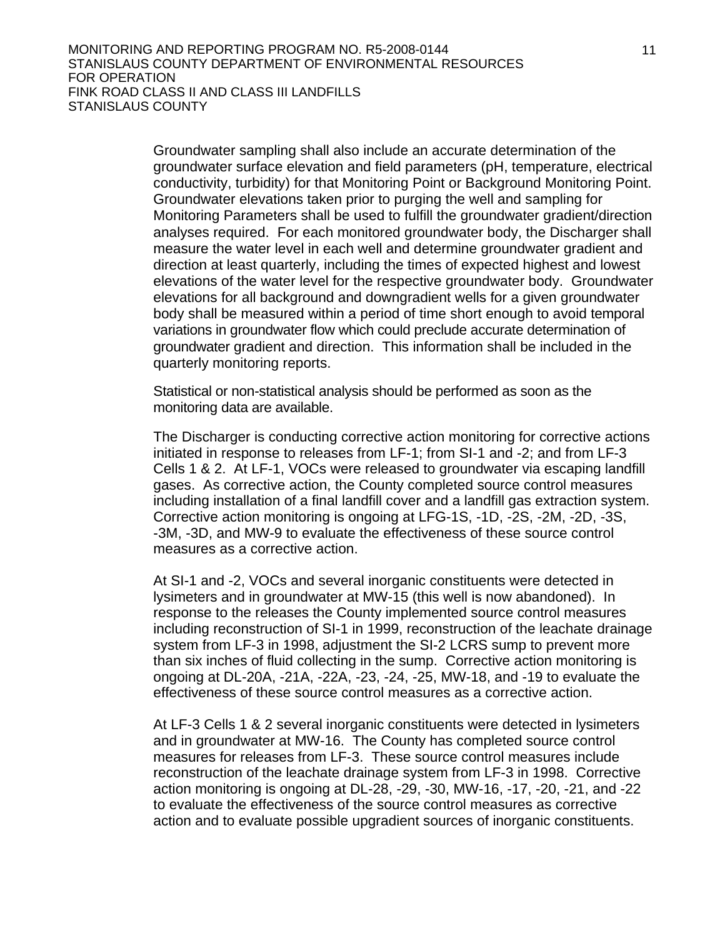Groundwater sampling shall also include an accurate determination of the groundwater surface elevation and field parameters (pH, temperature, electrical conductivity, turbidity) for that Monitoring Point or Background Monitoring Point. Groundwater elevations taken prior to purging the well and sampling for Monitoring Parameters shall be used to fulfill the groundwater gradient/direction analyses required. For each monitored groundwater body, the Discharger shall measure the water level in each well and determine groundwater gradient and direction at least quarterly, including the times of expected highest and lowest elevations of the water level for the respective groundwater body. Groundwater elevations for all background and downgradient wells for a given groundwater body shall be measured within a period of time short enough to avoid temporal variations in groundwater flow which could preclude accurate determination of groundwater gradient and direction. This information shall be included in the quarterly monitoring reports.

Statistical or non-statistical analysis should be performed as soon as the monitoring data are available.

The Discharger is conducting corrective action monitoring for corrective actions initiated in response to releases from LF-1; from SI-1 and -2; and from LF-3 Cells 1 & 2. At LF-1, VOCs were released to groundwater via escaping landfill gases. As corrective action, the County completed source control measures including installation of a final landfill cover and a landfill gas extraction system. Corrective action monitoring is ongoing at LFG-1S, -1D, -2S, -2M, -2D, -3S, -3M, -3D, and MW-9 to evaluate the effectiveness of these source control measures as a corrective action.

 At SI-1 and -2, VOCs and several inorganic constituents were detected in lysimeters and in groundwater at MW-15 (this well is now abandoned). In response to the releases the County implemented source control measures including reconstruction of SI-1 in 1999, reconstruction of the leachate drainage system from LF-3 in 1998, adjustment the SI-2 LCRS sump to prevent more than six inches of fluid collecting in the sump. Corrective action monitoring is ongoing at DL-20A, -21A, -22A, -23, -24, -25, MW-18, and -19 to evaluate the effectiveness of these source control measures as a corrective action.

 At LF-3 Cells 1 & 2 several inorganic constituents were detected in lysimeters and in groundwater at MW-16. The County has completed source control measures for releases from LF-3. These source control measures include reconstruction of the leachate drainage system from LF-3 in 1998. Corrective action monitoring is ongoing at DL-28, -29, -30, MW-16, -17, -20, -21, and -22 to evaluate the effectiveness of the source control measures as corrective action and to evaluate possible upgradient sources of inorganic constituents.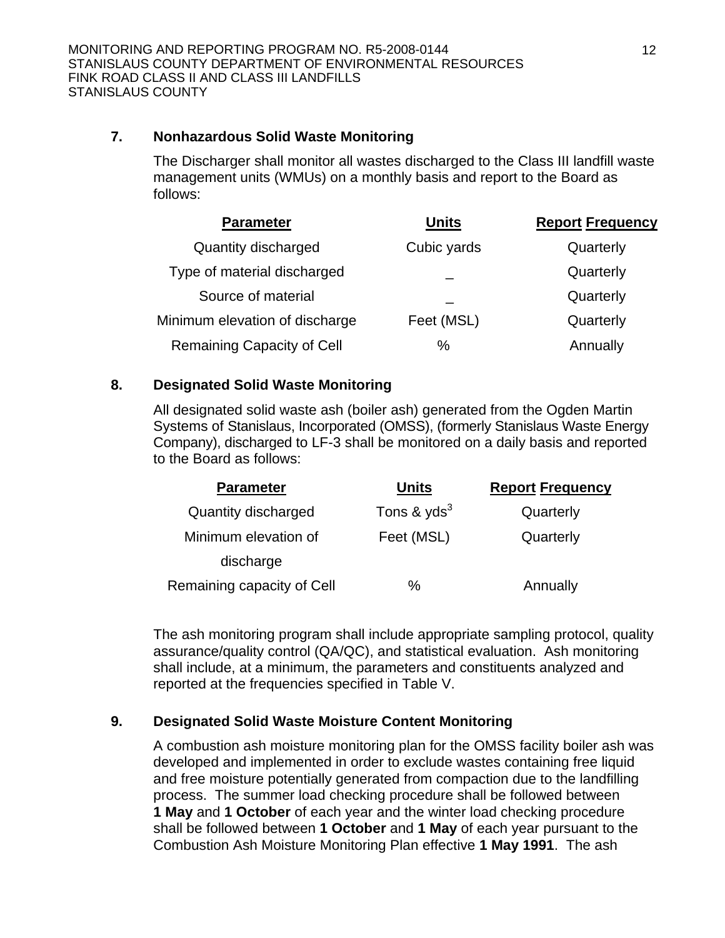## **7. Nonhazardous Solid Waste Monitoring**

 The Discharger shall monitor all wastes discharged to the Class III landfill waste management units (WMUs) on a monthly basis and report to the Board as follows:

| <b>Parameter</b>               | <b>Units</b> | <b>Report Frequency</b> |
|--------------------------------|--------------|-------------------------|
| Quantity discharged            | Cubic yards  | Quarterly               |
| Type of material discharged    |              | Quarterly               |
| Source of material             |              | Quarterly               |
| Minimum elevation of discharge | Feet (MSL)   | Quarterly               |
| Remaining Capacity of Cell     | %            | Annually                |

## **8. Designated Solid Waste Monitoring**

 All designated solid waste ash (boiler ash) generated from the Ogden Martin Systems of Stanislaus, Incorporated (OMSS), (formerly Stanislaus Waste Energy Company), discharged to LF-3 shall be monitored on a daily basis and reported to the Board as follows:

| <b>Parameter</b>           | <b>Units</b>  | <b>Report Frequency</b> |
|----------------------------|---------------|-------------------------|
| Quantity discharged        | Tons & $yds3$ | Quarterly               |
| Minimum elevation of       | Feet (MSL)    | Quarterly               |
| discharge                  |               |                         |
| Remaining capacity of Cell | ℅             | Annually                |

 The ash monitoring program shall include appropriate sampling protocol, quality assurance/quality control (QA/QC), and statistical evaluation. Ash monitoring shall include, at a minimum, the parameters and constituents analyzed and reported at the frequencies specified in Table V.

# **9. Designated Solid Waste Moisture Content Monitoring**

 A combustion ash moisture monitoring plan for the OMSS facility boiler ash was developed and implemented in order to exclude wastes containing free liquid and free moisture potentially generated from compaction due to the landfilling process. The summer load checking procedure shall be followed between **1 May** and **1 October** of each year and the winter load checking procedure shall be followed between **1 October** and **1 May** of each year pursuant to the Combustion Ash Moisture Monitoring Plan effective **1 May 1991**. The ash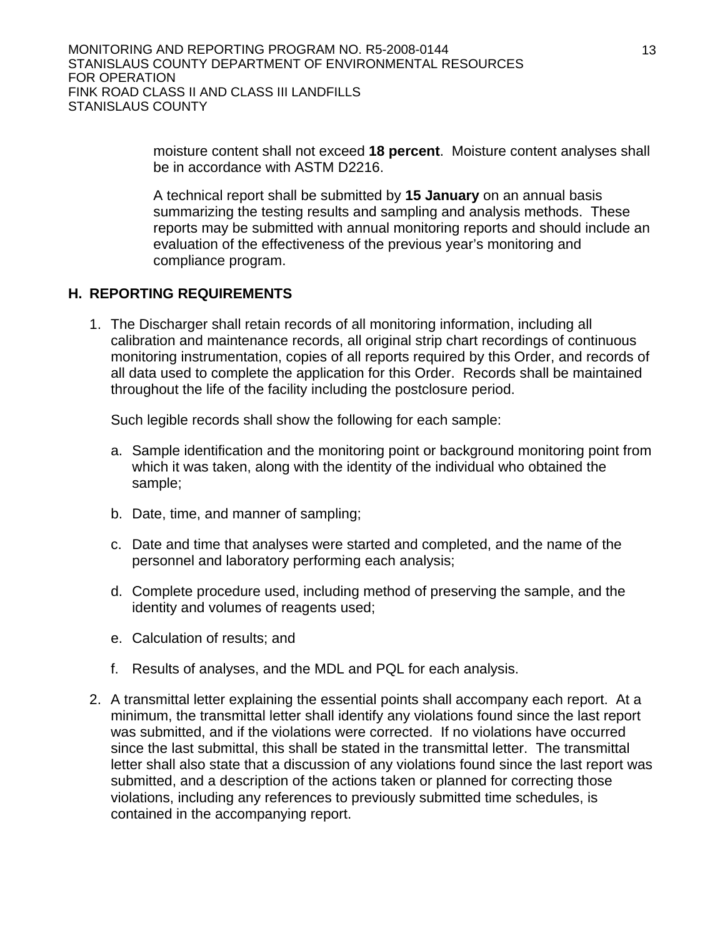moisture content shall not exceed **18 percent**. Moisture content analyses shall be in accordance with ASTM D2216.

 A technical report shall be submitted by **15 January** on an annual basis summarizing the testing results and sampling and analysis methods. These reports may be submitted with annual monitoring reports and should include an evaluation of the effectiveness of the previous year's monitoring and compliance program.

## **H. REPORTING REQUIREMENTS**

1. The Discharger shall retain records of all monitoring information, including all calibration and maintenance records, all original strip chart recordings of continuous monitoring instrumentation, copies of all reports required by this Order, and records of all data used to complete the application for this Order. Records shall be maintained throughout the life of the facility including the postclosure period.

Such legible records shall show the following for each sample:

- a. Sample identification and the monitoring point or background monitoring point from which it was taken, along with the identity of the individual who obtained the sample;
- b. Date, time, and manner of sampling;
- c. Date and time that analyses were started and completed, and the name of the personnel and laboratory performing each analysis;
- d. Complete procedure used, including method of preserving the sample, and the identity and volumes of reagents used;
- e. Calculation of results; and
- f. Results of analyses, and the MDL and PQL for each analysis.
- 2. A transmittal letter explaining the essential points shall accompany each report. At a minimum, the transmittal letter shall identify any violations found since the last report was submitted, and if the violations were corrected. If no violations have occurred since the last submittal, this shall be stated in the transmittal letter. The transmittal letter shall also state that a discussion of any violations found since the last report was submitted, and a description of the actions taken or planned for correcting those violations, including any references to previously submitted time schedules, is contained in the accompanying report.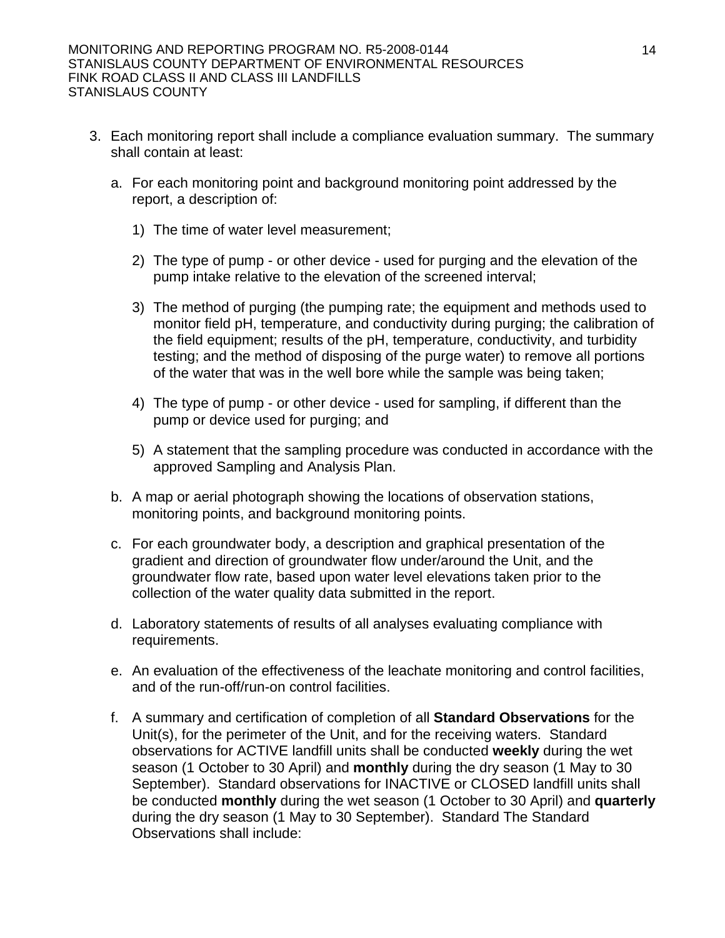- 3. Each monitoring report shall include a compliance evaluation summary. The summary shall contain at least:
	- a. For each monitoring point and background monitoring point addressed by the report, a description of:
		- 1) The time of water level measurement;
		- 2) The type of pump or other device used for purging and the elevation of the pump intake relative to the elevation of the screened interval;
		- 3) The method of purging (the pumping rate; the equipment and methods used to monitor field pH, temperature, and conductivity during purging; the calibration of the field equipment; results of the pH, temperature, conductivity, and turbidity testing; and the method of disposing of the purge water) to remove all portions of the water that was in the well bore while the sample was being taken;
		- 4) The type of pump or other device used for sampling, if different than the pump or device used for purging; and
		- 5) A statement that the sampling procedure was conducted in accordance with the approved Sampling and Analysis Plan.
	- b. A map or aerial photograph showing the locations of observation stations, monitoring points, and background monitoring points.
	- c. For each groundwater body, a description and graphical presentation of the gradient and direction of groundwater flow under/around the Unit, and the groundwater flow rate, based upon water level elevations taken prior to the collection of the water quality data submitted in the report.
	- d. Laboratory statements of results of all analyses evaluating compliance with requirements.
	- e. An evaluation of the effectiveness of the leachate monitoring and control facilities, and of the run-off/run-on control facilities.
	- f. A summary and certification of completion of all **Standard Observations** for the Unit(s), for the perimeter of the Unit, and for the receiving waters. Standard observations for ACTIVE landfill units shall be conducted **weekly** during the wet season (1 October to 30 April) and **monthly** during the dry season (1 May to 30 September). Standard observations for INACTIVE or CLOSED landfill units shall be conducted **monthly** during the wet season (1 October to 30 April) and **quarterly** during the dry season (1 May to 30 September). Standard The Standard Observations shall include: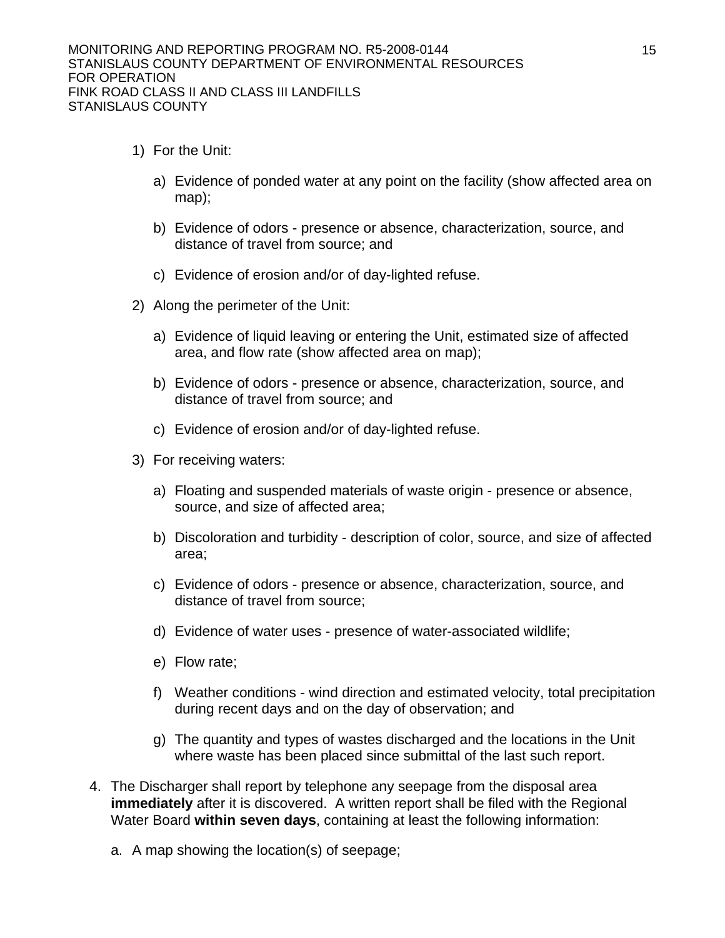- 1) For the Unit:
	- a) Evidence of ponded water at any point on the facility (show affected area on map);
	- b) Evidence of odors presence or absence, characterization, source, and distance of travel from source; and
	- c) Evidence of erosion and/or of day-lighted refuse.
- 2) Along the perimeter of the Unit:
	- a) Evidence of liquid leaving or entering the Unit, estimated size of affected area, and flow rate (show affected area on map);
	- b) Evidence of odors presence or absence, characterization, source, and distance of travel from source; and
	- c) Evidence of erosion and/or of day-lighted refuse.
- 3) For receiving waters:
	- a) Floating and suspended materials of waste origin presence or absence, source, and size of affected area;
	- b) Discoloration and turbidity description of color, source, and size of affected area;
	- c) Evidence of odors presence or absence, characterization, source, and distance of travel from source;
	- d) Evidence of water uses presence of water-associated wildlife;
	- e) Flow rate;
	- f) Weather conditions wind direction and estimated velocity, total precipitation during recent days and on the day of observation; and
	- g) The quantity and types of wastes discharged and the locations in the Unit where waste has been placed since submittal of the last such report.
- 4. The Discharger shall report by telephone any seepage from the disposal area **immediately** after it is discovered. A written report shall be filed with the Regional Water Board **within seven days**, containing at least the following information:
	- a. A map showing the location(s) of seepage;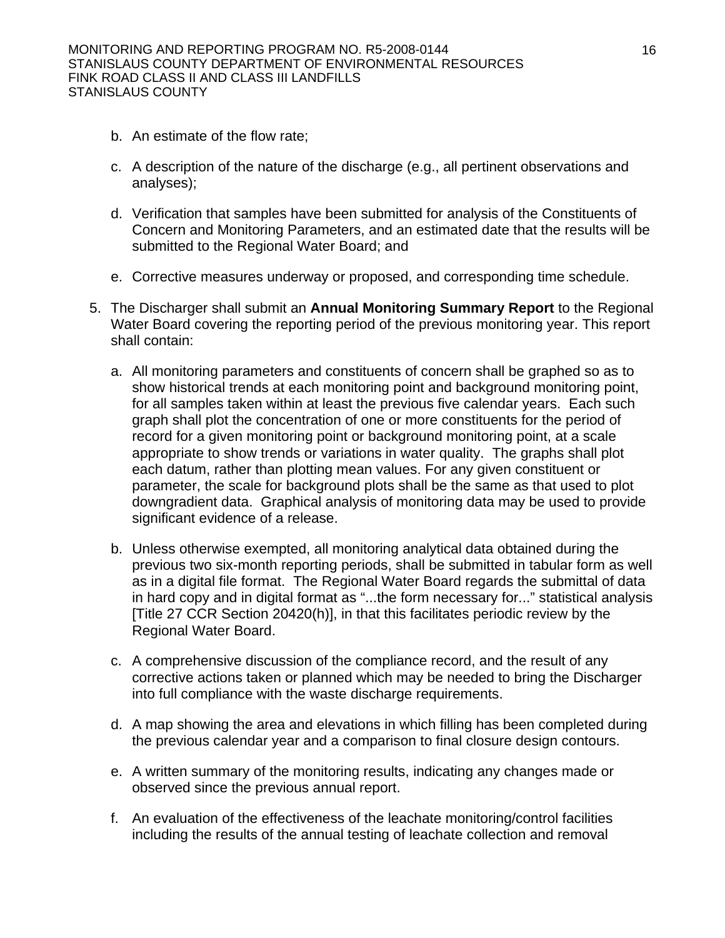- b. An estimate of the flow rate;
- c. A description of the nature of the discharge (e.g., all pertinent observations and analyses);
- d. Verification that samples have been submitted for analysis of the Constituents of Concern and Monitoring Parameters, and an estimated date that the results will be submitted to the Regional Water Board; and
- e. Corrective measures underway or proposed, and corresponding time schedule.
- 5. The Discharger shall submit an **Annual Monitoring Summary Report** to the Regional Water Board covering the reporting period of the previous monitoring year. This report shall contain:
	- a. All monitoring parameters and constituents of concern shall be graphed so as to show historical trends at each monitoring point and background monitoring point, for all samples taken within at least the previous five calendar years. Each such graph shall plot the concentration of one or more constituents for the period of record for a given monitoring point or background monitoring point, at a scale appropriate to show trends or variations in water quality. The graphs shall plot each datum, rather than plotting mean values. For any given constituent or parameter, the scale for background plots shall be the same as that used to plot downgradient data. Graphical analysis of monitoring data may be used to provide significant evidence of a release.
	- b. Unless otherwise exempted, all monitoring analytical data obtained during the previous two six-month reporting periods, shall be submitted in tabular form as well as in a digital file format. The Regional Water Board regards the submittal of data in hard copy and in digital format as "...the form necessary for..." statistical analysis [Title 27 CCR Section 20420(h)], in that this facilitates periodic review by the Regional Water Board.
	- c. A comprehensive discussion of the compliance record, and the result of any corrective actions taken or planned which may be needed to bring the Discharger into full compliance with the waste discharge requirements.
	- d. A map showing the area and elevations in which filling has been completed during the previous calendar year and a comparison to final closure design contours.
	- e. A written summary of the monitoring results, indicating any changes made or observed since the previous annual report.
	- f. An evaluation of the effectiveness of the leachate monitoring/control facilities including the results of the annual testing of leachate collection and removal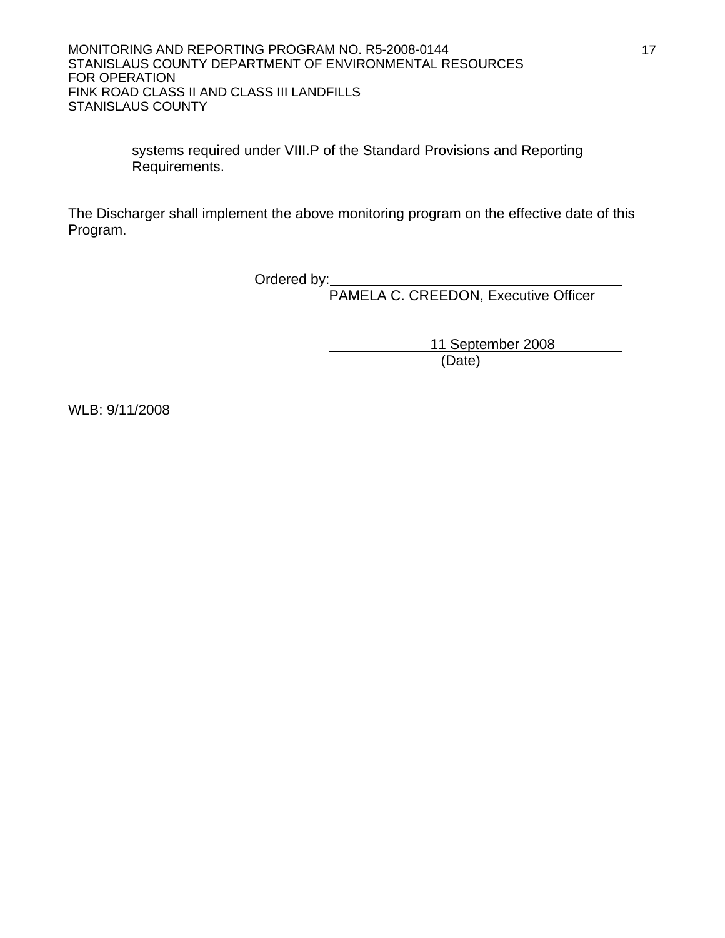systems required under VIII.P of the Standard Provisions and Reporting Requirements.

The Discharger shall implement the above monitoring program on the effective date of this Program.

**Canadian Contract Contract Contract Contract Contract Contract Contract Contract Contract Contract Contract Contract Contract Contract Contract Contract Contract Contract Contract Contract Contract Contract Contract Contr** 

PAMELA C. CREEDON, Executive Officer

 11 September 2008 (Date)

WLB: 9/11/2008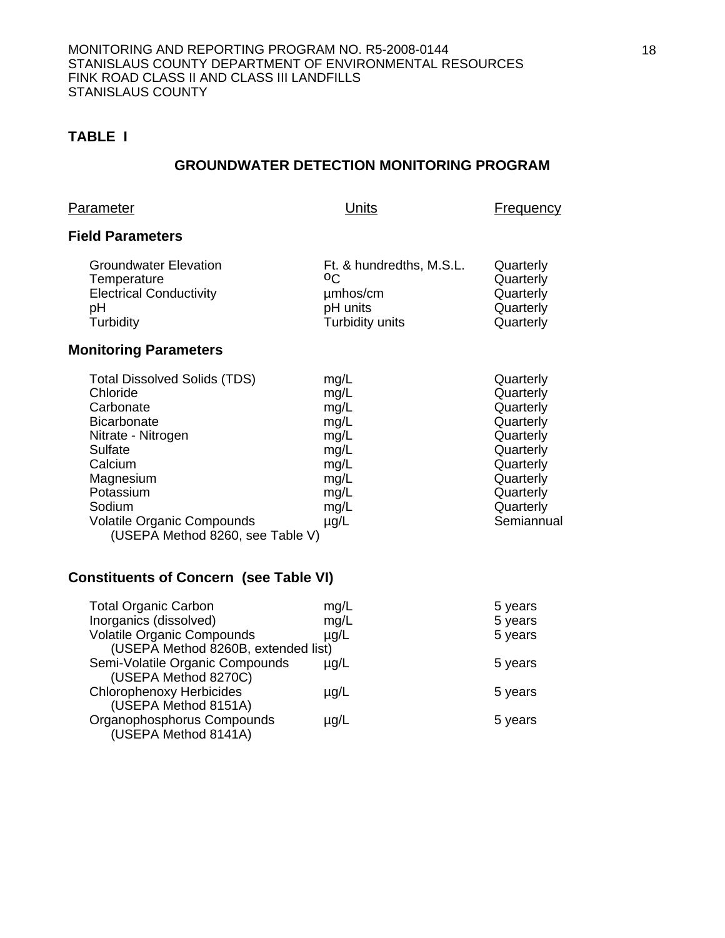## **TABLE I**

## **GROUNDWATER DETECTION MONITORING PROGRAM**

| <b>Parameter</b>                                                                                                                                                                                                                            | Units                                                                                     | <b>Frequency</b>                                                                                                                             |
|---------------------------------------------------------------------------------------------------------------------------------------------------------------------------------------------------------------------------------------------|-------------------------------------------------------------------------------------------|----------------------------------------------------------------------------------------------------------------------------------------------|
| <b>Field Parameters</b>                                                                                                                                                                                                                     |                                                                                           |                                                                                                                                              |
| Groundwater Elevation<br>Temperature<br><b>Electrical Conductivity</b><br>рH<br>Turbidity                                                                                                                                                   | Ft. & hundredths, M.S.L.<br>οC<br>umhos/cm<br>pH units<br>Turbidity units                 | Quarterly<br>Quarterly<br>Quarterly<br>Quarterly<br>Quarterly                                                                                |
| <b>Monitoring Parameters</b>                                                                                                                                                                                                                |                                                                                           |                                                                                                                                              |
| <b>Total Dissolved Solids (TDS)</b><br>Chloride<br>Carbonate<br><b>Bicarbonate</b><br>Nitrate - Nitrogen<br>Sulfate<br>Calcium<br>Magnesium<br>Potassium<br>Sodium<br><b>Volatile Organic Compounds</b><br>(USEPA Method 8260, see Table V) | mg/L<br>mg/L<br>mg/L<br>mg/L<br>mg/L<br>mg/L<br>mg/L<br>mg/L<br>mg/L<br>mg/L<br>$\mu$ g/L | Quarterly<br>Quarterly<br>Quarterly<br>Quarterly<br>Quarterly<br>Quarterly<br>Quarterly<br>Quarterly<br>Quarterly<br>Quarterly<br>Semiannual |
| $\mathbf{A}$ : $\mathbf{A}$                                                                                                                                                                                                                 |                                                                                           |                                                                                                                                              |

#### **Constituents of Concern (see Table VI)**

| <b>Total Organic Carbon</b>         | mg/L      | 5 years |
|-------------------------------------|-----------|---------|
| Inorganics (dissolved)              | mg/L      | 5 years |
| <b>Volatile Organic Compounds</b>   | $\mu$ g/L | 5 years |
| (USEPA Method 8260B, extended list) |           |         |
| Semi-Volatile Organic Compounds     | $\mu$ g/L | 5 years |
| (USEPA Method 8270C)                |           |         |
| <b>Chlorophenoxy Herbicides</b>     | $\mu$ g/L | 5 years |
| (USEPA Method 8151A)                |           |         |
| Organophosphorus Compounds          | $\mu$ g/L | 5 years |
| (USEPA Method 8141A)                |           |         |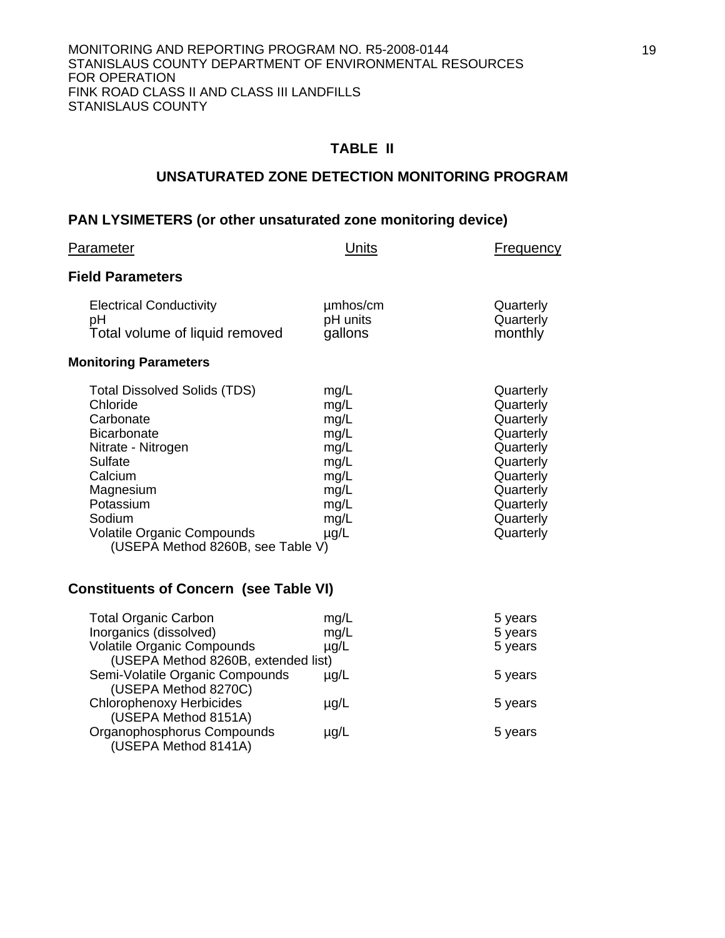#### **TABLE II**

#### **UNSATURATED ZONE DETECTION MONITORING PROGRAM**

## **PAN LYSIMETERS (or other unsaturated zone monitoring device)**

| Parameter                                                                                                                                                                                                                                    | Units                                                                                     | Frequency                                                                                                                                   |
|----------------------------------------------------------------------------------------------------------------------------------------------------------------------------------------------------------------------------------------------|-------------------------------------------------------------------------------------------|---------------------------------------------------------------------------------------------------------------------------------------------|
| <b>Field Parameters</b>                                                                                                                                                                                                                      |                                                                                           |                                                                                                                                             |
| <b>Electrical Conductivity</b><br>рH<br>Total volume of liquid removed<br><b>Monitoring Parameters</b>                                                                                                                                       | umhos/cm<br>pH units<br>gallons                                                           | Quarterly<br>Quarterly<br>monthly                                                                                                           |
| <b>Total Dissolved Solids (TDS)</b><br>Chloride<br>Carbonate<br><b>Bicarbonate</b><br>Nitrate - Nitrogen<br>Sulfate<br>Calcium<br>Magnesium<br>Potassium<br>Sodium<br><b>Volatile Organic Compounds</b><br>(USEPA Method 8260B, see Table V) | mg/L<br>mg/L<br>mg/L<br>mg/L<br>mg/L<br>mg/L<br>mg/L<br>mg/L<br>mg/L<br>mg/L<br>$\mu$ g/L | Quarterly<br>Quarterly<br>Quarterly<br>Quarterly<br>Quarterly<br>Quarterly<br>Quarterly<br>Quarterly<br>Quarterly<br>Quarterly<br>Quarterly |
| <b>Constituents of Concern (see Table VI)</b>                                                                                                                                                                                                |                                                                                           |                                                                                                                                             |
| <b>TIA AI</b>                                                                                                                                                                                                                                |                                                                                           |                                                                                                                                             |

| <b>Total Organic Carbon</b>         | mg/L      | 5 years |
|-------------------------------------|-----------|---------|
| Inorganics (dissolved)              | mg/L      | 5 years |
| <b>Volatile Organic Compounds</b>   | $\mu$ g/L | 5 years |
| (USEPA Method 8260B, extended list) |           |         |
| Semi-Volatile Organic Compounds     | $\mu$ g/L | 5 years |
| (USEPA Method 8270C)                |           |         |
| <b>Chlorophenoxy Herbicides</b>     | $\mu$ g/L | 5 years |
| (USEPA Method 8151A)                |           |         |
| Organophosphorus Compounds          | $\mu$ g/L | 5 years |
| (USEPA Method 8141A)                |           |         |
|                                     |           |         |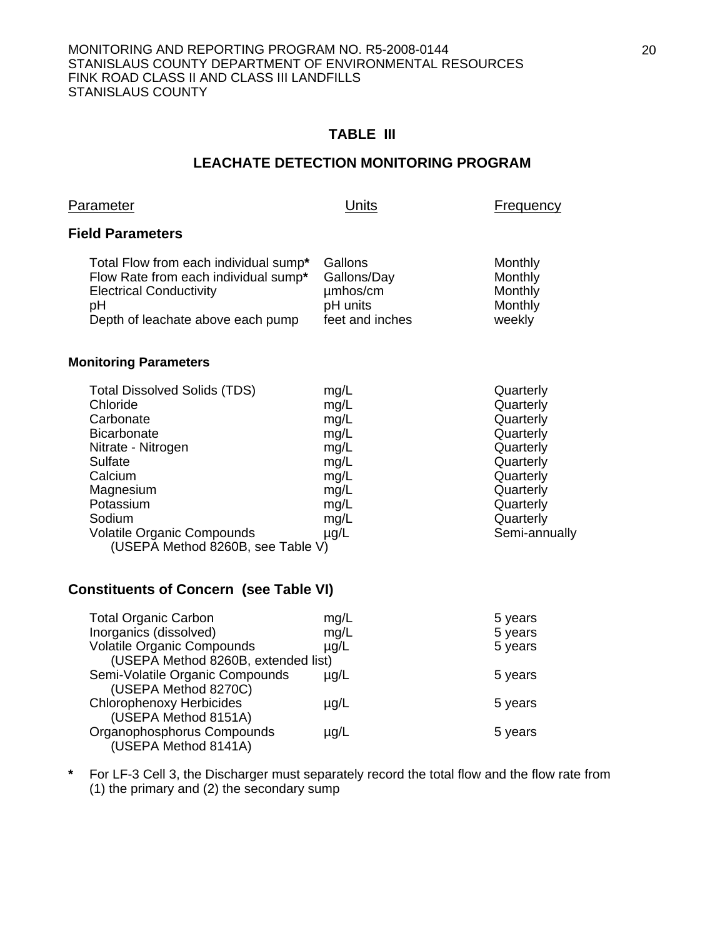# **TABLE III**

#### **LEACHATE DETECTION MONITORING PROGRAM**

| <u>Parameter</u>                                                                                                                                                                                                                      | Units                                                                                     | <b>Frequency</b>                                                                                                                                |
|---------------------------------------------------------------------------------------------------------------------------------------------------------------------------------------------------------------------------------------|-------------------------------------------------------------------------------------------|-------------------------------------------------------------------------------------------------------------------------------------------------|
| <b>Field Parameters</b>                                                                                                                                                                                                               |                                                                                           |                                                                                                                                                 |
| Total Flow from each individual sump*<br>Flow Rate from each individual sump*<br><b>Electrical Conductivity</b><br>pH<br>Depth of leachate above each pump                                                                            | Gallons<br>Gallons/Day<br>umhos/cm<br>pH units<br>feet and inches                         | Monthly<br>Monthly<br>Monthly<br>Monthly<br>weekly                                                                                              |
| <b>Monitoring Parameters</b>                                                                                                                                                                                                          |                                                                                           |                                                                                                                                                 |
| <b>Total Dissolved Solids (TDS)</b><br>Chloride<br>Carbonate<br><b>Bicarbonate</b><br>Nitrate - Nitrogen<br>Sulfate<br>Calcium<br>Magnesium<br>Potassium<br>Sodium<br>Volatile Organic Compounds<br>(USEPA Method 8260B, see Table V) | mg/L<br>mg/L<br>mg/L<br>mg/L<br>mg/L<br>mg/L<br>mg/L<br>mg/L<br>mg/L<br>mg/L<br>$\mu$ g/L | Quarterly<br>Quarterly<br>Quarterly<br>Quarterly<br>Quarterly<br>Quarterly<br>Quarterly<br>Quarterly<br>Quarterly<br>Quarterly<br>Semi-annually |
| <b>Constituents of Concern (see Table VI)</b>                                                                                                                                                                                         |                                                                                           |                                                                                                                                                 |
| <b>Total Organic Carbon</b>                                                                                                                                                                                                           | mg/L                                                                                      | 5 years                                                                                                                                         |

| Total Organic Carbon                | $\mathbf{H} \mathbf{Q} / \mathbf{L}$ | 5 years |
|-------------------------------------|--------------------------------------|---------|
| Inorganics (dissolved)              | mg/L                                 | 5 years |
| <b>Volatile Organic Compounds</b>   | $\mu$ g/L                            | 5 years |
| (USEPA Method 8260B, extended list) |                                      |         |
| Semi-Volatile Organic Compounds     | $\mu$ g/L                            | 5 years |
| (USEPA Method 8270C)                |                                      |         |
| <b>Chlorophenoxy Herbicides</b>     | $\mu$ g/L                            | 5 years |
| (USEPA Method 8151A)                |                                      |         |
| Organophosphorus Compounds          | $\mu$ g/L                            | 5 years |
| (USEPA Method 8141A)                |                                      |         |

**\*** For LF-3 Cell 3, the Discharger must separately record the total flow and the flow rate from (1) the primary and (2) the secondary sump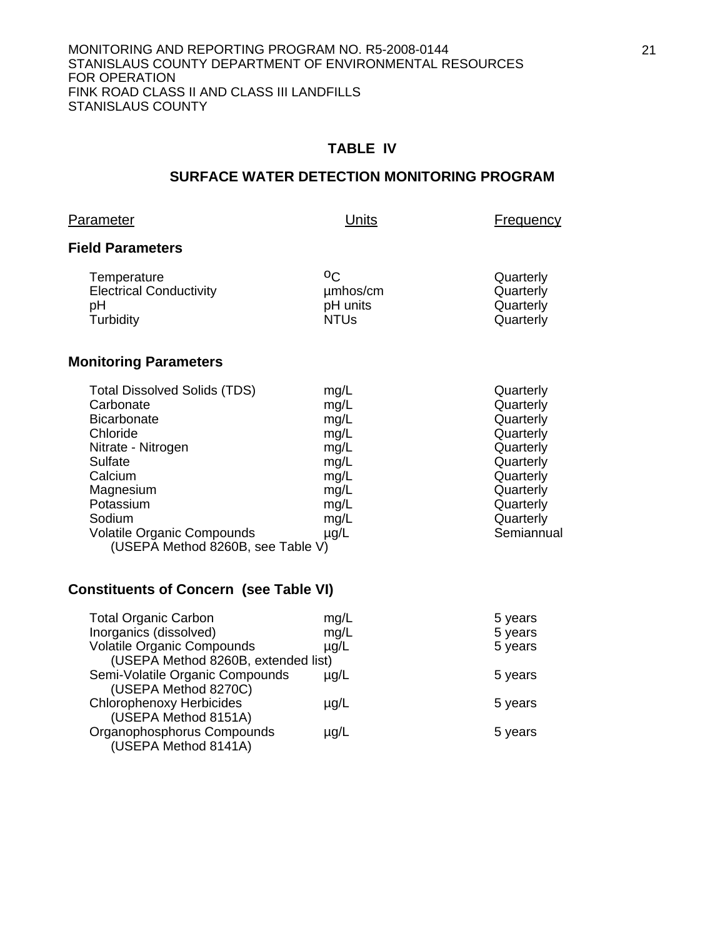#### **TABLE IV**

## **SURFACE WATER DETECTION MONITORING PROGRAM**

|--|

Units Frequency

### **Field Parameters**

| Temperature                    | oc.         | Quarterly |
|--------------------------------|-------------|-----------|
| <b>Electrical Conductivity</b> | µmbos/cm    | Quarterly |
| pН                             | pH units    | Quarterly |
| Turbidity                      | <b>NTUs</b> | Quarterly |
|                                |             |           |

# **Monitoring Parameters**

|           | Quarterly                                                                 |
|-----------|---------------------------------------------------------------------------|
|           | Quarterly                                                                 |
|           | Quarterly                                                                 |
|           | Quarterly                                                                 |
|           | Quarterly                                                                 |
| mg/L      | Quarterly                                                                 |
| mg/L      | Quarterly                                                                 |
| mg/L      | Quarterly                                                                 |
| mg/L      | Quarterly                                                                 |
| mg/L      | Quarterly                                                                 |
| $\mu$ g/L | Semiannual                                                                |
|           |                                                                           |
|           | mg/L<br>mg/L<br>mg/L<br>mg/L<br>mg/L<br>(USEPA Method 8260B, see Table V) |

# **Constituents of Concern (see Table VI)**

| <b>Total Organic Carbon</b>         | mg/L      | 5 years |
|-------------------------------------|-----------|---------|
| Inorganics (dissolved)              | mg/L      | 5 years |
| <b>Volatile Organic Compounds</b>   | $\mu$ g/L | 5 years |
| (USEPA Method 8260B, extended list) |           |         |
| Semi-Volatile Organic Compounds     | $\mu$ g/L | 5 years |
| (USEPA Method 8270C)                |           |         |
| <b>Chlorophenoxy Herbicides</b>     | $\mu$ g/L | 5 years |
| (USEPA Method 8151A)                |           |         |
| Organophosphorus Compounds          | $\mu$ g/L | 5 years |
| (USEPA Method 8141A)                |           |         |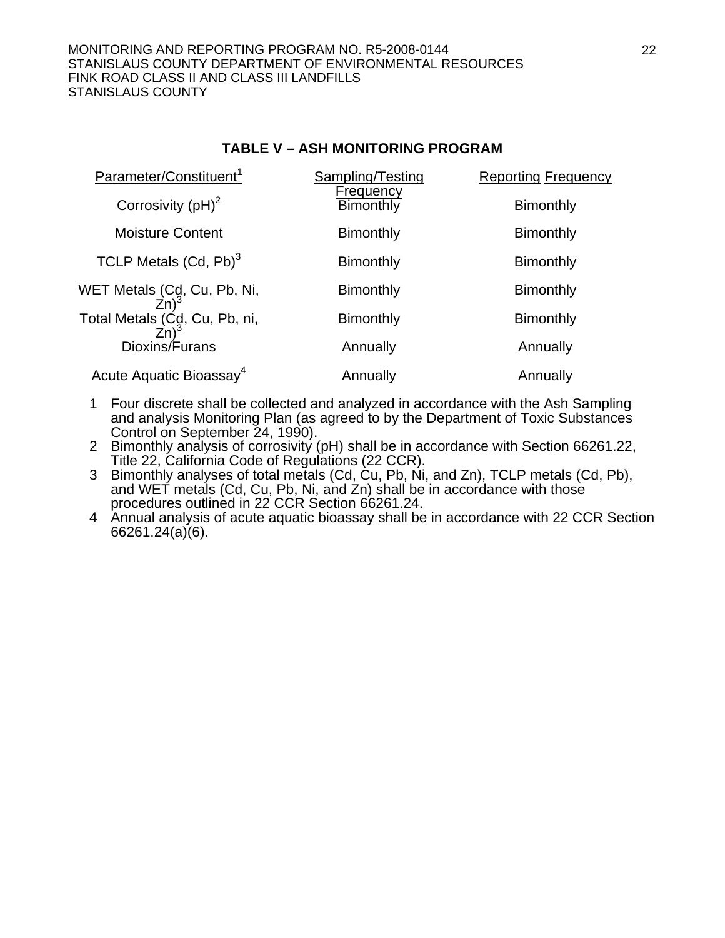#### **TABLE V – ASH MONITORING PROGRAM**

| Parameter/Constituent <sup>1</sup>                | Sampling/Testing       | <b>Reporting Frequency</b> |
|---------------------------------------------------|------------------------|----------------------------|
| Corrosivity $(pH)^2$                              | Frequency<br>Bimonthly | <b>Bimonthly</b>           |
| <b>Moisture Content</b>                           | <b>Bimonthly</b>       | <b>Bimonthly</b>           |
| TCLP Metals $(Cd, Pb)^3$                          | <b>Bimonthly</b>       | <b>Bimonthly</b>           |
| WET Metals (Cd, Cu, Pb, Ni,<br>Zn) <sup>3</sup>   | <b>Bimonthly</b>       | <b>Bimonthly</b>           |
| Total Metals (C <sub>9</sub> , Cu, Pb, ni,<br>Zn) | <b>Bimonthly</b>       | <b>Bimonthly</b>           |
| Dioxins/Furans                                    | Annually               | Annually                   |
| Acute Aquatic Bioassay <sup>4</sup>               | Annually               | Annually                   |

- 1 Four discrete shall be collected and analyzed in accordance with the Ash Sampling and analysis Monitoring Plan (as agreed to by the Department of Toxic Substances Control on September 24, 1990).
- 2 Bimonthly analysis of corrosivity (pH) shall be in accordance with Section 66261.22, Title 22, California Code of Regulations (22 CCR).
- 3 Bimonthly analyses of total metals (Cd, Cu, Pb, Ni, and Zn), TCLP metals (Cd, Pb), and WET metals (Cd, Cu, Pb, Ni, and Zn) shall be in accordance with those procedures outlined in 22 CCR Section 66261.24.
- 4 Annual analysis of acute aquatic bioassay shall be in accordance with 22 CCR Section 66261.24(a)(6).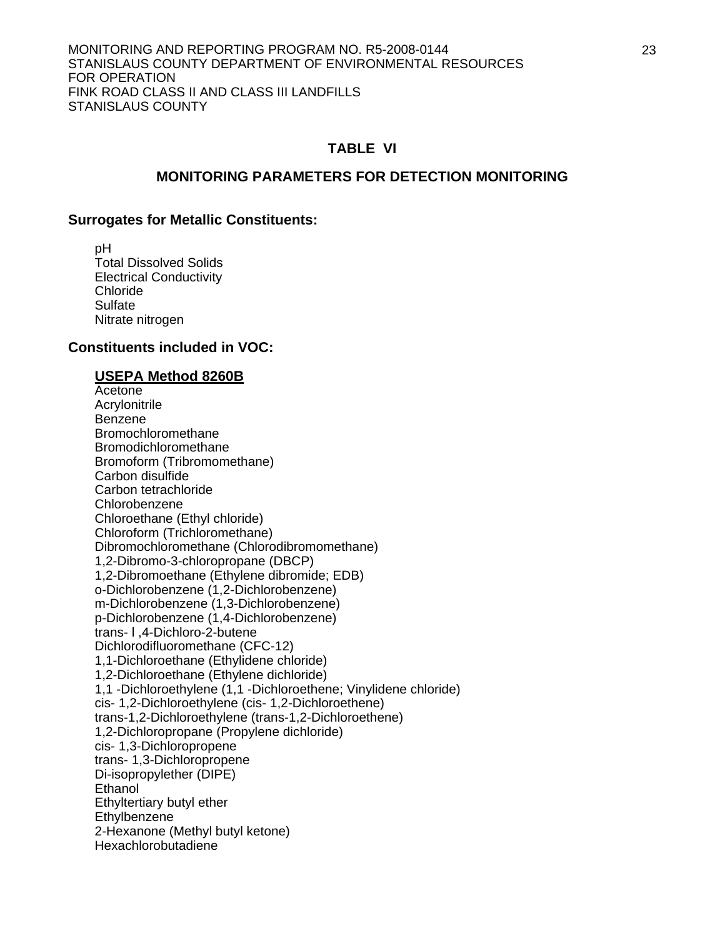#### **TABLE VI**

#### **MONITORING PARAMETERS FOR DETECTION MONITORING**

#### **Surrogates for Metallic Constituents:**

 pH Total Dissolved Solids Electrical Conductivity Chloride **Sulfate** Nitrate nitrogen

#### **Constituents included in VOC:**

#### **USEPA Method 8260B**

**Acetone**  Acrylonitrile Benzene Bromochloromethane Bromodichloromethane Bromoform (Tribromomethane) Carbon disulfide Carbon tetrachloride Chlorobenzene Chloroethane (Ethyl chloride) Chloroform (Trichloromethane) Dibromochloromethane (Chlorodibromomethane) 1,2-Dibromo-3-chloropropane (DBCP) 1,2-Dibromoethane (Ethylene dibromide; EDB) o-Dichlorobenzene (1,2-Dichlorobenzene) m-Dichlorobenzene (1,3-Dichlorobenzene) p-Dichlorobenzene (1,4-Dichlorobenzene) trans- l ,4-Dichloro-2-butene Dichlorodifluoromethane (CFC-12) 1,1-Dichloroethane (Ethylidene chloride) 1,2-Dichloroethane (Ethylene dichloride) 1,1 -Dichloroethylene (1,1 -Dichloroethene; Vinylidene chloride) cis- 1,2-Dichloroethylene (cis- 1,2-Dichloroethene) trans-1,2-Dichloroethylene (trans-1,2-Dichloroethene) 1,2-Dichloropropane (Propylene dichloride) cis- 1,3-Dichloropropene trans- 1,3-Dichloropropene Di-isopropylether (DIPE) **Ethanol**  Ethyltertiary butyl ether **Ethylbenzene**  2-Hexanone (Methyl butyl ketone) Hexachlorobutadiene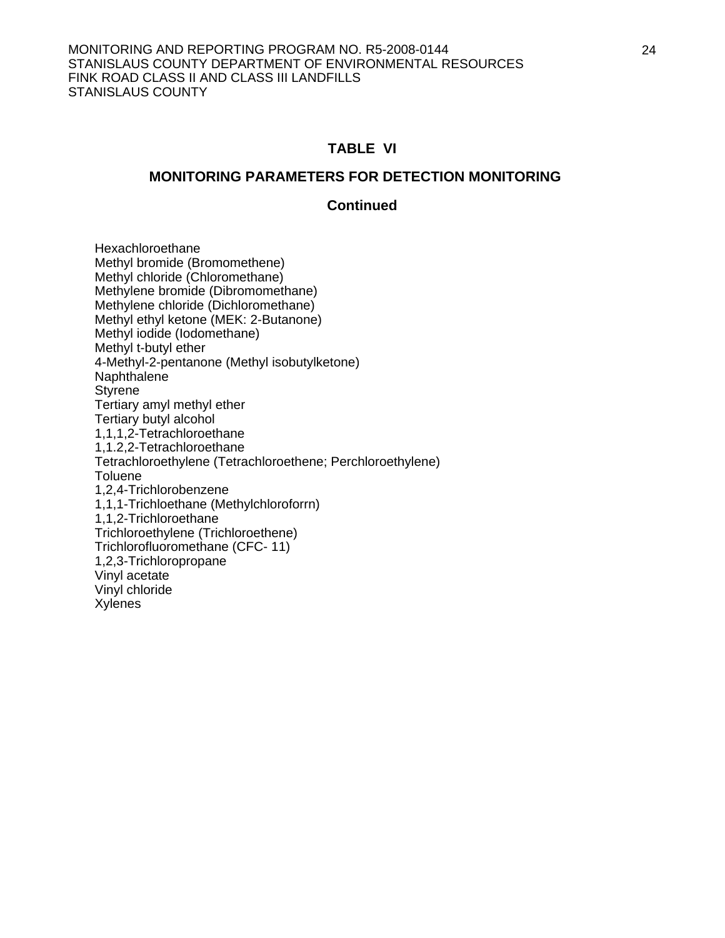#### **TABLE VI**

#### **MONITORING PARAMETERS FOR DETECTION MONITORING**

#### **Continued**

 Hexachloroethane Methyl bromide (Bromomethene) Methyl chloride (Chloromethane) Methylene bromide (Dibromomethane) Methylene chloride (Dichloromethane) Methyl ethyl ketone (MEK: 2-Butanone) Methyl iodide (Iodomethane) Methyl t-butyl ether 4-Methyl-2-pentanone (Methyl isobutylketone) Naphthalene **Styrene**  Tertiary amyl methyl ether Tertiary butyl alcohol 1,1,1,2-Tetrachloroethane 1,1.2,2-Tetrachloroethane Tetrachloroethylene (Tetrachloroethene; Perchloroethylene) **Toluene**  1,2,4-Trichlorobenzene 1,1,1-Trichloethane (Methylchloroforrn) 1,1,2-Trichloroethane Trichloroethylene (Trichloroethene) Trichlorofluoromethane (CFC- 11) 1,2,3-Trichloropropane Vinyl acetate Vinyl chloride Xylenes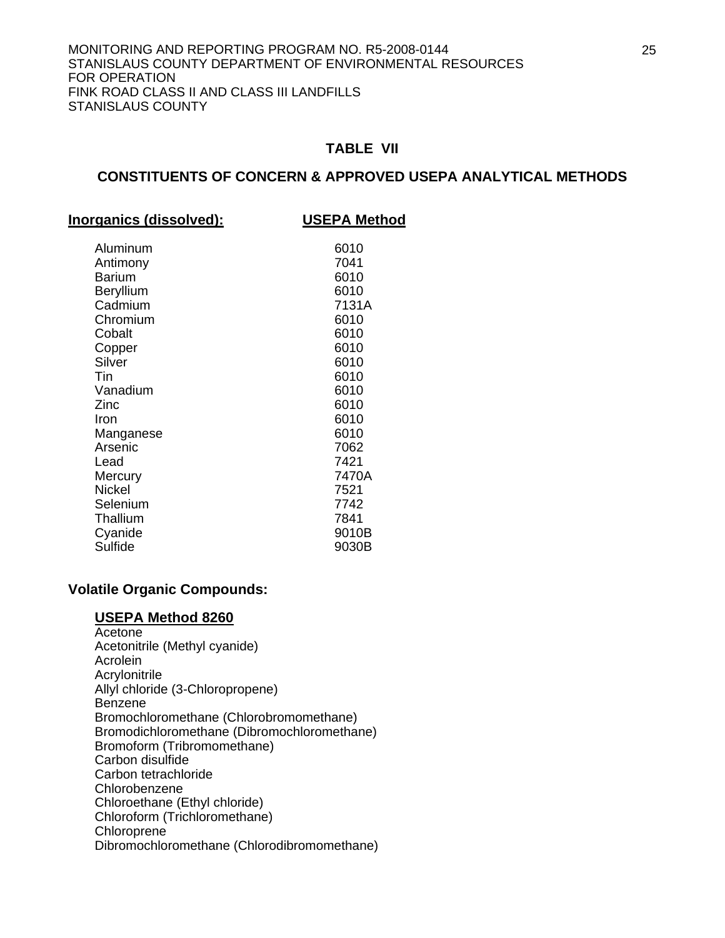#### **TABLE VII**

#### **CONSTITUENTS OF CONCERN & APPROVED USEPA ANALYTICAL METHODS**

| Inorganics (dissolved): | <b>USEPA Method</b> |
|-------------------------|---------------------|
| Aluminum                | 6010                |
| Antimony                | 7041                |
| <b>Barium</b>           | 6010                |
| Beryllium               | 6010                |
| Cadmium                 | 7131A               |
| Chromium                | 6010                |
| Cobalt                  | 6010                |
| Copper                  | 6010                |
| Silver                  | 6010                |
| Tin                     | 6010                |
| Vanadium                | 6010                |
| Zinc                    | 6010                |
| Iron                    | 6010                |
| Manganese               | 6010                |
| Arsenic                 | 7062                |
| Lead                    | 7421                |
| Mercury                 | 7470A               |
| <b>Nickel</b>           | 7521                |
| Selenium                | 7742                |
| Thallium                | 7841                |
| Cyanide                 | 9010B               |
| Sulfide                 | 9030B               |

#### **Volatile Organic Compounds:**

#### **USEPA Method 8260**

**Acetone**  Acetonitrile (Methyl cyanide) Acrolein Acrylonitrile Allyl chloride (3-Chloropropene) Benzene Bromochloromethane (Chlorobromomethane) Bromodichloromethane (Dibromochloromethane) Bromoform (Tribromomethane) Carbon disulfide Carbon tetrachloride Chlorobenzene Chloroethane (Ethyl chloride) Chloroform (Trichloromethane) Chloroprene Dibromochloromethane (Chlorodibromomethane)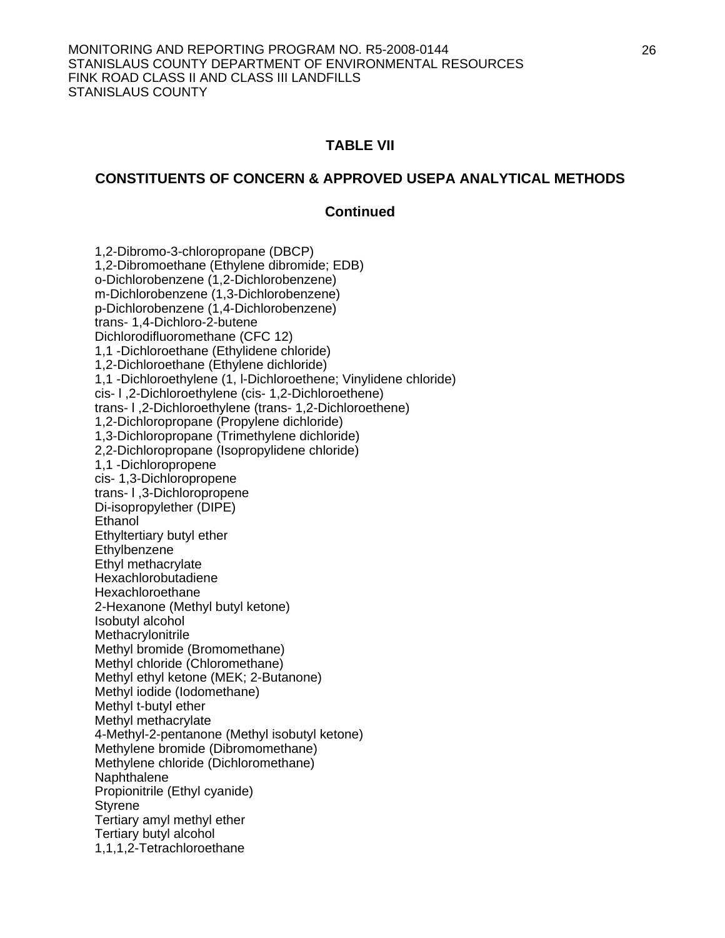### **TABLE VII**

### **CONSTITUENTS OF CONCERN & APPROVED USEPA ANALYTICAL METHODS**

### **Continued**

 1,2-Dibromo-3-chloropropane (DBCP) 1,2-Dibromoethane (Ethylene dibromide; EDB) o-Dichlorobenzene (1,2-Dichlorobenzene) m-Dichlorobenzene (1,3-Dichlorobenzene) p-Dichlorobenzene (1,4-Dichlorobenzene) trans- 1,4-Dichloro-2-butene Dichlorodifluoromethane (CFC 12) 1,1 -Dichloroethane (Ethylidene chloride) 1,2-Dichloroethane (Ethylene dichloride) 1,1 -Dichloroethylene (1, l-Dichloroethene; Vinylidene chloride) cis- l ,2-Dichloroethylene (cis- 1,2-Dichloroethene) trans- l ,2-Dichloroethylene (trans- 1,2-Dichloroethene) 1,2-Dichloropropane (Propylene dichloride) 1,3-Dichloropropane (Trimethylene dichloride) 2,2-Dichloropropane (Isopropylidene chloride) 1,1 -Dichloropropene cis- 1,3-Dichloropropene trans- l ,3-Dichloropropene Di-isopropylether (DIPE) Ethanol Ethyltertiary butyl ether **Ethylbenzene**  Ethyl methacrylate Hexachlorobutadiene Hexachloroethane 2-Hexanone (Methyl butyl ketone) Isobutyl alcohol **Methacrylonitrile**  Methyl bromide (Bromomethane) Methyl chloride (Chloromethane) Methyl ethyl ketone (MEK; 2-Butanone) Methyl iodide (Iodomethane) Methyl t-butyl ether Methyl methacrylate 4-Methyl-2-pentanone (Methyl isobutyl ketone) Methylene bromide (Dibromomethane) Methylene chloride (Dichloromethane) **Naphthalene**  Propionitrile (Ethyl cyanide) Styrene Tertiary amyl methyl ether Tertiary butyl alcohol 1,1,1,2-Tetrachloroethane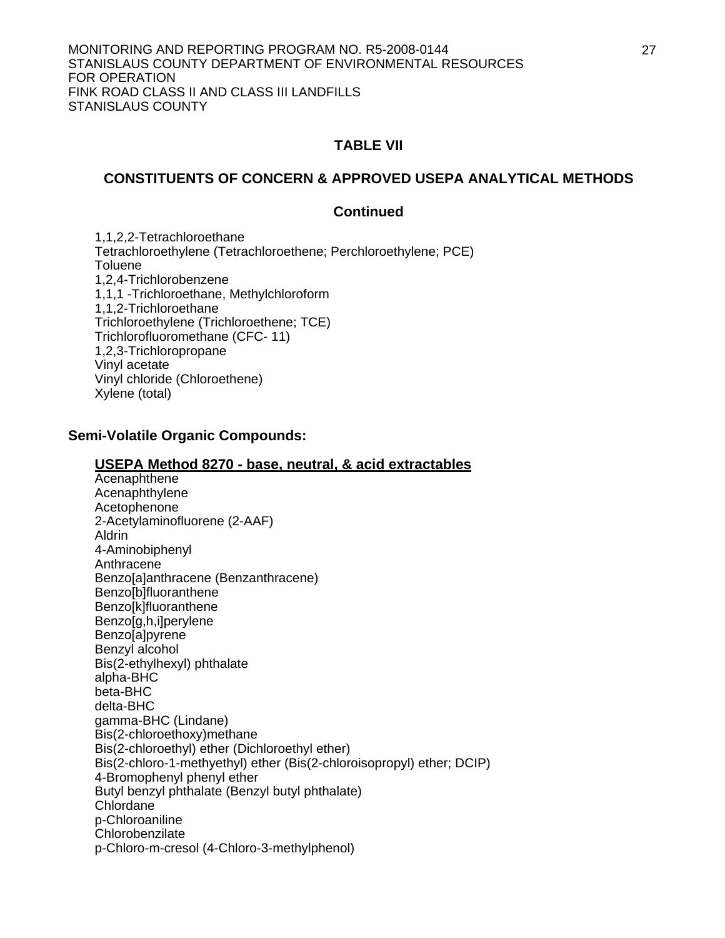### **TABLE VII**

### **CONSTITUENTS OF CONCERN & APPROVED USEPA ANALYTICAL METHODS**

#### **Continued**

 1,1,2,2-Tetrachloroethane Tetrachloroethylene (Tetrachloroethene; Perchloroethylene; PCE) **Toluene**  1,2,4-Trichlorobenzene 1,1,1 -Trichloroethane, Methylchloroform 1,1,2-Trichloroethane Trichloroethylene (Trichloroethene; TCE) Trichlorofluoromethane (CFC- 11) 1,2,3-Trichloropropane Vinyl acetate Vinyl chloride (Chloroethene) Xylene (total)

#### **Semi-Volatile Organic Compounds:**

#### **USEPA Method 8270 - base, neutral, & acid extractables**

 Acenaphthene Acenaphthylene Acetophenone 2-Acetylaminofluorene (2-AAF) Aldrin 4-Aminobiphenyl Anthracene Benzo[a]anthracene (Benzanthracene) Benzo[b]fluoranthene Benzo[k]fluoranthene Benzo[g,h,i]perylene Benzo[a]pyrene Benzyl alcohol Bis(2-ethylhexyl) phthalate alpha-BHC beta-BHC delta-BHC gamma-BHC (Lindane) Bis(2-chloroethoxy)methane Bis(2-chloroethyl) ether (Dichloroethyl ether) Bis(2-chloro-1-methyethyl) ether (Bis(2-chloroisopropyl) ether; DCIP) 4-Bromophenyl phenyl ether Butyl benzyl phthalate (Benzyl butyl phthalate) Chlordane p-Chloroaniline Chlorobenzilate p-Chloro-m-cresol (4-Chloro-3-methylphenol)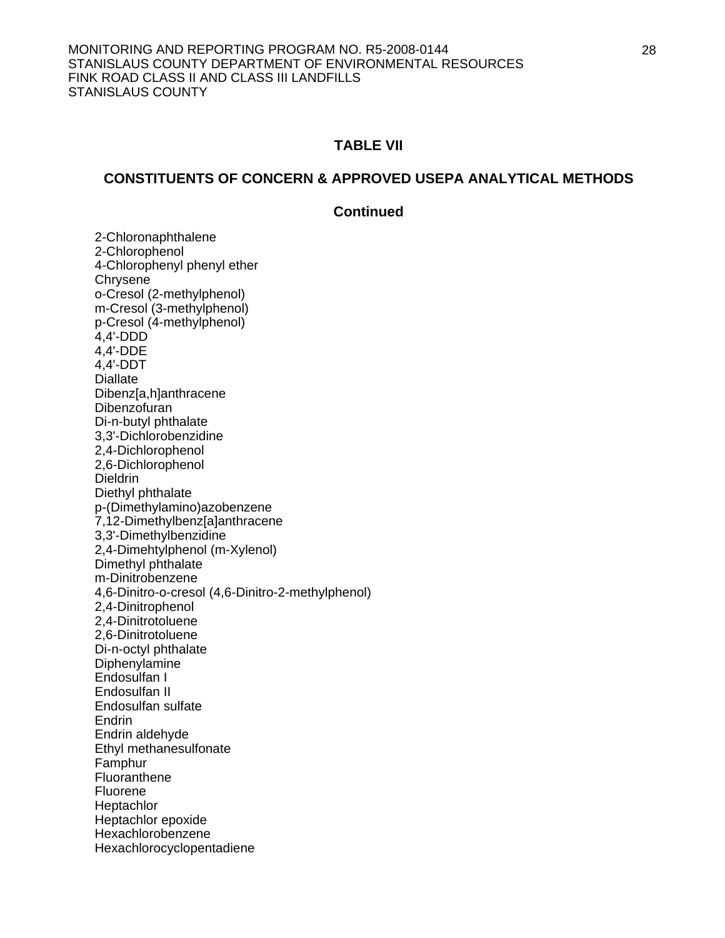### **TABLE VII**

#### **CONSTITUENTS OF CONCERN & APPROVED USEPA ANALYTICAL METHODS**

#### **Continued**

2-Chloronaphthalene 2-Chlorophenol 4-Chlorophenyl phenyl ether **Chrysene** o-Cresol (2-methylphenol) m-Cresol (3-methylphenol) p-Cresol (4-methylphenol) 4,4'-DDD 4,4'-DDE 4,4'-DDT **Diallate**  Dibenz[a,h]anthracene Dibenzofuran Di-n-butyl phthalate 3,3'-Dichlorobenzidine 2,4-Dichlorophenol 2,6-Dichlorophenol Dieldrin Diethyl phthalate p-(Dimethylamino)azobenzene 7,12-Dimethylbenz[a]anthracene 3,3'-Dimethylbenzidine 2,4-Dimehtylphenol (m-Xylenol) Dimethyl phthalate m-Dinitrobenzene 4,6-Dinitro-o-cresol (4,6-Dinitro-2-methylphenol) 2,4-Dinitrophenol 2,4-Dinitrotoluene 2,6-Dinitrotoluene Di-n-octyl phthalate Diphenylamine Endosulfan I Endosulfan II Endosulfan sulfate **Endrin** Endrin aldehyde Ethyl methanesulfonate Famphur **Fluoranthene**  Fluorene **Heptachlor**  Heptachlor epoxide Hexachlorobenzene Hexachlorocyclopentadiene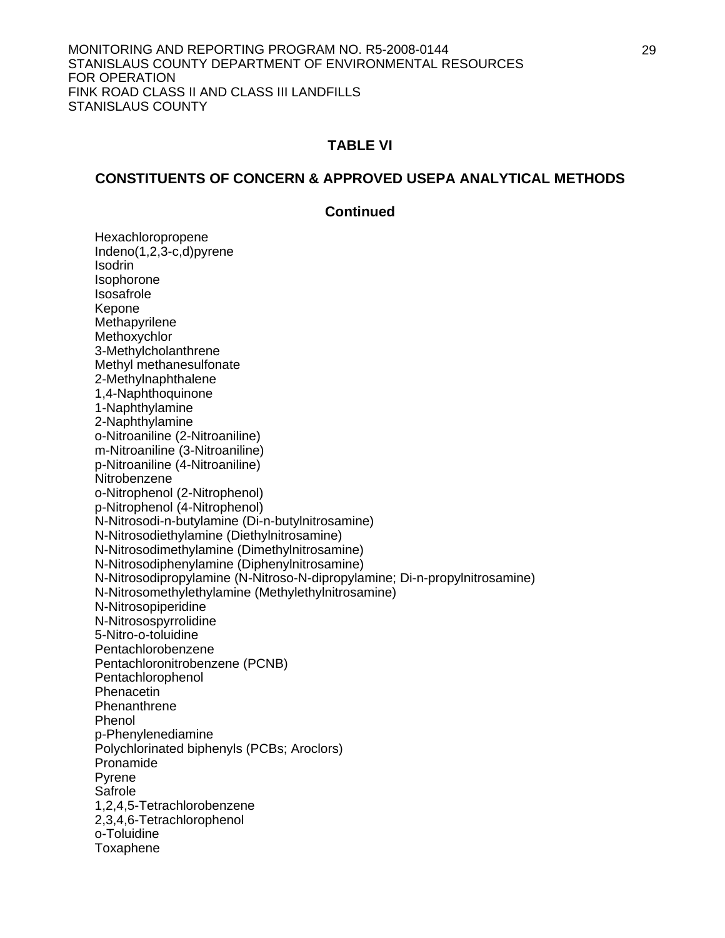### **TABLE VI**

### **CONSTITUENTS OF CONCERN & APPROVED USEPA ANALYTICAL METHODS**

### **Continued**

 Hexachloropropene Indeno(1,2,3-c,d)pyrene **Isodrin**  Isophorone Isosafrole Kepone Methapyrilene Methoxychlor 3-Methylcholanthrene Methyl methanesulfonate 2-Methylnaphthalene 1,4-Naphthoquinone 1-Naphthylamine 2-Naphthylamine o-Nitroaniline (2-Nitroaniline) m-Nitroaniline (3-Nitroaniline) p-Nitroaniline (4-Nitroaniline) Nitrobenzene o-Nitrophenol (2-Nitrophenol) p-Nitrophenol (4-Nitrophenol) N-Nitrosodi-n-butylamine (Di-n-butylnitrosamine) N-Nitrosodiethylamine (Diethylnitrosamine) N-Nitrosodimethylamine (Dimethylnitrosamine) N-Nitrosodiphenylamine (Diphenylnitrosamine) N-Nitrosodipropylamine (N-Nitroso-N-dipropylamine; Di-n-propylnitrosamine) N-Nitrosomethylethylamine (Methylethylnitrosamine) N-Nitrosopiperidine N-Nitrosospyrrolidine 5-Nitro-o-toluidine Pentachlorobenzene Pentachloronitrobenzene (PCNB) Pentachlorophenol **Phenacetin Phenanthrene** Phenol p-Phenylenediamine Polychlorinated biphenyls (PCBs; Aroclors) Pronamide Pyrene Safrole 1,2,4,5-Tetrachlorobenzene 2,3,4,6-Tetrachlorophenol o-Toluidine Toxaphene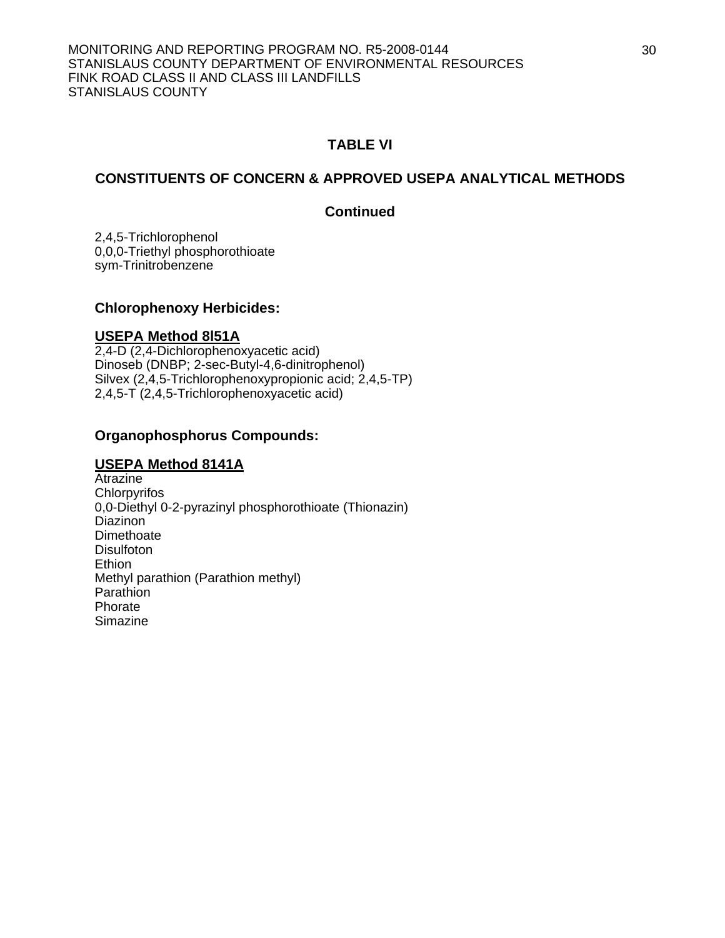## **TABLE VI**

### **CONSTITUENTS OF CONCERN & APPROVED USEPA ANALYTICAL METHODS**

### **Continued**

 2,4,5-Trichlorophenol 0,0,0-Triethyl phosphorothioate sym-Trinitrobenzene

### **Chlorophenoxy Herbicides:**

### **USEPA Method 8l51A**

2,4-D (2,4-Dichlorophenoxyacetic acid) Dinoseb (DNBP; 2-sec-Butyl-4,6-dinitrophenol) Silvex (2,4,5-Trichlorophenoxypropionic acid; 2,4,5-TP) 2,4,5-T (2,4,5-Trichlorophenoxyacetic acid)

### **Organophosphorus Compounds:**

### **USEPA Method 8141A**

Atrazine **Chlorpyrifos** 0,0-Diethyl 0-2-pyrazinyl phosphorothioate (Thionazin) Diazinon **Dimethoate Disulfoton Ethion**  Methyl parathion (Parathion methyl) Parathion Phorate Simazine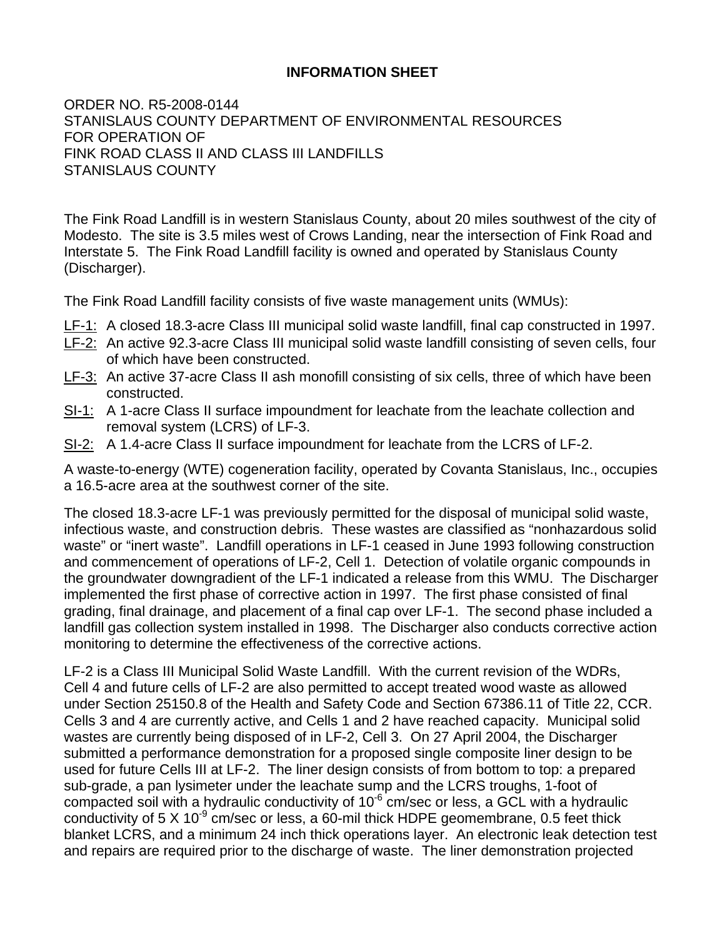# **INFORMATION SHEET**

ORDER NO. R5-2008-0144 STANISLAUS COUNTY DEPARTMENT OF ENVIRONMENTAL RESOURCES FOR OPERATION OF FINK ROAD CLASS II AND CLASS III LANDFILLS STANISLAUS COUNTY

The Fink Road Landfill is in western Stanislaus County, about 20 miles southwest of the city of Modesto. The site is 3.5 miles west of Crows Landing, near the intersection of Fink Road and Interstate 5. The Fink Road Landfill facility is owned and operated by Stanislaus County (Discharger).

The Fink Road Landfill facility consists of five waste management units (WMUs):

- LF-1: A closed 18.3-acre Class III municipal solid waste landfill, final cap constructed in 1997.
- LF-2: An active 92.3-acre Class III municipal solid waste landfill consisting of seven cells, four of which have been constructed.
- LF-3: An active 37-acre Class II ash monofill consisting of six cells, three of which have been constructed.
- SI-1: A 1-acre Class II surface impoundment for leachate from the leachate collection and removal system (LCRS) of LF-3.
- SI-2: A 1.4-acre Class II surface impoundment for leachate from the LCRS of LF-2.

A waste-to-energy (WTE) cogeneration facility, operated by Covanta Stanislaus, Inc., occupies a 16.5-acre area at the southwest corner of the site.

The closed 18.3-acre LF-1 was previously permitted for the disposal of municipal solid waste, infectious waste, and construction debris. These wastes are classified as "nonhazardous solid waste" or "inert waste". Landfill operations in LF-1 ceased in June 1993 following construction and commencement of operations of LF-2, Cell 1. Detection of volatile organic compounds in the groundwater downgradient of the LF-1 indicated a release from this WMU. The Discharger implemented the first phase of corrective action in 1997. The first phase consisted of final grading, final drainage, and placement of a final cap over LF-1. The second phase included a landfill gas collection system installed in 1998. The Discharger also conducts corrective action monitoring to determine the effectiveness of the corrective actions.

LF-2 is a Class III Municipal Solid Waste Landfill. With the current revision of the WDRs, Cell 4 and future cells of LF-2 are also permitted to accept treated wood waste as allowed under Section 25150.8 of the Health and Safety Code and Section 67386.11 of Title 22, CCR. Cells 3 and 4 are currently active, and Cells 1 and 2 have reached capacity. Municipal solid wastes are currently being disposed of in LF-2, Cell 3. On 27 April 2004, the Discharger submitted a performance demonstration for a proposed single composite liner design to be used for future Cells III at LF-2. The liner design consists of from bottom to top: a prepared sub-grade, a pan lysimeter under the leachate sump and the LCRS troughs, 1-foot of compacted soil with a hydraulic conductivity of  $10^{-6}$  cm/sec or less, a GCL with a hydraulic conductivity of 5 X 10<sup>-9</sup> cm/sec or less, a 60-mil thick HDPE geomembrane, 0.5 feet thick blanket LCRS, and a minimum 24 inch thick operations layer. An electronic leak detection test and repairs are required prior to the discharge of waste. The liner demonstration projected